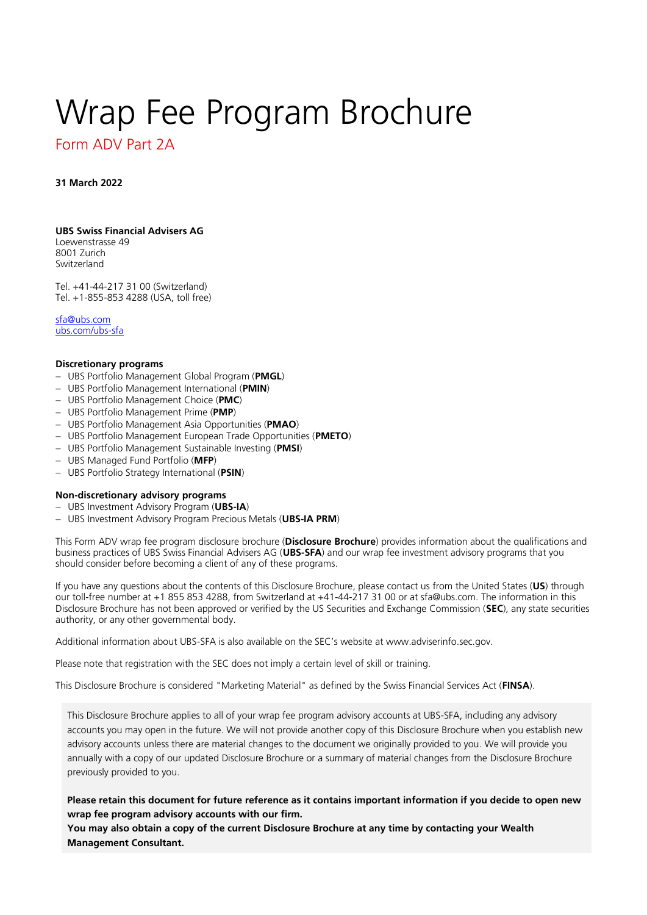# <span id="page-0-0"></span>Wrap Fee Program Brochure

# <span id="page-0-1"></span>Form ADV Part 2A

**31 March 2022**

# **UBS Swiss Financial Advisers AG**

Loewenstrasse 49 8001 Zurich Switzerland

Tel. +41-44-217 31 00 (Switzerland) Tel. +1-855-853 4288 (USA, toll free)

[sfa@ubs.com](mailto:sfa@ubs.com) [ubs.com/ubs-sfa](http://ubs.com/ubs-sfa)

# **Discretionary programs**

- − UBS Portfolio Management Global Program (**PMGL**)
- − UBS Portfolio Management International (**PMIN**)
- − UBS Portfolio Management Choice (**PMC**)
- − UBS Portfolio Management Prime (**PMP**)
- − UBS Portfolio Management Asia Opportunities (**PMAO**)
- − UBS Portfolio Management European Trade Opportunities (**PMETO**)
- − UBS Portfolio Management Sustainable Investing (**PMSI**)
- − UBS Managed Fund Portfolio (**MFP**)
- − UBS Portfolio Strategy International (**PSIN**)

# **Non-discretionary advisory programs**

- − UBS Investment Advisory Program (**UBS-IA**)
- − UBS Investment Advisory Program Precious Metals (**UBS-IA PRM**)

This Form ADV wrap fee program disclosure brochure (**Disclosure Brochure**) provides information about the qualifications and business practices of UBS Swiss Financial Advisers AG (**UBS-SFA**) and our wrap fee investment advisory programs that you should consider before becoming a client of any of these programs.

If you have any questions about the contents of this Disclosure Brochure, please contact us from the United States (**US**) through our toll-free number at +1 855 853 4288, from Switzerland at +41-44-217 31 00 or at sfa@ubs.com. The information in this Disclosure Brochure has not been approved or verified by the US Securities and Exchange Commission (**SEC**), any state securities authority, or any other governmental body.

Additional information about UBS-SFA is also available on the SEC's website at www.adviserinfo.sec.gov.

Please note that registration with the SEC does not imply a certain level of skill or training.

This Disclosure Brochure is considered "Marketing Material" as defined by the Swiss Financial Services Act (**FINSA**).

This Disclosure Brochure applies to all of your wrap fee program advisory accounts at UBS-SFA, including any advisory accounts you may open in the future. We will not provide another copy of this Disclosure Brochure when you establish new advisory accounts unless there are material changes to the document we originally provided to you. We will provide you annually with a copy of our updated Disclosure Brochure or a summary of material changes from the Disclosure Brochure previously provided to you.

**Please retain this document for future reference as it contains important information if you decide to open new wrap fee program advisory accounts with our firm.** 

**You may also obtain a copy of the current Disclosure Brochure at any time by contacting your Wealth Management Consultant.**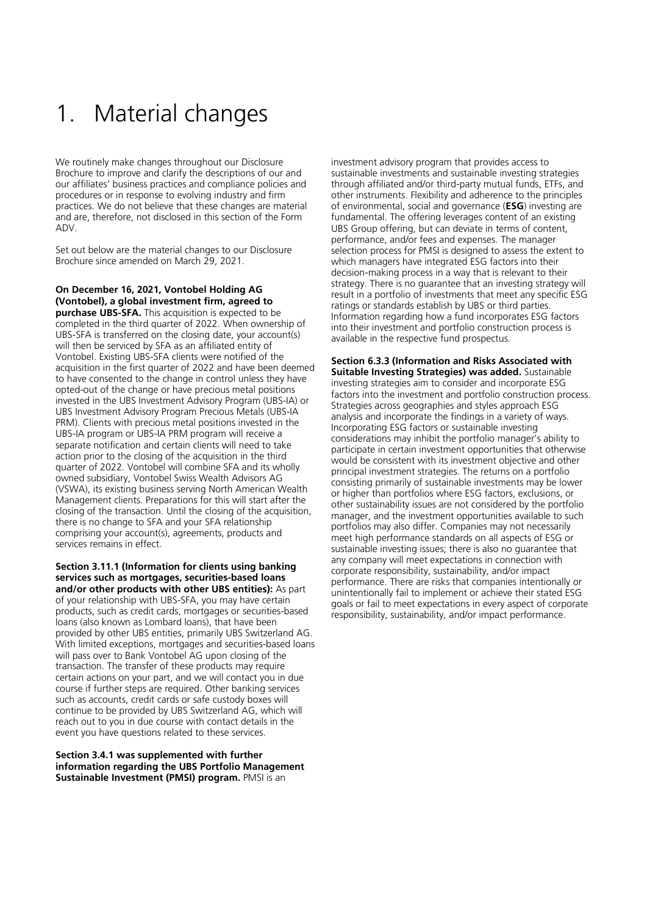# <span id="page-1-0"></span>1. Material changes

We routinely make changes throughout our Disclosure Brochure to improve and clarify the descriptions of our and our affiliates' business practices and compliance policies and procedures or in response to evolving industry and firm practices. We do not believe that these changes are material and are, therefore, not disclosed in this section of the Form ADV.

Set out below are the material changes to our Disclosure Brochure since amended on March 29, 2021.

**On December 16, 2021, Vontobel Holding AG (Vontobel), a global investment firm, agreed to purchase UBS-SFA.** This acquisition is expected to be completed in the third quarter of 2022. When ownership of UBS-SFA is transferred on the closing date, your account(s) will then be serviced by SFA as an affiliated entity of Vontobel. Existing UBS-SFA clients were notified of the acquisition in the first quarter of 2022 and have been deemed to have consented to the change in control unless they have opted-out of the change or have precious metal positions invested in the UBS Investment Advisory Program (UBS-IA) or UBS Investment Advisory Program Precious Metals (UBS-IA PRM). Clients with precious metal positions invested in the UBS-IA program or UBS-IA PRM program will receive a separate notification and certain clients will need to take action prior to the closing of the acquisition in the third quarter of 2022. Vontobel will combine SFA and its wholly owned subsidiary, Vontobel Swiss Wealth Advisors AG (VSWA), its existing business serving North American Wealth Management clients. Preparations for this will start after the closing of the transaction. Until the closing of the acquisition, there is no change to SFA and your SFA relationship comprising your account(s), agreements, products and services remains in effect.

# **Section 3.11.1 (Information for clients using banking services such as mortgages, securities-based loans and/or other products with other UBS entities):** As part

of your relationship with UBS-SFA, you may have certain products, such as credit cards, mortgages or securities-based loans (also known as Lombard loans), that have been provided by other UBS entities, primarily UBS Switzerland AG. With limited exceptions, mortgages and securities-based loans will pass over to Bank Vontobel AG upon closing of the transaction. The transfer of these products may require certain actions on your part, and we will contact you in due course if further steps are required. Other banking services such as accounts, credit cards or safe custody boxes will continue to be provided by UBS Switzerland AG, which will reach out to you in due course with contact details in the event you have questions related to these services.

**Section 3.4.1 was supplemented with further information regarding the UBS Portfolio Management Sustainable Investment (PMSI) program.** PMSI is an

investment advisory program that provides access to sustainable investments and sustainable investing strategies through affiliated and/or third-party mutual funds, ETFs, and other instruments. Flexibility and adherence to the principles of environmental, social and governance (**ESG**) investing are fundamental. The offering leverages content of an existing UBS Group offering, but can deviate in terms of content, performance, and/or fees and expenses. The manager selection process for PMSI is designed to assess the extent to which managers have integrated ESG factors into their decision-making process in a way that is relevant to their strategy. There is no guarantee that an investing strategy will result in a portfolio of investments that meet any specific ESG ratings or standards establish by UBS or third parties. Information regarding how a fund incorporates ESG factors into their investment and portfolio construction process is available in the respective fund prospectus.

**Section 6.3.3 (Information and Risks Associated with Suitable Investing Strategies) was added.** Sustainable investing strategies aim to consider and incorporate ESG factors into the investment and portfolio construction process. Strategies across geographies and styles approach ESG analysis and incorporate the findings in a variety of ways. Incorporating ESG factors or sustainable investing considerations may inhibit the portfolio manager's ability to participate in certain investment opportunities that otherwise would be consistent with its investment objective and other principal investment strategies. The returns on a portfolio consisting primarily of sustainable investments may be lower or higher than portfolios where ESG factors, exclusions, or other sustainability issues are not considered by the portfolio manager, and the investment opportunities available to such portfolios may also differ. Companies may not necessarily meet high performance standards on all aspects of ESG or sustainable investing issues; there is also no guarantee that any company will meet expectations in connection with corporate responsibility, sustainability, and/or impact performance. There are risks that companies intentionally or unintentionally fail to implement or achieve their stated ESG goals or fail to meet expectations in every aspect of corporate responsibility, sustainability, and/or impact performance.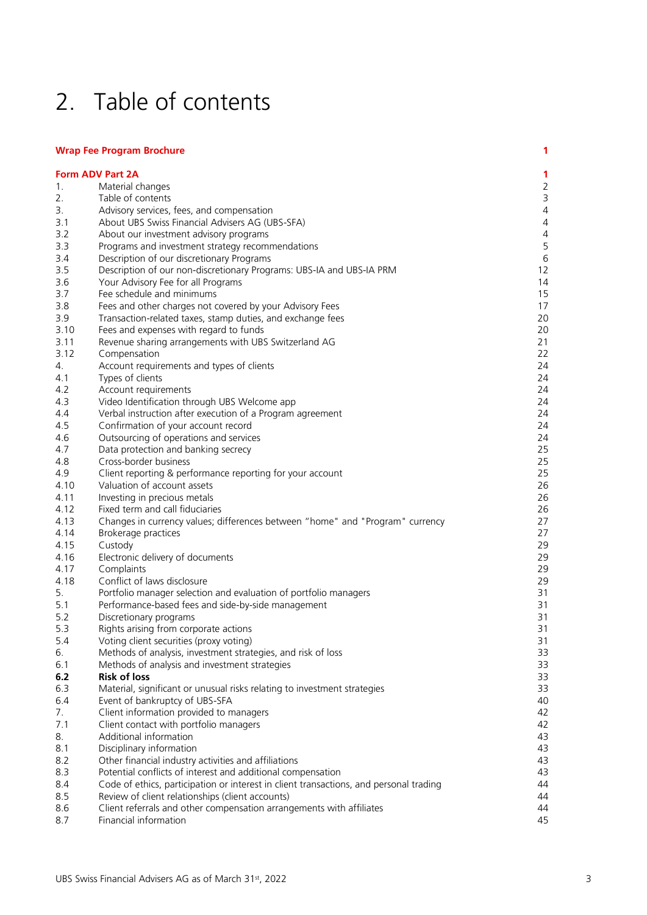# <span id="page-2-0"></span>2. Table of contents

# **[Wrap Fee Program Brochure](#page-0-0) 1**

|      | <b>Form ADV Part 2A</b>                                                                | 1              |
|------|----------------------------------------------------------------------------------------|----------------|
| 1.   | Material changes                                                                       | $\overline{2}$ |
| 2.   | Table of contents                                                                      | $\mathsf 3$    |
| 3.   | Advisory services, fees, and compensation                                              | $\overline{4}$ |
| 3.1  | About UBS Swiss Financial Advisers AG (UBS-SFA)                                        | $\overline{4}$ |
| 3.2  | About our investment advisory programs                                                 | $\overline{4}$ |
| 3.3  | Programs and investment strategy recommendations                                       | 5              |
| 3.4  | Description of our discretionary Programs                                              | $\sqrt{6}$     |
| 3.5  | Description of our non-discretionary Programs: UBS-IA and UBS-IA PRM                   | 12             |
| 3.6  | Your Advisory Fee for all Programs                                                     | 14             |
| 3.7  | Fee schedule and minimums                                                              | 15             |
| 3.8  | Fees and other charges not covered by your Advisory Fees                               | 17             |
| 3.9  | Transaction-related taxes, stamp duties, and exchange fees                             | 20             |
| 3.10 | Fees and expenses with regard to funds                                                 | 20             |
| 3.11 | Revenue sharing arrangements with UBS Switzerland AG                                   | 21             |
| 3.12 | Compensation                                                                           | 22             |
| 4.   | Account requirements and types of clients                                              | 24             |
| 4.1  | Types of clients                                                                       | 24             |
| 4.2  | Account requirements                                                                   | 24             |
| 4.3  | Video Identification through UBS Welcome app                                           | 24             |
| 4.4  | Verbal instruction after execution of a Program agreement                              | 24             |
| 4.5  | Confirmation of your account record                                                    | 24             |
| 4.6  | Outsourcing of operations and services                                                 | 24             |
| 4.7  | Data protection and banking secrecy                                                    | 25             |
| 4.8  | Cross-border business                                                                  | 25             |
| 4.9  | Client reporting & performance reporting for your account                              | 25             |
| 4.10 | Valuation of account assets                                                            | 26             |
| 4.11 | Investing in precious metals                                                           | 26             |
| 4.12 | Fixed term and call fiduciaries                                                        | 26             |
| 4.13 | Changes in currency values; differences between "home" and "Program" currency          | 27             |
| 4.14 | Brokerage practices                                                                    | 27             |
| 4.15 | Custody                                                                                | 29             |
| 4.16 | Electronic delivery of documents                                                       | 29             |
| 4.17 | Complaints                                                                             | 29             |
| 4.18 | Conflict of laws disclosure                                                            | 29             |
| 5.   | Portfolio manager selection and evaluation of portfolio managers                       | 31             |
| 5.1  | Performance-based fees and side-by-side management                                     | 31             |
| 5.2  | Discretionary programs                                                                 | 31             |
| 5.3  | Rights arising from corporate actions                                                  | 31             |
| 5.4  | Voting client securities (proxy voting)                                                | 31             |
| б.   | Methods of analysis, investment strategies, and risk of loss                           | 33             |
| 6.1  | Methods of analysis and investment strategies                                          | 33             |
| 6.2  | <b>Risk of loss</b>                                                                    | 33             |
| 6.3  | Material, significant or unusual risks relating to investment strategies               | 33             |
| 6.4  | Event of bankruptcy of UBS-SFA                                                         | 40             |
| 7.   | Client information provided to managers                                                | 42             |
| 7.1  | Client contact with portfolio managers                                                 | 42             |
| 8.   | Additional information                                                                 | 43             |
| 8.1  | Disciplinary information                                                               | 43             |
| 8.2  | Other financial industry activities and affiliations                                   | 43             |
| 8.3  | Potential conflicts of interest and additional compensation                            | 43             |
| 8.4  | Code of ethics, participation or interest in client transactions, and personal trading | 44             |
| 8.5  | Review of client relationships (client accounts)                                       | 44             |
| 8.6  | Client referrals and other compensation arrangements with affiliates                   | 44             |
| 8.7  | Financial information                                                                  | 45             |
|      |                                                                                        |                |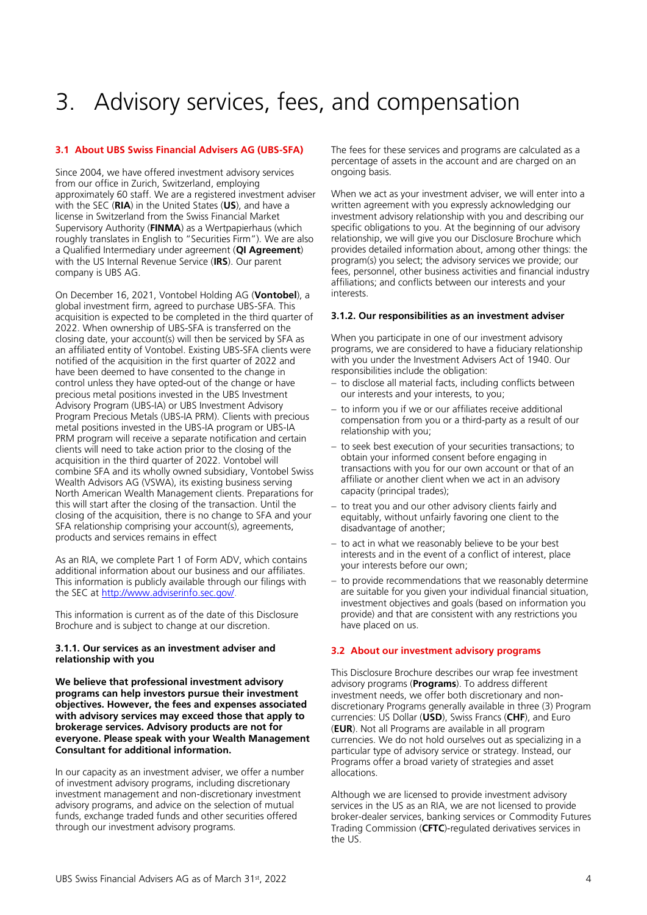# <span id="page-3-0"></span>3. Advisory services, fees, and compensation

# <span id="page-3-1"></span>**3.1 About UBS Swiss Financial Advisers AG (UBS-SFA)**

Since 2004, we have offered investment advisory services from our office in Zurich, Switzerland, employing approximately 60 staff. We are a registered investment adviser with the SEC (**RIA**) in the United States (**US**), and have a license in Switzerland from the Swiss Financial Market Supervisory Authority (**FINMA**) as a Wertpapierhaus (which roughly translates in English to "Securities Firm"). We are also a Qualified Intermediary under agreement (**QI Agreement**) with the US Internal Revenue Service (**IRS**). Our parent company is UBS AG.

On December 16, 2021, Vontobel Holding AG (**Vontobel**), a global investment firm, agreed to purchase UBS-SFA. This acquisition is expected to be completed in the third quarter of 2022. When ownership of UBS-SFA is transferred on the closing date, your account(s) will then be serviced by SFA as an affiliated entity of Vontobel. Existing UBS-SFA clients were notified of the acquisition in the first quarter of 2022 and have been deemed to have consented to the change in control unless they have opted-out of the change or have precious metal positions invested in the UBS Investment Advisory Program (UBS-IA) or UBS Investment Advisory Program Precious Metals (UBS-IA PRM). Clients with precious metal positions invested in the UBS-IA program or UBS-IA PRM program will receive a separate notification and certain clients will need to take action prior to the closing of the acquisition in the third quarter of 2022. Vontobel will combine SFA and its wholly owned subsidiary, Vontobel Swiss Wealth Advisors AG (VSWA), its existing business serving North American Wealth Management clients. Preparations for this will start after the closing of the transaction. Until the closing of the acquisition, there is no change to SFA and your SFA relationship comprising your account(s), agreements, products and services remains in effect

As an RIA, we complete Part 1 of Form ADV, which contains additional information about our business and our affiliates. This information is publicly available through our filings with the SEC a[t http://www.adviserinfo.sec.gov/.](http://www.adviserinfo.sec.gov/)

This information is current as of the date of this Disclosure Brochure and is subject to change at our discretion.

# **3.1.1. Our services as an investment adviser and relationship with you**

**We believe that professional investment advisory programs can help investors pursue their investment objectives. However, the fees and expenses associated with advisory services may exceed those that apply to brokerage services. Advisory products are not for everyone. Please speak with your Wealth Management Consultant for additional information.** 

In our capacity as an investment adviser, we offer a number of investment advisory programs, including discretionary investment management and non-discretionary investment advisory programs, and advice on the selection of mutual funds, exchange traded funds and other securities offered through our investment advisory programs.

The fees for these services and programs are calculated as a percentage of assets in the account and are charged on an ongoing basis.

When we act as your investment adviser, we will enter into a written agreement with you expressly acknowledging our investment advisory relationship with you and describing our specific obligations to you. At the beginning of our advisory relationship, we will give you our Disclosure Brochure which provides detailed information about, among other things: the program(s) you select; the advisory services we provide; our fees, personnel, other business activities and financial industry affiliations; and conflicts between our interests and your interests.

#### **3.1.2. Our responsibilities as an investment adviser**

When you participate in one of our investment advisory programs, we are considered to have a fiduciary relationship with you under the Investment Advisers Act of 1940. Our responsibilities include the obligation:

- − to disclose all material facts, including conflicts between our interests and your interests, to you;
- − to inform you if we or our affiliates receive additional compensation from you or a third-party as a result of our relationship with you;
- − to seek best execution of your securities transactions; to obtain your informed consent before engaging in transactions with you for our own account or that of an affiliate or another client when we act in an advisory capacity (principal trades);
- − to treat you and our other advisory clients fairly and equitably, without unfairly favoring one client to the disadvantage of another;
- − to act in what we reasonably believe to be your best interests and in the event of a conflict of interest, place your interests before our own;
- − to provide recommendations that we reasonably determine are suitable for you given your individual financial situation, investment objectives and goals (based on information you provide) and that are consistent with any restrictions you have placed on us.

#### <span id="page-3-2"></span>**3.2 About our investment advisory programs**

This Disclosure Brochure describes our wrap fee investment advisory programs (**Programs**). To address different investment needs, we offer both discretionary and nondiscretionary Programs generally available in three (3) Program currencies: US Dollar (**USD**), Swiss Francs (**CHF**), and Euro (**EUR**). Not all Programs are available in all program currencies. We do not hold ourselves out as specializing in a particular type of advisory service or strategy. Instead, our Programs offer a broad variety of strategies and asset allocations.

Although we are licensed to provide investment advisory services in the US as an RIA, we are not licensed to provide broker-dealer services, banking services or Commodity Futures Trading Commission (**CFTC**)-regulated derivatives services in the US.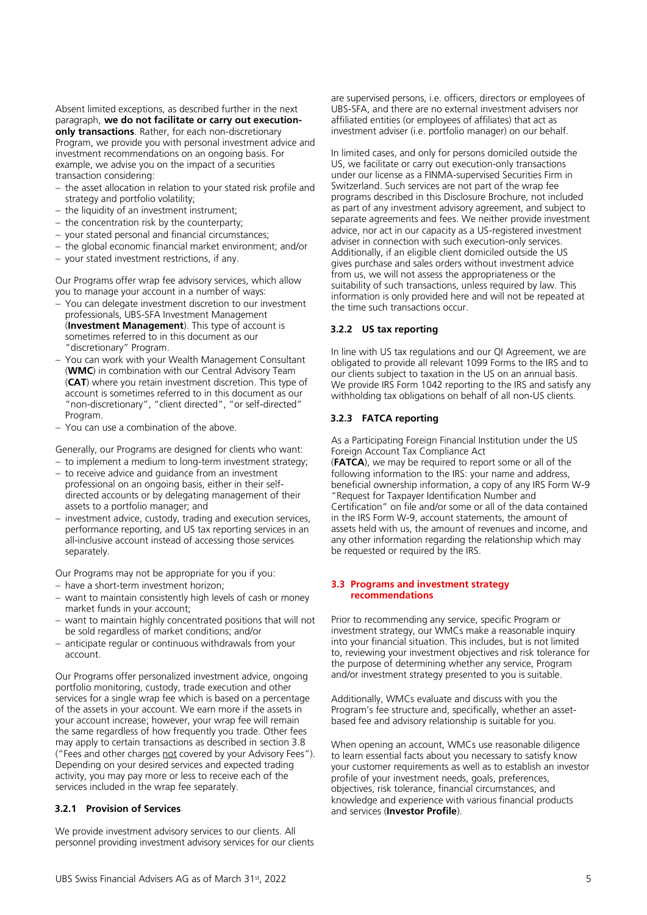Absent limited exceptions, as described further in the next paragraph, **we do not facilitate or carry out executiononly transactions**. Rather, for each non-discretionary Program, we provide you with personal investment advice and investment recommendations on an ongoing basis. For example, we advise you on the impact of a securities transaction considering:

- − the asset allocation in relation to your stated risk profile and strategy and portfolio volatility;
- − the liquidity of an investment instrument;
- − the concentration risk by the counterparty;
- − your stated personal and financial circumstances;
- − the global economic financial market environment; and/or
- − your stated investment restrictions, if any.

Our Programs offer wrap fee advisory services, which allow you to manage your account in a number of ways:

- − You can delegate investment discretion to our investment professionals, UBS-SFA Investment Management (**Investment Management**). This type of account is sometimes referred to in this document as our "discretionary" Program.
- − You can work with your Wealth Management Consultant (**WMC**) in combination with our Central Advisory Team (**CAT**) where you retain investment discretion. This type of account is sometimes referred to in this document as our "non-discretionary", "client directed", "or self-directed" Program
- − You can use a combination of the above.

Generally, our Programs are designed for clients who want:

- − to implement a medium to long-term investment strategy;
- − to receive advice and guidance from an investment professional on an ongoing basis, either in their selfdirected accounts or by delegating management of their assets to a portfolio manager; and
- − investment advice, custody, trading and execution services, performance reporting, and US tax reporting services in an all-inclusive account instead of accessing those services separately.

Our Programs may not be appropriate for you if you:

- − have a short-term investment horizon;
- − want to maintain consistently high levels of cash or money market funds in your account;
- want to maintain highly concentrated positions that will not be sold regardless of market conditions; and/or
- − anticipate regular or continuous withdrawals from your account.

Our Programs offer personalized investment advice, ongoing portfolio monitoring, custody, trade execution and other services for a single wrap fee which is based on a percentage of the assets in your account. We earn more if the assets in your account increase; however, your wrap fee will remain the same regardless of how frequently you trade. Other fees may apply to certain transactions as described in section 3.8 ("Fees and other charges not covered by your Advisory Fees"). Depending on your desired services and expected trading activity, you may pay more or less to receive each of the services included in the wrap fee separately.

# **3.2.1 Provision of Services**

We provide investment advisory services to our clients. All personnel providing investment advisory services for our clients

are supervised persons, i.e. officers, directors or employees of UBS-SFA, and there are no external investment advisers nor affiliated entities (or employees of affiliates) that act as investment adviser (i.e. portfolio manager) on our behalf.

In limited cases, and only for persons domiciled outside the US, we facilitate or carry out execution-only transactions under our license as a FINMA-supervised Securities Firm in Switzerland. Such services are not part of the wrap fee programs described in this Disclosure Brochure, not included as part of any investment advisory agreement, and subject to separate agreements and fees. We neither provide investment advice, nor act in our capacity as a US-registered investment adviser in connection with such execution-only services. Additionally, if an eligible client domiciled outside the US gives purchase and sales orders without investment advice from us, we will not assess the appropriateness or the suitability of such transactions, unless required by law. This information is only provided here and will not be repeated at the time such transactions occur.

# **3.2.2 US tax reporting**

In line with US tax regulations and our QI Agreement, we are obligated to provide all relevant 1099 Forms to the IRS and to our clients subject to taxation in the US on an annual basis. We provide IRS Form 1042 reporting to the IRS and satisfy any withholding tax obligations on behalf of all non-US clients.

# **3.2.3 FATCA reporting**

As a Participating Foreign Financial Institution under the US Foreign Account Tax Compliance Act

(**FATCA**), we may be required to report some or all of the following information to the IRS: your name and address, beneficial ownership information, a copy of any IRS Form W-9 "Request for Taxpayer Identification Number and Certification" on file and/or some or all of the data contained in the IRS Form W-9, account statements, the amount of assets held with us, the amount of revenues and income, and any other information regarding the relationship which may be requested or required by the IRS.

#### <span id="page-4-0"></span>**3.3 Programs and investment strategy recommendations**

Prior to recommending any service, specific Program or investment strategy, our WMCs make a reasonable inquiry into your financial situation. This includes, but is not limited to, reviewing your investment objectives and risk tolerance for the purpose of determining whether any service, Program and/or investment strategy presented to you is suitable.

Additionally, WMCs evaluate and discuss with you the Program's fee structure and, specifically, whether an assetbased fee and advisory relationship is suitable for you.

When opening an account, WMCs use reasonable diligence to learn essential facts about you necessary to satisfy know your customer requirements as well as to establish an investor profile of your investment needs, goals, preferences, objectives, risk tolerance, financial circumstances, and knowledge and experience with various financial products and services (**Investor Profile**).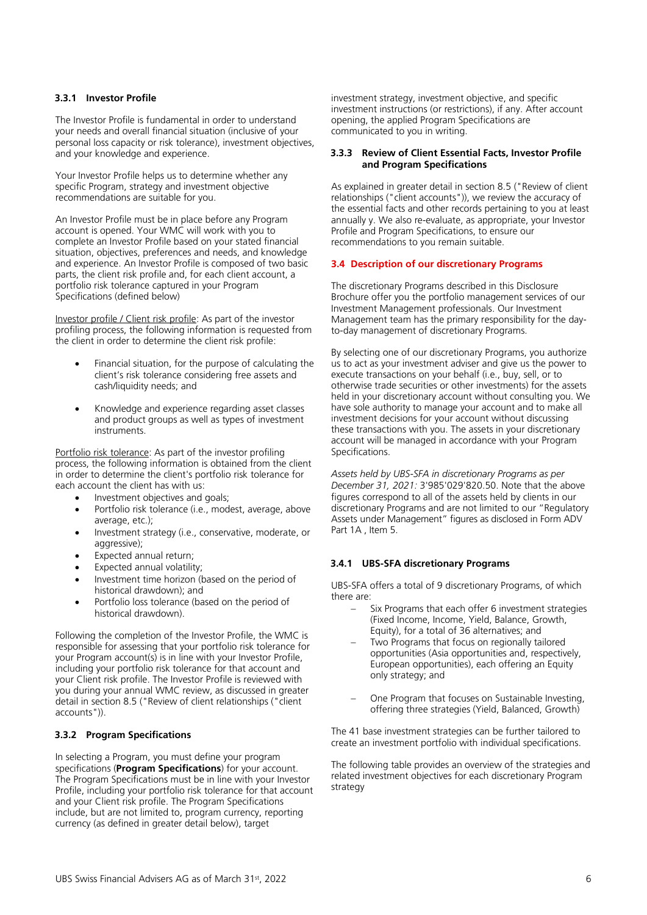# **3.3.1 Investor Profile**

The Investor Profile is fundamental in order to understand your needs and overall financial situation (inclusive of your personal loss capacity or risk tolerance), investment objectives, and your knowledge and experience.

Your Investor Profile helps us to determine whether any specific Program, strategy and investment objective recommendations are suitable for you.

An Investor Profile must be in place before any Program account is opened. Your WMC will work with you to complete an Investor Profile based on your stated financial situation, objectives, preferences and needs, and knowledge and experience. An Investor Profile is composed of two basic parts, the client risk profile and, for each client account, a portfolio risk tolerance captured in your Program Specifications (defined below)

Investor profile / Client risk profile: As part of the investor profiling process, the following information is requested from the client in order to determine the client risk profile:

- Financial situation, for the purpose of calculating the client's risk tolerance considering free assets and cash/liquidity needs; and
- Knowledge and experience regarding asset classes and product groups as well as types of investment instruments.

Portfolio risk tolerance: As part of the investor profiling process, the following information is obtained from the client in order to determine the client's portfolio risk tolerance for each account the client has with us:

- Investment objectives and goals;
- Portfolio risk tolerance (i.e., modest, average, above average, etc.);
- Investment strategy (i.e., conservative, moderate, or aggressive);
- Expected annual return;
- Expected annual volatility;
- Investment time horizon (based on the period of historical drawdown); and
- Portfolio loss tolerance (based on the period of historical drawdown).

Following the completion of the Investor Profile, the WMC is responsible for assessing that your portfolio risk tolerance for your Program account(s) is in line with your Investor Profile, including your portfolio risk tolerance for that account and your Client risk profile. The Investor Profile is reviewed with you during your annual WMC review, as discussed in greater detail in section 8.5 ("Review of client relationships ("client accounts")).

# **3.3.2 Program Specifications**

In selecting a Program, you must define your program specifications (**Program Specifications**) for your account. The Program Specifications must be in line with your Investor Profile, including your portfolio risk tolerance for that account and your Client risk profile. The Program Specifications include, but are not limited to, program currency, reporting currency (as defined in greater detail below), target

investment strategy, investment objective, and specific investment instructions (or restrictions), if any. After account opening, the applied Program Specifications are communicated to you in writing.

# **3.3.3 Review of Client Essential Facts, Investor Profile and Program Specifications**

As explained in greater detail in section 8.5 ("Review of client relationships ("client accounts")), we review the accuracy of the essential facts and other records pertaining to you at least annually y. We also re-evaluate, as appropriate, your Investor Profile and Program Specifications, to ensure our recommendations to you remain suitable.

# <span id="page-5-0"></span>**3.4 Description of our discretionary Programs**

The discretionary Programs described in this Disclosure Brochure offer you the portfolio management services of our Investment Management professionals. Our Investment Management team has the primary responsibility for the dayto-day management of discretionary Programs.

By selecting one of our discretionary Programs, you authorize us to act as your investment adviser and give us the power to execute transactions on your behalf (i.e., buy, sell, or to otherwise trade securities or other investments) for the assets held in your discretionary account without consulting you. We have sole authority to manage your account and to make all investment decisions for your account without discussing these transactions with you. The assets in your discretionary account will be managed in accordance with your Program Specifications.

*Assets held by UBS-SFA in discretionary Programs as per December 31, 2021:* 3'985'029'820.50. Note that the above figures correspond to all of the assets held by clients in our discretionary Programs and are not limited to our "Regulatory Assets under Management" figures as disclosed in Form ADV Part 1A , Item 5.

# **3.4.1 UBS-SFA discretionary Programs**

UBS-SFA offers a total of 9 discretionary Programs, of which there are:

- Six Programs that each offer 6 investment strategies (Fixed Income, Income, Yield, Balance, Growth, Equity), for a total of 36 alternatives; and
- Two Programs that focus on regionally tailored opportunities (Asia opportunities and, respectively, European opportunities), each offering an Equity only strategy; and
- − One Program that focuses on Sustainable Investing, offering three strategies (Yield, Balanced, Growth)

The 41 base investment strategies can be further tailored to create an investment portfolio with individual specifications.

The following table provides an overview of the strategies and related investment objectives for each discretionary Program strategy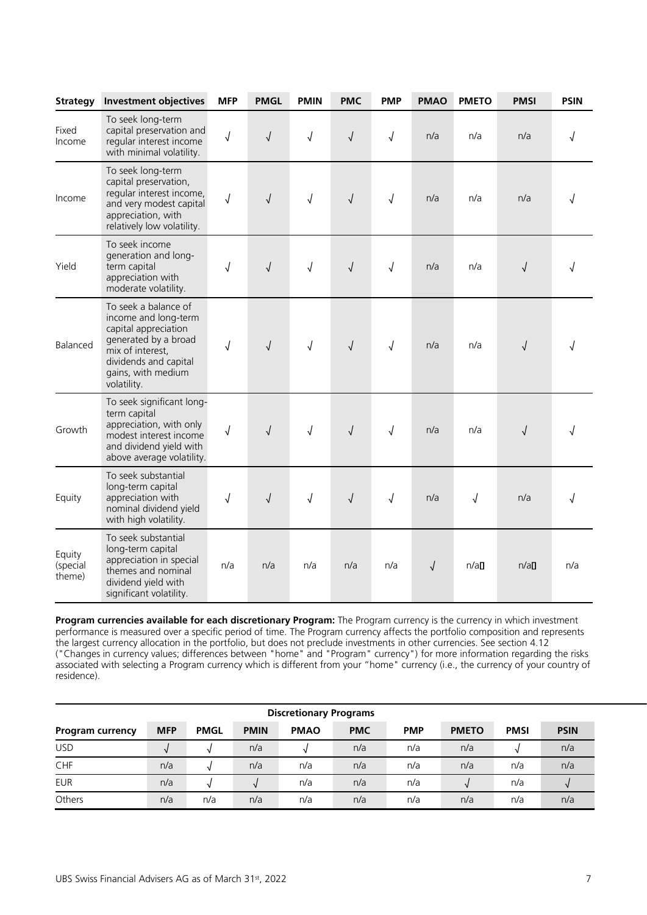| <b>Strategy</b>              | <b>Investment objectives</b>                                                                                                                                                   | <b>MFP</b> | <b>PMGL</b> | <b>PMIN</b> | <b>PMC</b> | <b>PMP</b> | <b>PMAO</b> | <b>PMETO</b> | <b>PMSI</b> | <b>PSIN</b> |
|------------------------------|--------------------------------------------------------------------------------------------------------------------------------------------------------------------------------|------------|-------------|-------------|------------|------------|-------------|--------------|-------------|-------------|
| Fixed<br>Income              | To seek long-term<br>capital preservation and<br>regular interest income<br>with minimal volatility.                                                                           | √          | $\sqrt{2}$  | $\sqrt{2}$  | $\sqrt{2}$ | √          | n/a         | n/a          | n/a         |             |
| Income                       | To seek long-term<br>capital preservation,<br>regular interest income,<br>and very modest capital<br>appreciation, with<br>relatively low volatility.                          | $\sqrt{2}$ | $\sqrt{2}$  | $\sqrt{ }$  | $\sqrt{2}$ | $\sqrt{2}$ | n/a         | n/a          | n/a         |             |
| Yield                        | To seek income<br>generation and long-<br>term capital<br>appreciation with<br>moderate volatility.                                                                            | $\sqrt{2}$ | $\sqrt{2}$  | $\sqrt{2}$  | $\sqrt{2}$ | $\sqrt{2}$ | n/a         | n/a          | $\sqrt{}$   |             |
| Balanced                     | To seek a balance of<br>income and long-term<br>capital appreciation<br>generated by a broad<br>mix of interest,<br>dividends and capital<br>gains, with medium<br>volatility. | $\sqrt{}$  | $\sqrt{2}$  | $\sqrt{2}$  | $\sqrt{2}$ | $\sqrt{2}$ | n/a         | n/a          | $\sqrt{}$   |             |
| Growth                       | To seek significant long-<br>term capital<br>appreciation, with only<br>modest interest income<br>and dividend yield with<br>above average volatility.                         | $\sqrt{2}$ | $\sqrt{2}$  | $\sqrt{ }$  | $\sqrt{2}$ | $\sqrt{2}$ | n/a         | n/a          | $\sqrt{}$   |             |
| Equity                       | To seek substantial<br>long-term capital<br>appreciation with<br>nominal dividend yield<br>with high volatility.                                                               | $\sqrt{ }$ | $\sqrt{2}$  | $\sqrt{ }$  | $\sqrt{2}$ | $\sqrt{2}$ | n/a         | $\sqrt{}$    | n/a         |             |
| Equity<br>(special<br>theme) | To seek substantial<br>long-term capital<br>appreciation in special<br>themes and nominal<br>dividend yield with<br>significant volatility.                                    | n/a        | n/a         | n/a         | n/a        | n/a        | $\sqrt{2}$  | n/a          | n/a         | n/a         |

**Program currencies available for each discretionary Program:** The Program currency is the currency in which investment performance is measured over a specific period of time. The Program currency affects the portfolio composition and represents the largest currency allocation in the portfolio, but does not preclude investments in other currencies. See section 4.12 ("Changes in currency values; differences between "home" and "Program" currency") for more information regarding the risks associated with selecting a Program currency which is different from your "home" currency (i.e., the currency of your country of residence).

| <b>Discretionary Programs</b> |            |             |             |             |            |            |              |             |             |
|-------------------------------|------------|-------------|-------------|-------------|------------|------------|--------------|-------------|-------------|
| Program currency              | <b>MFP</b> | <b>PMGL</b> | <b>PMIN</b> | <b>PMAO</b> | <b>PMC</b> | <b>PMP</b> | <b>PMETO</b> | <b>PMSI</b> | <b>PSIN</b> |
| <b>USD</b>                    |            |             | n/a         |             | n/a        | n/a        | n/a          |             | n/a         |
| CHF                           | n/a        |             | n/a         | n/a         | n/a        | n/a        | n/a          | n/a         | n/a         |
| <b>EUR</b>                    | n/a        |             |             | n/a         | n/a        | n/a        |              | n/a         |             |
| Others                        | n/a        | n/a         | n/a         | n/a         | n/a        | n/a        | n/a          | n/a         | n/a         |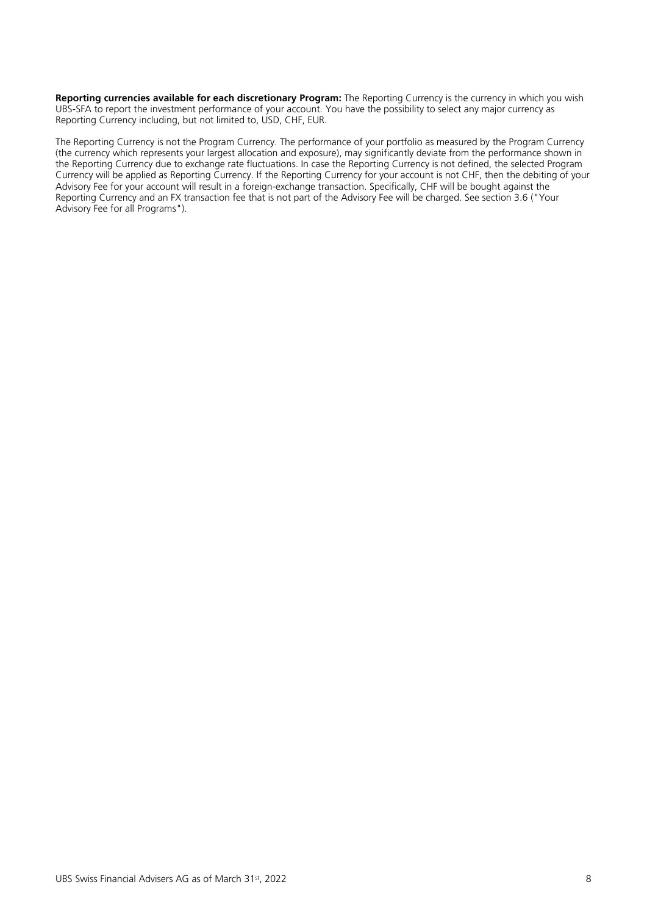**Reporting currencies available for each discretionary Program:** The Reporting Currency is the currency in which you wish UBS-SFA to report the investment performance of your account. You have the possibility to select any major currency as Reporting Currency including, but not limited to, USD, CHF, EUR.

The Reporting Currency is not the Program Currency. The performance of your portfolio as measured by the Program Currency (the currency which represents your largest allocation and exposure), may significantly deviate from the performance shown in the Reporting Currency due to exchange rate fluctuations. In case the Reporting Currency is not defined, the selected Program Currency will be applied as Reporting Currency. If the Reporting Currency for your account is not CHF, then the debiting of your Advisory Fee for your account will result in a foreign-exchange transaction. Specifically, CHF will be bought against the Reporting Currency and an FX transaction fee that is not part of the Advisory Fee will be charged. See section 3.6 ("Your Advisory Fee for all Programs").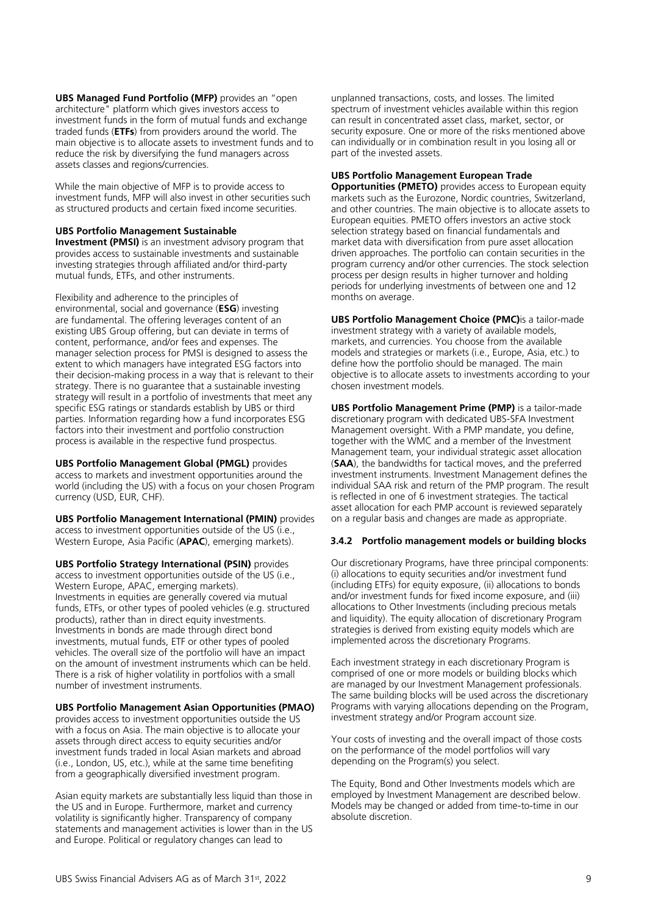**UBS Managed Fund Portfolio (MFP)** provides an "open architecture" platform which gives investors access to investment funds in the form of mutual funds and exchange traded funds (**ETFs**) from providers around the world. The main objective is to allocate assets to investment funds and to reduce the risk by diversifying the fund managers across assets classes and regions/currencies.

While the main objective of MFP is to provide access to investment funds, MFP will also invest in other securities such as structured products and certain fixed income securities.

# **UBS Portfolio Management Sustainable**

**Investment (PMSI)** is an investment advisory program that provides access to sustainable investments and sustainable investing strategies through affiliated and/or third-party mutual funds, ETFs, and other instruments.

Flexibility and adherence to the principles of environmental, social and governance (**ESG**) investing are fundamental. The offering leverages content of an existing UBS Group offering, but can deviate in terms of content, performance, and/or fees and expenses. The manager selection process for PMSI is designed to assess the extent to which managers have integrated ESG factors into their decision-making process in a way that is relevant to their strategy. There is no guarantee that a sustainable investing strategy will result in a portfolio of investments that meet any specific ESG ratings or standards establish by UBS or third parties. Information regarding how a fund incorporates ESG factors into their investment and portfolio construction process is available in the respective fund prospectus.

**UBS Portfolio Management Global (PMGL)** provides access to markets and investment opportunities around the world (including the US) with a focus on your chosen Program currency (USD, EUR, CHF).

**UBS Portfolio Management International (PMIN)** provides access to investment opportunities outside of the US (i.e., Western Europe, Asia Pacific (**APAC**), emerging markets).

**UBS Portfolio Strategy International (PSIN)** provides access to investment opportunities outside of the US (i.e., Western Europe, APAC, emerging markets). Investments in equities are generally covered via mutual funds, ETFs, or other types of pooled vehicles (e.g. structured products), rather than in direct equity investments. Investments in bonds are made through direct bond investments, mutual funds, ETF or other types of pooled vehicles. The overall size of the portfolio will have an impact on the amount of investment instruments which can be held. There is a risk of higher volatility in portfolios with a small number of investment instruments.

# **UBS Portfolio Management Asian Opportunities (PMAO)**

provides access to investment opportunities outside the US with a focus on Asia. The main objective is to allocate your assets through direct access to equity securities and/or investment funds traded in local Asian markets and abroad (i.e., London, US, etc.), while at the same time benefiting from a geographically diversified investment program.

Asian equity markets are substantially less liquid than those in the US and in Europe. Furthermore, market and currency volatility is significantly higher. Transparency of company statements and management activities is lower than in the US and Europe. Political or regulatory changes can lead to

unplanned transactions, costs, and losses. The limited spectrum of investment vehicles available within this region can result in concentrated asset class, market, sector, or security exposure. One or more of the risks mentioned above can individually or in combination result in you losing all or part of the invested assets.

# **UBS Portfolio Management European Trade**

**Opportunities (PMETO)** provides access to European equity markets such as the Eurozone, Nordic countries, Switzerland, and other countries. The main objective is to allocate assets to European equities. PMETO offers investors an active stock selection strategy based on financial fundamentals and market data with diversification from pure asset allocation driven approaches. The portfolio can contain securities in the program currency and/or other currencies. The stock selection process per design results in higher turnover and holding periods for underlying investments of between one and 12 months on average.

**UBS Portfolio Management Choice (PMC)**is a tailor-made investment strategy with a variety of available models, markets, and currencies. You choose from the available models and strategies or markets (i.e., Europe, Asia, etc.) to define how the portfolio should be managed. The main objective is to allocate assets to investments according to your chosen investment models.

**UBS Portfolio Management Prime (PMP)** is a tailor-made discretionary program with dedicated UBS-SFA Investment Management oversight. With a PMP mandate, you define, together with the WMC and a member of the Investment Management team, your individual strategic asset allocation (**SAA**), the bandwidths for tactical moves, and the preferred investment instruments. Investment Management defines the individual SAA risk and return of the PMP program. The result is reflected in one of 6 investment strategies. The tactical asset allocation for each PMP account is reviewed separately on a regular basis and changes are made as appropriate.

# **3.4.2 Portfolio management models or building blocks**

Our discretionary Programs, have three principal components: (i) allocations to equity securities and/or investment fund (including ETFs) for equity exposure, (ii) allocations to bonds and/or investment funds for fixed income exposure, and (iii) allocations to Other Investments (including precious metals and liquidity). The equity allocation of discretionary Program strategies is derived from existing equity models which are implemented across the discretionary Programs.

Each investment strategy in each discretionary Program is comprised of one or more models or building blocks which are managed by our Investment Management professionals. The same building blocks will be used across the discretionary Programs with varying allocations depending on the Program, investment strategy and/or Program account size.

Your costs of investing and the overall impact of those costs on the performance of the model portfolios will vary depending on the Program(s) you select.

The Equity, Bond and Other Investments models which are employed by Investment Management are described below. Models may be changed or added from time-to-time in our absolute discretion.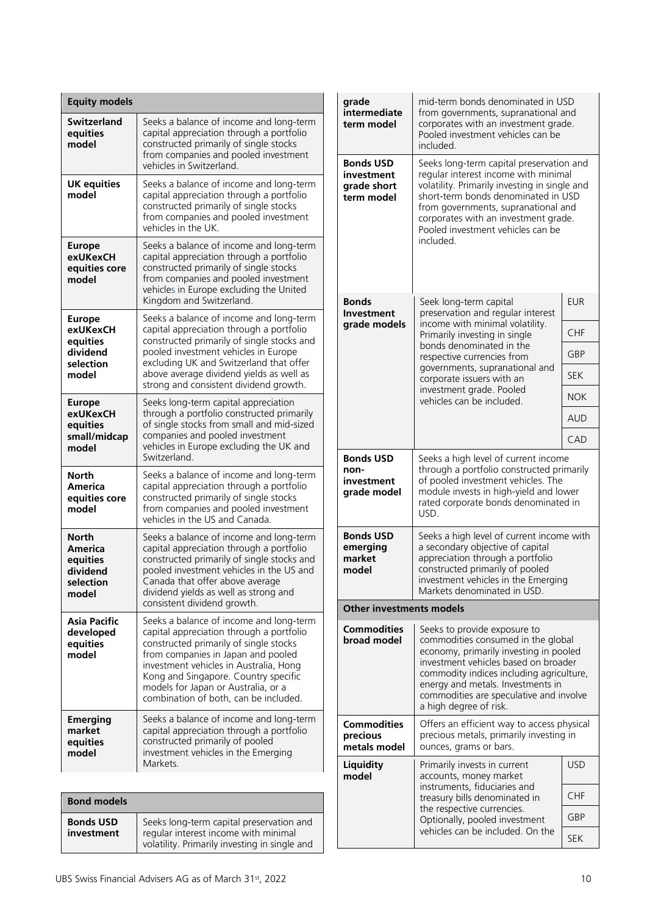| <b>Equity models</b>                                                    |                                                                                                                                                                                                                                                                                                                                       |
|-------------------------------------------------------------------------|---------------------------------------------------------------------------------------------------------------------------------------------------------------------------------------------------------------------------------------------------------------------------------------------------------------------------------------|
| <b>Switzerland</b><br>equities<br>model                                 | Seeks a balance of income and long-term<br>capital appreciation through a portfolio<br>constructed primarily of single stocks<br>from companies and pooled investment<br>vehicles in Switzerland.                                                                                                                                     |
| <b>UK equities</b><br>model                                             | Seeks a balance of income and long-term<br>capital appreciation through a portfolio<br>constructed primarily of single stocks<br>from companies and pooled investment<br>vehicles in the UK                                                                                                                                           |
| <b>Europe</b><br>exUKexCH<br>equities core<br>model                     | Seeks a balance of income and long-term<br>capital appreciation through a portfolio<br>constructed primarily of single stocks<br>from companies and pooled investment<br>vehicles in Europe excluding the United<br>Kingdom and Switzerland.                                                                                          |
| <b>Europe</b><br>exUKexCH<br>equities<br>dividend<br>selection<br>model | Seeks a balance of income and long-term<br>capital appreciation through a portfolio<br>constructed primarily of single stocks and<br>pooled investment vehicles in Europe<br>excluding UK and Switzerland that offer<br>above average dividend yields as well as<br>strong and consistent dividend growth.                            |
| <b>Europe</b><br>exUKexCH<br>equities<br>small/midcap<br>model          | Seeks long-term capital appreciation<br>through a portfolio constructed primarily<br>of single stocks from small and mid-sized<br>companies and pooled investment<br>vehicles in Europe excluding the UK and<br>Switzerland.                                                                                                          |
| North<br><b>America</b><br>equities core<br>model                       | Seeks a balance of income and long-term<br>capital appreciation through a portfolio<br>constructed primarily of single stocks<br>from companies and pooled investment<br>vehicles in the US and Canada.                                                                                                                               |
| <b>North</b><br>America<br>equities<br>dividend<br>selection<br>model   | Seeks a balance of income and long-term<br>capital appreciation through a portfolio<br>constructed primarily of single stocks and<br>pooled investment vehicles in the US and<br>Canada that offer above average<br>dividend yields as well as strong and<br>consistent dividend growth.                                              |
| Asia Pacific<br>developed<br>equities<br>model                          | Seeks a balance of income and long-term<br>capital appreciation through a portfolio<br>constructed primarily of single stocks<br>from companies in Japan and pooled<br>investment vehicles in Australia, Hong<br>Kong and Singapore. Country specific<br>models for Japan or Australia, or a<br>combination of both, can be included. |
| <b>Emerging</b><br>market<br>equities<br>model                          | Seeks a balance of income and long-term<br>capital appreciation through a portfolio<br>constructed primarily of pooled<br>investment vehicles in the Emerging<br>Markets.                                                                                                                                                             |

| <b>Bond models</b>             |                                                                                                                                   |
|--------------------------------|-----------------------------------------------------------------------------------------------------------------------------------|
| <b>Bonds USD</b><br>investment | Seeks long-term capital preservation and<br>regular interest income with minimal<br>volatility. Primarily investing in single and |

| grade<br>intermediate<br>term model                   | mid-term bonds denominated in USD<br>from governments, supranational and<br>corporates with an investment grade.<br>Pooled investment vehicles can be<br>included.                                                                                                                                         |            |  |  |  |  |
|-------------------------------------------------------|------------------------------------------------------------------------------------------------------------------------------------------------------------------------------------------------------------------------------------------------------------------------------------------------------------|------------|--|--|--|--|
| Bonds USD<br>investment<br>grade short<br>term model  | Seeks long-term capital preservation and<br>regular interest income with minimal<br>volatility. Primarily investing in single and<br>short-term bonds denominated in USD<br>from governments, supranational and<br>corporates with an investment grade.<br>Pooled investment vehicles can be<br>included.  |            |  |  |  |  |
| <b>Bonds</b><br><b>Investment</b>                     | Seek long-term capital<br>preservation and regular interest                                                                                                                                                                                                                                                | <b>EUR</b> |  |  |  |  |
| grade models                                          | income with minimal volatility.<br>Primarily investing in single                                                                                                                                                                                                                                           | <b>CHF</b> |  |  |  |  |
|                                                       | bonds denominated in the<br>respective currencies from                                                                                                                                                                                                                                                     | GBP        |  |  |  |  |
|                                                       | governments, supranational and<br>corporate issuers with an                                                                                                                                                                                                                                                | <b>SEK</b> |  |  |  |  |
|                                                       | investment grade. Pooled<br>vehicles can be included.                                                                                                                                                                                                                                                      |            |  |  |  |  |
|                                                       |                                                                                                                                                                                                                                                                                                            |            |  |  |  |  |
|                                                       |                                                                                                                                                                                                                                                                                                            | CAD        |  |  |  |  |
| <b>Bonds USD</b><br>non-<br>investment<br>grade model | Seeks a high level of current income<br>through a portfolio constructed primarily<br>of pooled investment vehicles. The<br>module invests in high-yield and lower<br>rated corporate bonds denominated in<br>USD.                                                                                          |            |  |  |  |  |
| <b>Bonds USD</b><br>emerging<br>market<br>model       | Seeks a high level of current income with<br>a secondary objective of capital<br>appreciation through a portfolio<br>constructed primarily of pooled<br>investment vehicles in the Emerging<br>Markets denominated in USD.                                                                                 |            |  |  |  |  |
| <b>Other investments models</b>                       |                                                                                                                                                                                                                                                                                                            |            |  |  |  |  |
| <b>Commodities</b><br>broad model                     | Seeks to provide exposure to<br>commodities consumed in the global<br>economy, primarily investing in pooled<br>investment vehicles based on broader<br>commodity indices including agriculture,<br>energy and metals. Investments in<br>commodities are speculative and involve<br>a high degree of risk. |            |  |  |  |  |
| Commodities<br>precious<br>metals model               | Offers an efficient way to access physical<br>precious metals, primarily investing in<br>ounces, grams or bars.                                                                                                                                                                                            |            |  |  |  |  |
| <b>Liquidity</b><br>model                             | Primarily invests in current<br>accounts, money market                                                                                                                                                                                                                                                     | <b>USD</b> |  |  |  |  |
|                                                       | instruments, fiduciaries and<br>treasury bills denominated in                                                                                                                                                                                                                                              | <b>CHF</b> |  |  |  |  |
|                                                       | the respective currencies.<br>Optionally, pooled investment                                                                                                                                                                                                                                                | GBP        |  |  |  |  |
|                                                       | vehicles can be included. On the                                                                                                                                                                                                                                                                           | <b>SEK</b> |  |  |  |  |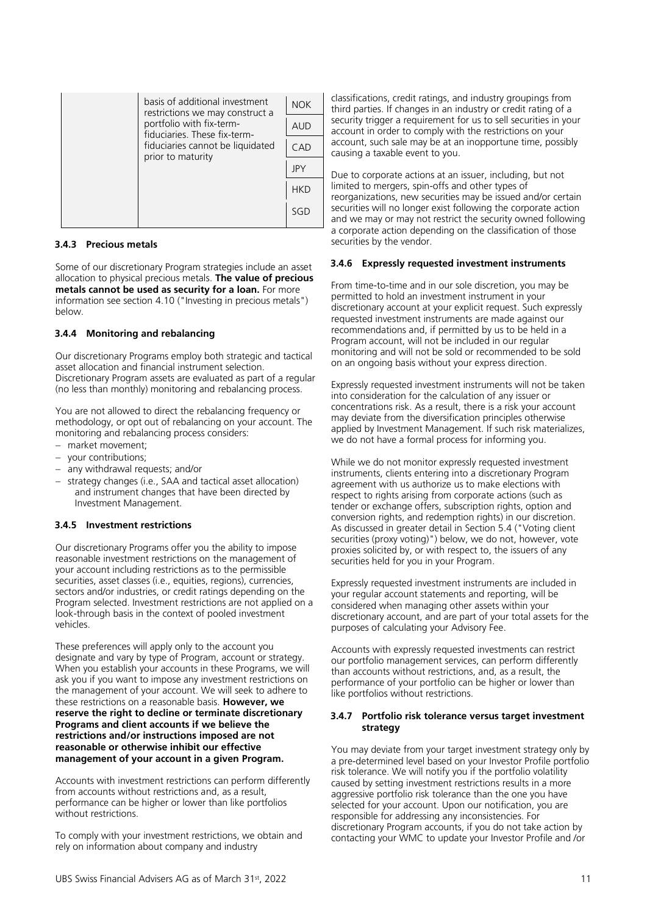|  | basis of additional investment<br>restrictions we may construct a                                                 | <b>NOK</b> |
|--|-------------------------------------------------------------------------------------------------------------------|------------|
|  | portfolio with fix-term-<br>fiduciaries. These fix-term-<br>fiduciaries cannot be liquidated<br>prior to maturity | <b>AUD</b> |
|  |                                                                                                                   | C A D      |
|  |                                                                                                                   | <b>JPY</b> |
|  |                                                                                                                   | <b>HKD</b> |
|  |                                                                                                                   | SGF        |

# **3.4.3 Precious metals**

Some of our discretionary Program strategies include an asset allocation to physical precious metals. **The value of precious metals cannot be used as security for a loan.** For more information see section 4.10 ("Investing in precious metals") below.

# **3.4.4 Monitoring and rebalancing**

Our discretionary Programs employ both strategic and tactical asset allocation and financial instrument selection. Discretionary Program assets are evaluated as part of a regular (no less than monthly) monitoring and rebalancing process.

You are not allowed to direct the rebalancing frequency or methodology, or opt out of rebalancing on your account. The monitoring and rebalancing process considers:

- − market movement;
- − your contributions;
- − any withdrawal requests; and/or
- − strategy changes (i.e., SAA and tactical asset allocation) and instrument changes that have been directed by Investment Management.

# **3.4.5 Investment restrictions**

Our discretionary Programs offer you the ability to impose reasonable investment restrictions on the management of your account including restrictions as to the permissible securities, asset classes (i.e., equities, regions), currencies, sectors and/or industries, or credit ratings depending on the Program selected. Investment restrictions are not applied on a look-through basis in the context of pooled investment vehicles.

These preferences will apply only to the account you designate and vary by type of Program, account or strategy. When you establish your accounts in these Programs, we will ask you if you want to impose any investment restrictions on the management of your account. We will seek to adhere to these restrictions on a reasonable basis. **However, we reserve the right to decline or terminate discretionary Programs and client accounts if we believe the restrictions and/or instructions imposed are not reasonable or otherwise inhibit our effective management of your account in a given Program.**

Accounts with investment restrictions can perform differently from accounts without restrictions and, as a result, performance can be higher or lower than like portfolios without restrictions.

To comply with your investment restrictions, we obtain and rely on information about company and industry

classifications, credit ratings, and industry groupings from third parties. If changes in an industry or credit rating of a security trigger a requirement for us to sell securities in your account in order to comply with the restrictions on your account, such sale may be at an inopportune time, possibly causing a taxable event to you.

Due to corporate actions at an issuer, including, but not limited to mergers, spin-offs and other types of reorganizations, new securities may be issued and/or certain securities will no longer exist following the corporate action and we may or may not restrict the security owned following a corporate action depending on the classification of those securities by the vendor.

# **3.4.6 Expressly requested investment instruments**

From time-to-time and in our sole discretion, you may be permitted to hold an investment instrument in your discretionary account at your explicit request. Such expressly requested investment instruments are made against our recommendations and, if permitted by us to be held in a Program account, will not be included in our regular monitoring and will not be sold or recommended to be sold on an ongoing basis without your express direction.

Expressly requested investment instruments will not be taken into consideration for the calculation of any issuer or concentrations risk. As a result, there is a risk your account may deviate from the diversification principles otherwise applied by Investment Management. If such risk materializes, we do not have a formal process for informing you.

While we do not monitor expressly requested investment instruments, clients entering into a discretionary Program agreement with us authorize us to make elections with respect to rights arising from corporate actions (such as tender or exchange offers, subscription rights, option and conversion rights, and redemption rights) in our discretion. As discussed in greater detail in Section 5.4 ("Voting client securities (proxy voting)") below, we do not, however, vote proxies solicited by, or with respect to, the issuers of any securities held for you in your Program.

Expressly requested investment instruments are included in your regular account statements and reporting, will be considered when managing other assets within your discretionary account, and are part of your total assets for the purposes of calculating your Advisory Fee.

Accounts with expressly requested investments can restrict our portfolio management services, can perform differently than accounts without restrictions, and, as a result, the performance of your portfolio can be higher or lower than like portfolios without restrictions.

# **3.4.7 Portfolio risk tolerance versus target investment strategy**

You may deviate from your target investment strategy only by a pre-determined level based on your Investor Profile portfolio risk tolerance. We will notify you if the portfolio volatility caused by setting investment restrictions results in a more aggressive portfolio risk tolerance than the one you have selected for your account. Upon our notification, you are responsible for addressing any inconsistencies. For discretionary Program accounts, if you do not take action by contacting your WMC to update your Investor Profile and /or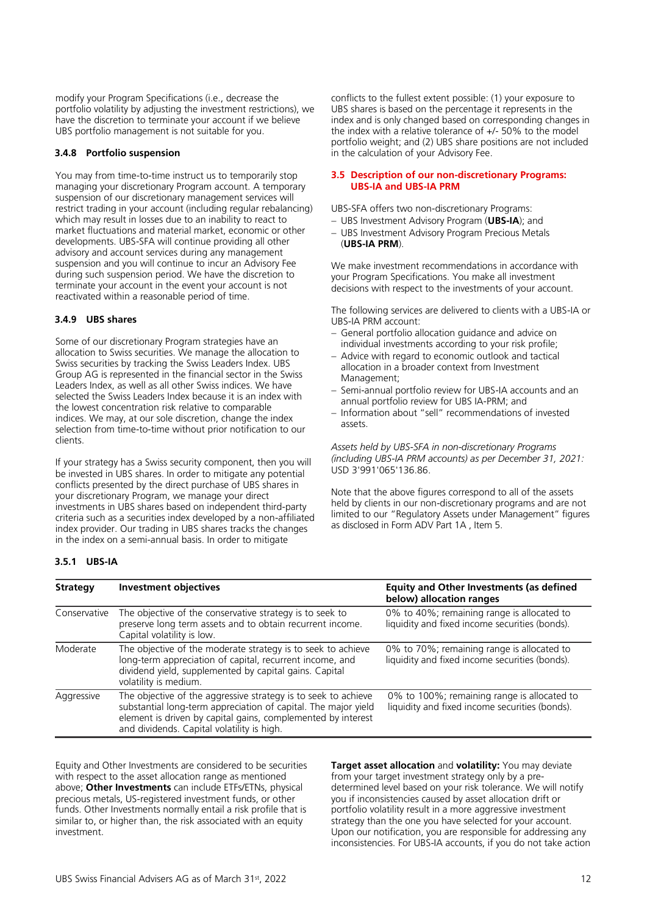modify your Program Specifications (i.e., decrease the portfolio volatility by adjusting the investment restrictions), we have the discretion to terminate your account if we believe UBS portfolio management is not suitable for you.

# **3.4.8 Portfolio suspension**

You may from time-to-time instruct us to temporarily stop managing your discretionary Program account. A temporary suspension of our discretionary management services will restrict trading in your account (including regular rebalancing) which may result in losses due to an inability to react to market fluctuations and material market, economic or other developments. UBS-SFA will continue providing all other advisory and account services during any management suspension and you will continue to incur an Advisory Fee during such suspension period. We have the discretion to terminate your account in the event your account is not reactivated within a reasonable period of time.

# **3.4.9 UBS shares**

Some of our discretionary Program strategies have an allocation to Swiss securities. We manage the allocation to Swiss securities by tracking the Swiss Leaders Index. UBS Group AG is represented in the financial sector in the Swiss Leaders Index, as well as all other Swiss indices. We have selected the Swiss Leaders Index because it is an index with the lowest concentration risk relative to comparable indices. We may, at our sole discretion, change the index selection from time-to-time without prior notification to our clients.

If your strategy has a Swiss security component, then you will be invested in UBS shares. In order to mitigate any potential conflicts presented by the direct purchase of UBS shares in your discretionary Program, we manage your direct investments in UBS shares based on independent third-party criteria such as a securities index developed by a non-affiliated index provider. Our trading in UBS shares tracks the changes in the index on a semi-annual basis. In order to mitigate

conflicts to the fullest extent possible: (1) your exposure to UBS shares is based on the percentage it represents in the index and is only changed based on corresponding changes in the index with a relative tolerance of +/- 50% to the model portfolio weight; and (2) UBS share positions are not included in the calculation of your Advisory Fee.

#### <span id="page-11-0"></span>**3.5 Description of our non-discretionary Programs: UBS-IA and UBS-IA PRM**

UBS-SFA offers two non-discretionary Programs:

- − UBS Investment Advisory Program (**UBS-IA**); and
- − UBS Investment Advisory Program Precious Metals (**UBS-IA PRM**).

We make investment recommendations in accordance with your Program Specifications. You make all investment decisions with respect to the investments of your account.

The following services are delivered to clients with a UBS-IA or UBS-IA PRM account:

- − General portfolio allocation guidance and advice on individual investments according to your risk profile;
- − Advice with regard to economic outlook and tactical allocation in a broader context from Investment Management;
- − Semi-annual portfolio review for UBS-IA accounts and an annual portfolio review for UBS IA-PRM; and
- − Information about "sell" recommendations of invested assets.

*Assets held by UBS-SFA in non-discretionary Programs (including UBS-IA PRM accounts) as per December 31, 2021:*  USD 3'991'065'136.86.

Note that the above figures correspond to all of the assets held by clients in our non-discretionary programs and are not limited to our "Regulatory Assets under Management" figures as disclosed in Form ADV Part 1A , Item 5.

# **3.5.1 UBS-IA**

| <b>Strategy</b> | <b>Investment objectives</b>                                                                                                                                                                                                                   | <b>Equity and Other Investments (as defined</b><br>below) allocation ranges                   |
|-----------------|------------------------------------------------------------------------------------------------------------------------------------------------------------------------------------------------------------------------------------------------|-----------------------------------------------------------------------------------------------|
| Conservative    | The objective of the conservative strategy is to seek to<br>preserve long term assets and to obtain recurrent income.<br>Capital volatility is low.                                                                                            | 0% to 40%; remaining range is allocated to<br>liquidity and fixed income securities (bonds).  |
| Moderate        | The objective of the moderate strategy is to seek to achieve<br>long-term appreciation of capital, recurrent income, and<br>dividend yield, supplemented by capital gains. Capital<br>volatility is medium.                                    | 0% to 70%; remaining range is allocated to<br>liquidity and fixed income securities (bonds).  |
| Aggressive      | The objective of the aggressive strategy is to seek to achieve<br>substantial long-term appreciation of capital. The major yield<br>element is driven by capital gains, complemented by interest<br>and dividends. Capital volatility is high. | 0% to 100%; remaining range is allocated to<br>liquidity and fixed income securities (bonds). |

Equity and Other Investments are considered to be securities with respect to the asset allocation range as mentioned above; **Other Investments** can include ETFs/ETNs, physical precious metals, US-registered investment funds, or other funds. Other Investments normally entail a risk profile that is similar to, or higher than, the risk associated with an equity investment.

**Target asset allocation** and **volatility:** You may deviate from your target investment strategy only by a predetermined level based on your risk tolerance. We will notify you if inconsistencies caused by asset allocation drift or portfolio volatility result in a more aggressive investment strategy than the one you have selected for your account. Upon our notification, you are responsible for addressing any inconsistencies. For UBS-IA accounts, if you do not take action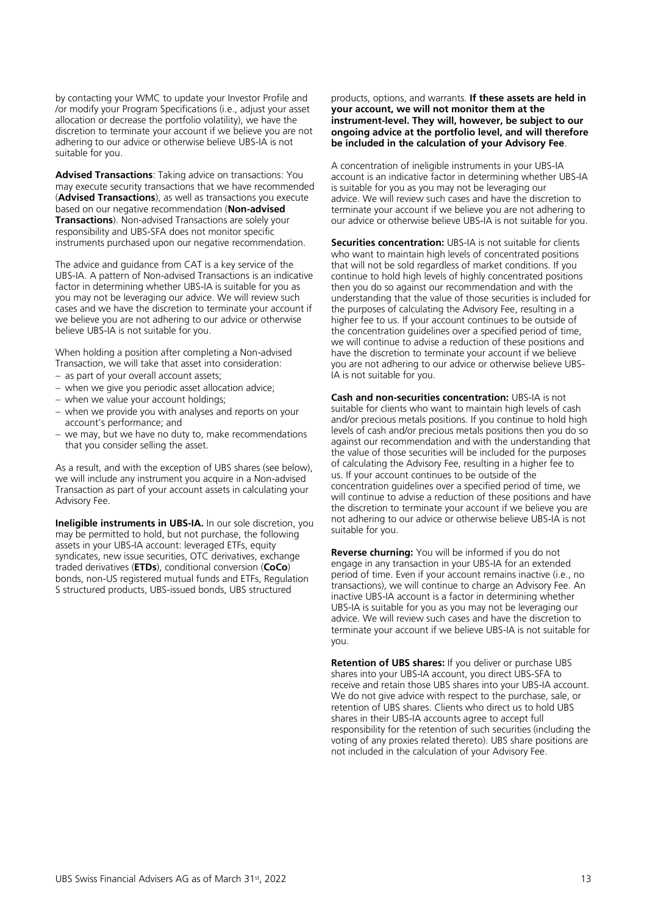by contacting your WMC to update your Investor Profile and /or modify your Program Specifications (i.e., adjust your asset allocation or decrease the portfolio volatility), we have the discretion to terminate your account if we believe you are not adhering to our advice or otherwise believe UBS-IA is not suitable for you.

**Advised Transactions**: Taking advice on transactions: You may execute security transactions that we have recommended (**Advised Transactions**), as well as transactions you execute based on our negative recommendation (**Non-advised Transactions**). Non-advised Transactions are solely your responsibility and UBS-SFA does not monitor specific instruments purchased upon our negative recommendation.

The advice and guidance from CAT is a key service of the UBS-IA. A pattern of Non-advised Transactions is an indicative factor in determining whether UBS-IA is suitable for you as you may not be leveraging our advice. We will review such cases and we have the discretion to terminate your account if we believe you are not adhering to our advice or otherwise believe UBS-IA is not suitable for you.

When holding a position after completing a Non-advised Transaction, we will take that asset into consideration:

- − as part of your overall account assets;
- − when we give you periodic asset allocation advice;
- − when we value your account holdings;
- − when we provide you with analyses and reports on your account's performance; and
- − we may, but we have no duty to, make recommendations that you consider selling the asset.

As a result, and with the exception of UBS shares (see below), we will include any instrument you acquire in a Non-advised Transaction as part of your account assets in calculating your Advisory Fee.

**Ineligible instruments in UBS-IA.** In our sole discretion, you may be permitted to hold, but not purchase, the following assets in your UBS-IA account: leveraged ETFs, equity syndicates, new issue securities, OTC derivatives, exchange traded derivatives (**ETDs**), conditional conversion (**CoCo**) bonds, non-US registered mutual funds and ETFs, Regulation S structured products, UBS-issued bonds, UBS structured

#### products, options, and warrants. **If these assets are held in your account, we will not monitor them at the instrument-level. They will, however, be subject to our ongoing advice at the portfolio level, and will therefore be included in the calculation of your Advisory Fee**.

A concentration of ineligible instruments in your UBS-IA account is an indicative factor in determining whether UBS-IA is suitable for you as you may not be leveraging our advice. We will review such cases and have the discretion to terminate your account if we believe you are not adhering to our advice or otherwise believe UBS-IA is not suitable for you.

**Securities concentration:** UBS-IA is not suitable for clients who want to maintain high levels of concentrated positions that will not be sold regardless of market conditions. If you continue to hold high levels of highly concentrated positions then you do so against our recommendation and with the understanding that the value of those securities is included for the purposes of calculating the Advisory Fee, resulting in a higher fee to us. If your account continues to be outside of the concentration guidelines over a specified period of time, we will continue to advise a reduction of these positions and have the discretion to terminate your account if we believe you are not adhering to our advice or otherwise believe UBS-IA is not suitable for you.

**Cash and non-securities concentration:** UBS-IA is not suitable for clients who want to maintain high levels of cash and/or precious metals positions. If you continue to hold high levels of cash and/or precious metals positions then you do so against our recommendation and with the understanding that the value of those securities will be included for the purposes of calculating the Advisory Fee, resulting in a higher fee to us. If your account continues to be outside of the concentration guidelines over a specified period of time, we will continue to advise a reduction of these positions and have the discretion to terminate your account if we believe you are not adhering to our advice or otherwise believe UBS-IA is not suitable for you.

**Reverse churning:** You will be informed if you do not engage in any transaction in your UBS-IA for an extended period of time. Even if your account remains inactive (i.e., no transactions), we will continue to charge an Advisory Fee. An inactive UBS-IA account is a factor in determining whether UBS-IA is suitable for you as you may not be leveraging our advice. We will review such cases and have the discretion to terminate your account if we believe UBS-IA is not suitable for you.

**Retention of UBS shares:** If you deliver or purchase UBS shares into your UBS-IA account, you direct UBS-SFA to receive and retain those UBS shares into your UBS-IA account. We do not give advice with respect to the purchase, sale, or retention of UBS shares. Clients who direct us to hold UBS shares in their UBS-IA accounts agree to accept full responsibility for the retention of such securities (including the voting of any proxies related thereto). UBS share positions are not included in the calculation of your Advisory Fee.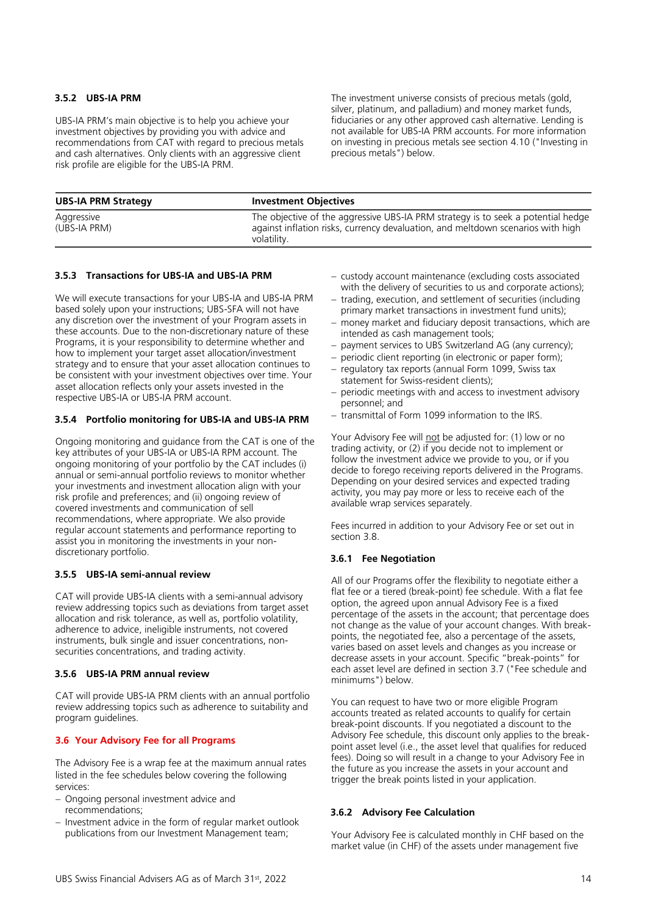# **3.5.2 UBS-IA PRM**

UBS-IA PRM's main objective is to help you achieve your investment objectives by providing you with advice and recommendations from CAT with regard to precious metals and cash alternatives. Only clients with an aggressive client risk profile are eligible for the UBS-IA PRM.

The investment universe consists of precious metals (gold, silver, platinum, and palladium) and money market funds, fiduciaries or any other approved cash alternative. Lending is not available for UBS-IA PRM accounts. For more information on investing in precious metals see section 4.10 ("Investing in precious metals") below.

| <b>UBS-IA PRM Strategy</b> | <b>Investment Objectives</b>                                                                                                                                                       |
|----------------------------|------------------------------------------------------------------------------------------------------------------------------------------------------------------------------------|
| Aggressive<br>(UBS-IA PRM) | The objective of the aggressive UBS-IA PRM strategy is to seek a potential hedge<br>against inflation risks, currency devaluation, and meltdown scenarios with high<br>volatility. |

# **3.5.3 Transactions for UBS-IA and UBS-IA PRM**

We will execute transactions for your UBS-IA and UBS-IA PRM based solely upon your instructions; UBS-SFA will not have any discretion over the investment of your Program assets in these accounts. Due to the non-discretionary nature of these Programs, it is your responsibility to determine whether and how to implement your target asset allocation/investment strategy and to ensure that your asset allocation continues to be consistent with your investment objectives over time. Your asset allocation reflects only your assets invested in the respective UBS-IA or UBS-IA PRM account.

# **3.5.4 Portfolio monitoring for UBS-IA and UBS-IA PRM**

Ongoing monitoring and guidance from the CAT is one of the key attributes of your UBS-IA or UBS-IA RPM account. The ongoing monitoring of your portfolio by the CAT includes (i) annual or semi-annual portfolio reviews to monitor whether your investments and investment allocation align with your risk profile and preferences; and (ii) ongoing review of covered investments and communication of sell recommendations, where appropriate. We also provide regular account statements and performance reporting to assist you in monitoring the investments in your nondiscretionary portfolio.

# **3.5.5 UBS-IA semi-annual review**

CAT will provide UBS-IA clients with a semi-annual advisory review addressing topics such as deviations from target asset allocation and risk tolerance, as well as, portfolio volatility, adherence to advice, ineligible instruments, not covered instruments, bulk single and issuer concentrations, nonsecurities concentrations, and trading activity.

# **3.5.6 UBS-IA PRM annual review**

CAT will provide UBS-IA PRM clients with an annual portfolio review addressing topics such as adherence to suitability and program guidelines.

# <span id="page-13-0"></span>**3.6 Your Advisory Fee for all Programs**

The Advisory Fee is a wrap fee at the maximum annual rates listed in the fee schedules below covering the following services:

- − Ongoing personal investment advice and recommendations;
- − Investment advice in the form of regular market outlook publications from our Investment Management team;
- − custody account maintenance (excluding costs associated with the delivery of securities to us and corporate actions);
- − trading, execution, and settlement of securities (including primary market transactions in investment fund units);
- − money market and fiduciary deposit transactions, which are intended as cash management tools;
- − payment services to UBS Switzerland AG (any currency);
- − periodic client reporting (in electronic or paper form);
- − regulatory tax reports (annual Form 1099, Swiss tax statement for Swiss-resident clients);
- − periodic meetings with and access to investment advisory personnel; and
- − transmittal of Form 1099 information to the IRS.

Your Advisory Fee will not be adjusted for: (1) low or no trading activity, or (2) if you decide not to implement or follow the investment advice we provide to you, or if you decide to forego receiving reports delivered in the Programs. Depending on your desired services and expected trading activity, you may pay more or less to receive each of the available wrap services separately.

Fees incurred in addition to your Advisory Fee or set out in section 3.8.

# **3.6.1 Fee Negotiation**

All of our Programs offer the flexibility to negotiate either a flat fee or a tiered (break-point) fee schedule. With a flat fee option, the agreed upon annual Advisory Fee is a fixed percentage of the assets in the account; that percentage does not change as the value of your account changes. With breakpoints, the negotiated fee, also a percentage of the assets, varies based on asset levels and changes as you increase or decrease assets in your account. Specific "break-points" for each asset level are defined in section 3.7 ("Fee schedule and minimums") below.

You can request to have two or more eligible Program accounts treated as related accounts to qualify for certain break-point discounts. If you negotiated a discount to the Advisory Fee schedule, this discount only applies to the breakpoint asset level (i.e., the asset level that qualifies for reduced fees). Doing so will result in a change to your Advisory Fee in the future as you increase the assets in your account and trigger the break points listed in your application.

# **3.6.2 Advisory Fee Calculation**

Your Advisory Fee is calculated monthly in CHF based on the market value (in CHF) of the assets under management five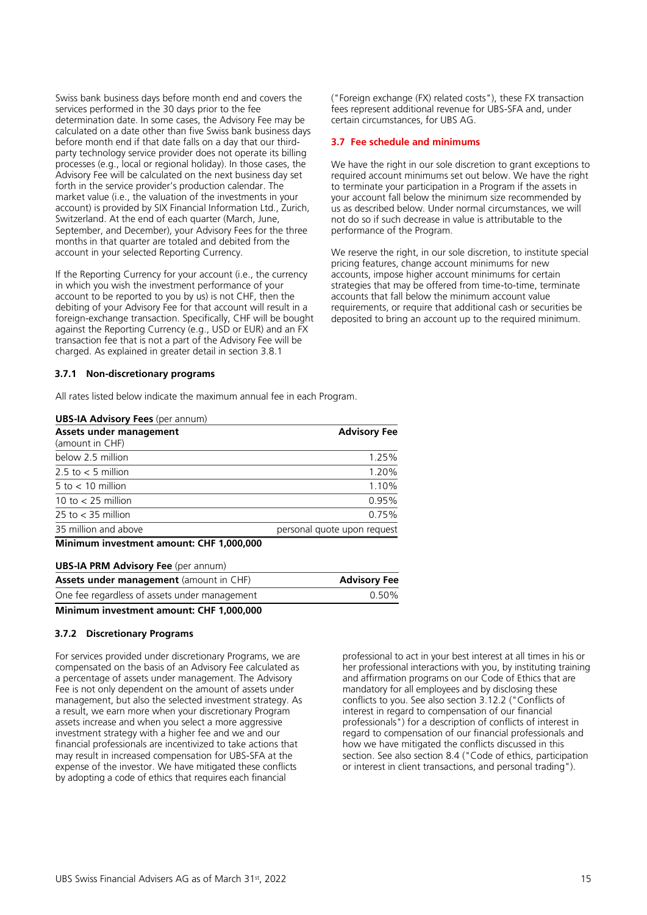Swiss bank business days before month end and covers the services performed in the 30 days prior to the fee determination date. In some cases, the Advisory Fee may be calculated on a date other than five Swiss bank business days before month end if that date falls on a day that our thirdparty technology service provider does not operate its billing processes (e.g., local or regional holiday). In those cases, the Advisory Fee will be calculated on the next business day set forth in the service provider's production calendar. The market value (i.e., the valuation of the investments in your account) is provided by SIX Financial Information Ltd., Zurich, Switzerland. At the end of each quarter (March, June, September, and December), your Advisory Fees for the three months in that quarter are totaled and debited from the account in your selected Reporting Currency.

If the Reporting Currency for your account (i.e., the currency in which you wish the investment performance of your account to be reported to you by us) is not CHF, then the debiting of your Advisory Fee for that account will result in a foreign-exchange transaction. Specifically, CHF will be bought against the Reporting Currency (e.g., USD or EUR) and an FX transaction fee that is not a part of the Advisory Fee will be charged. As explained in greater detail in section 3.8.1

# **3.7.1 Non-discretionary programs**

All rates listed below indicate the maximum annual fee in each Program.

#### **UBS-IA Advisory Fees** (per annum)

| Assets under management<br>(amount in CHF) | <b>Advisory Fee</b>         |
|--------------------------------------------|-----------------------------|
| below 2.5 million                          | 1.25%                       |
| 2.5 to $<$ 5 million                       | 1.20%                       |
| $5$ to $< 10$ million                      | 1.10%                       |
| 10 to $<$ 25 million                       | 0.95%                       |
| 25 to $<$ 35 million                       | 0.75%                       |
| 35 million and above                       | personal quote upon request |
| $\mathbf{r}$                               |                             |

**Minimum investment amount: CHF 1,000,000**

| <b>UBS-IA PRM Advisory Fee</b> (per annum)     |                     |  |  |  |  |
|------------------------------------------------|---------------------|--|--|--|--|
| <b>Assets under management</b> (amount in CHF) | <b>Advisory Fee</b> |  |  |  |  |
| One fee regardless of assets under management  | 0.50%               |  |  |  |  |
| Minimum investment amount: CHF 1.000.000       |                     |  |  |  |  |

# **3.7.2 Discretionary Programs**

For services provided under discretionary Programs, we are compensated on the basis of an Advisory Fee calculated as a percentage of assets under management. The Advisory Fee is not only dependent on the amount of assets under management, but also the selected investment strategy. As a result, we earn more when your discretionary Program assets increase and when you select a more aggressive investment strategy with a higher fee and we and our financial professionals are incentivized to take actions that may result in increased compensation for UBS-SFA at the expense of the investor. We have mitigated these conflicts by adopting a code of ethics that requires each financial

professional to act in your best interest at all times in his or her professional interactions with you, by instituting training and affirmation programs on our Code of Ethics that are mandatory for all employees and by disclosing these conflicts to you. See also section 3.12.2 ("Conflicts of interest in regard to compensation of our financial professionals") for a description of conflicts of interest in regard to compensation of our financial professionals and how we have mitigated the conflicts discussed in this section. See also section 8.4 ("Code of ethics, participation or interest in client transactions, and personal trading").

("Foreign exchange (FX) related costs"), these FX transaction fees represent additional revenue for UBS-SFA and, under certain circumstances, for UBS AG.

# <span id="page-14-0"></span>**3.7 Fee schedule and minimums**

We have the right in our sole discretion to grant exceptions to required account minimums set out below. We have the right to terminate your participation in a Program if the assets in your account fall below the minimum size recommended by us as described below. Under normal circumstances, we will not do so if such decrease in value is attributable to the performance of the Program.

We reserve the right, in our sole discretion, to institute special pricing features, change account minimums for new accounts, impose higher account minimums for certain strategies that may be offered from time-to-time, terminate accounts that fall below the minimum account value requirements, or require that additional cash or securities be deposited to bring an account up to the required minimum.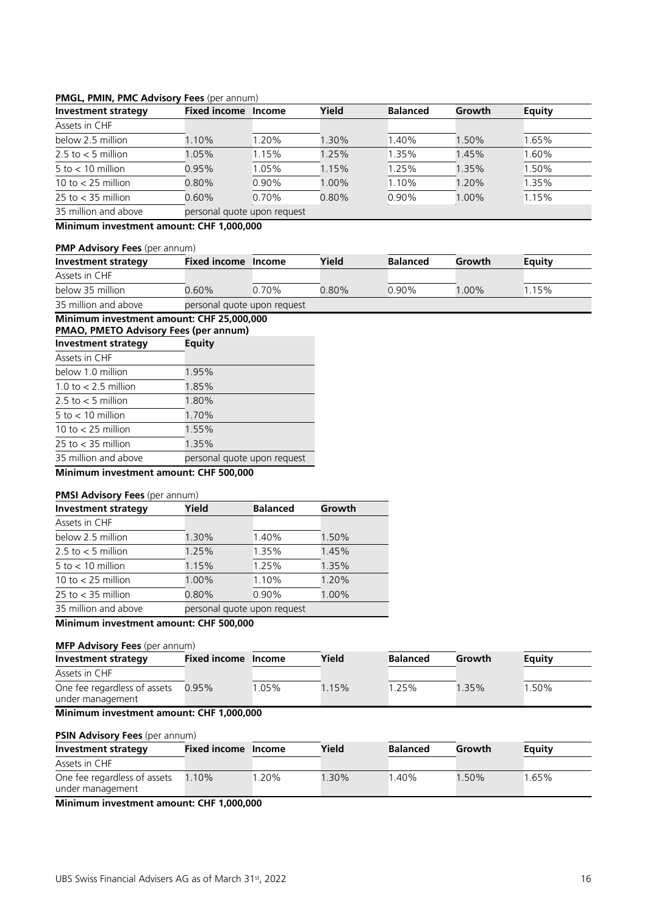# **PMGL, PMIN, PMC Advisory Fees** (per annum)

| Investment strategy   | <b>Fixed income</b>         | <b>Income</b> | Yield    | <b>Balanced</b> | Growth  | <b>Equity</b> |
|-----------------------|-----------------------------|---------------|----------|-----------------|---------|---------------|
| Assets in CHF         |                             |               |          |                 |         |               |
| below 2.5 million     | $.10\%$                     | 1.20%         | 1.30%    | 1.40%           | 1.50%   | 1.65%         |
| 2.5 to $<$ 5 million  | l.05%                       | 1.15%         | 1.25%    | 1.35%           | 1.45%   | .60%          |
| $5$ to $< 10$ million | 0.95%                       | 1.05%         | 1.15%    | 1.25%           | 1.35%   | l.50%         |
| 10 to $<$ 25 million  | $0.80\%$                    | $0.90\%$      | 1.00%    | 1.10%           | $.20\%$ | 1.35%         |
| 25 to $<$ 35 million  | $0.60\%$                    | 0.70%         | $0.80\%$ | 0.90%           | 1.00%   | 1.15%         |
| 35 million and above  | personal quote upon request |               |          |                 |         |               |

**Minimum investment amount: CHF 1,000,000**

# **PMP Advisory Fees** (per annum)

| Investment strategy  | Fixed income Income |                             | Yield    | <b>Balanced</b> | Growth   | Equity |  |
|----------------------|---------------------|-----------------------------|----------|-----------------|----------|--------|--|
| Assets in CHF        |                     |                             |          |                 |          |        |  |
| below 35 million     | $2.60\%$            | ገ 70% ነ                     | $0.80\%$ | $0.90\%$        | $1.00\%$ | 15%    |  |
| 35 million and above |                     | personal quote upon request |          |                 |          |        |  |

# **Minimum investment amount: CHF 25,000,000**

| <b>PMAO, PMETO Advisory Fees (per annum)</b> |                             |  |  |  |  |
|----------------------------------------------|-----------------------------|--|--|--|--|
| <b>Investment strategy</b>                   | <b>Equity</b>               |  |  |  |  |
| Assets in CHF                                |                             |  |  |  |  |
| below 1.0 million                            | 1.95%                       |  |  |  |  |
| 1.0 to $<$ 2.5 million                       | 1.85%                       |  |  |  |  |
| 2.5 to $<$ 5 million                         | 1.80%                       |  |  |  |  |
| 5 to $< 10$ million                          | 1.70%                       |  |  |  |  |
| 10 to $<$ 25 million                         | 1.55%                       |  |  |  |  |
| $25$ to $\lt$ 35 million                     | 1.35%                       |  |  |  |  |
| 35 million and above                         | personal quote upon request |  |  |  |  |

# **Minimum investment amount: CHF 500,000**

# **PMSI Advisory Fees** (per annum)

| <b>Investment strategy</b> | Yield | <b>Balanced</b>             | Growth |  |  |
|----------------------------|-------|-----------------------------|--------|--|--|
| Assets in CHF              |       |                             |        |  |  |
| below 2.5 million          | 1.30% | 1.40%                       | 1.50%  |  |  |
| 2.5 to $<$ 5 million       | 1.25% | 1.35%                       | 1.45%  |  |  |
| $5$ to $< 10$ million      | 1.15% | 1.25%                       | 1.35%  |  |  |
| 10 to $<$ 25 million       | 1.00% | 1.10%                       | 1.20%  |  |  |
| $25$ to $<$ 35 million     | 0.80% | 0.90%                       | 1.00%  |  |  |
| 35 million and above       |       | personal quote upon request |        |  |  |
|                            |       |                             |        |  |  |

# **Minimum investment amount: CHF 500,000**

#### **MFP Advisory Fees** (per annum) **Investment strategy Fixed income Income Yield Balanced Growth Equity** Assets in CHF One fee regardless of assets under management 0.95% 1.05% 1.15% 1.25% 1.35% 1.50%

# **Minimum investment amount: CHF 1,000,000**

# **PSIN Advisory Fees** (per annum)

| Investment strategy                              | Fixed income Income |      | Yield | <b>Balanced</b> | Growth   | Equity   |
|--------------------------------------------------|---------------------|------|-------|-----------------|----------|----------|
| Assets in CHF                                    |                     |      |       |                 |          |          |
| One fee regardless of assets<br>under management | 110%                | .20% | l 30% | ' 40%           | $1.50\%$ | $1.65\%$ |

# **Minimum investment amount: CHF 1,000,000**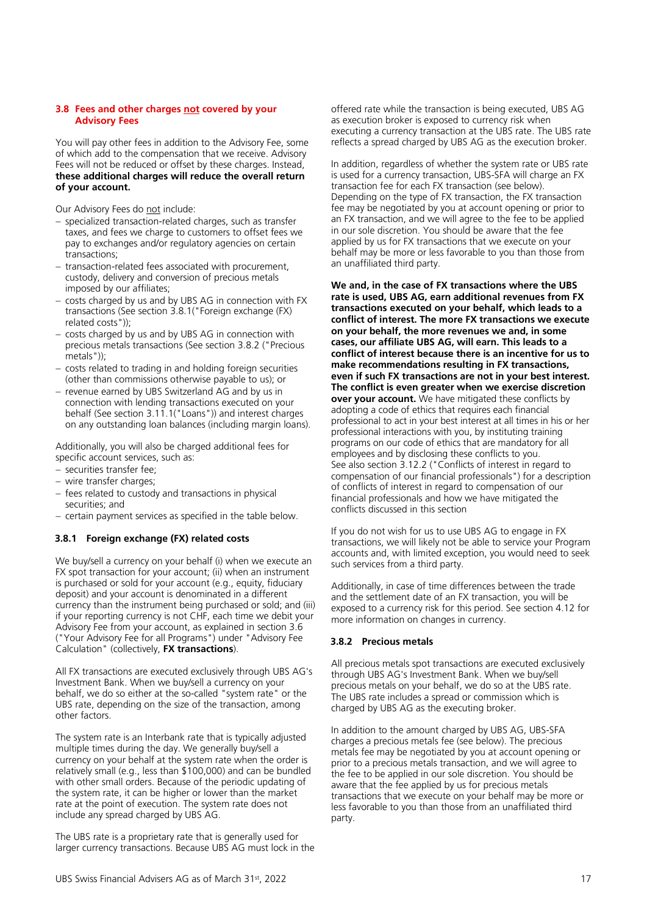# <span id="page-16-0"></span>**3.8 Fees and other charges not covered by your Advisory Fees**

You will pay other fees in addition to the Advisory Fee, some of which add to the compensation that we receive. Advisory Fees will not be reduced or offset by these charges. Instead, **these additional charges will reduce the overall return of your account.** 

Our Advisory Fees do not include:

- − specialized transaction-related charges, such as transfer taxes, and fees we charge to customers to offset fees we pay to exchanges and/or regulatory agencies on certain transactions;
- − transaction-related fees associated with procurement, custody, delivery and conversion of precious metals imposed by our affiliates;
- − costs charged by us and by UBS AG in connection with FX transactions (See section 3.8.1("Foreign exchange (FX) related costs"));
- − costs charged by us and by UBS AG in connection with precious metals transactions (See section 3.8.2 ("Precious metals"))<sup>.</sup>
- − costs related to trading in and holding foreign securities (other than commissions otherwise payable to us); or
- − revenue earned by UBS Switzerland AG and by us in connection with lending transactions executed on your behalf (See section 3.11.1("Loans")) and interest charges on any outstanding loan balances (including margin loans).

Additionally, you will also be charged additional fees for specific account services, such as:

- − securities transfer fee;
- − wire transfer charges;
- − fees related to custody and transactions in physical securities; and
- − certain payment services as specified in the table below.

# **3.8.1 Foreign exchange (FX) related costs**

We buy/sell a currency on your behalf (i) when we execute an FX spot transaction for your account; (ii) when an instrument is purchased or sold for your account (e.g., equity, fiduciary deposit) and your account is denominated in a different currency than the instrument being purchased or sold; and (iii) if your reporting currency is not CHF, each time we debit your Advisory Fee from your account, as explained in section 3.6 ("Your Advisory Fee for all Programs") under "Advisory Fee Calculation" (collectively, **FX transactions**).

All FX transactions are executed exclusively through UBS AG's Investment Bank. When we buy/sell a currency on your behalf, we do so either at the so-called "system rate" or the UBS rate, depending on the size of the transaction, among other factors.

The system rate is an Interbank rate that is typically adjusted multiple times during the day. We generally buy/sell a currency on your behalf at the system rate when the order is relatively small (e.g., less than \$100,000) and can be bundled with other small orders. Because of the periodic updating of the system rate, it can be higher or lower than the market rate at the point of execution. The system rate does not include any spread charged by UBS AG.

The UBS rate is a proprietary rate that is generally used for larger currency transactions. Because UBS AG must lock in the offered rate while the transaction is being executed, UBS AG as execution broker is exposed to currency risk when executing a currency transaction at the UBS rate. The UBS rate reflects a spread charged by UBS AG as the execution broker.

In addition, regardless of whether the system rate or UBS rate is used for a currency transaction, UBS-SFA will charge an FX transaction fee for each FX transaction (see below). Depending on the type of FX transaction, the FX transaction fee may be negotiated by you at account opening or prior to an FX transaction, and we will agree to the fee to be applied in our sole discretion. You should be aware that the fee applied by us for FX transactions that we execute on your behalf may be more or less favorable to you than those from an unaffiliated third party.

**We and, in the case of FX transactions where the UBS rate is used, UBS AG, earn additional revenues from FX transactions executed on your behalf, which leads to a conflict of interest. The more FX transactions we execute on your behalf, the more revenues we and, in some cases, our affiliate UBS AG, will earn. This leads to a conflict of interest because there is an incentive for us to make recommendations resulting in FX transactions, even if such FX transactions are not in your best interest. The conflict is even greater when we exercise discretion over your account.** We have mitigated these conflicts by adopting a code of ethics that requires each financial professional to act in your best interest at all times in his or her professional interactions with you, by instituting training programs on our code of ethics that are mandatory for all employees and by disclosing these conflicts to you. See also section 3.12.2 ("Conflicts of interest in regard to compensation of our financial professionals") for a description of conflicts of interest in regard to compensation of our financial professionals and how we have mitigated the conflicts discussed in this section

If you do not wish for us to use UBS AG to engage in FX transactions, we will likely not be able to service your Program accounts and, with limited exception, you would need to seek such services from a third party.

Additionally, in case of time differences between the trade and the settlement date of an FX transaction, you will be exposed to a currency risk for this period. See section 4.12 for more information on changes in currency.

# **3.8.2 Precious metals**

All precious metals spot transactions are executed exclusively through UBS AG's Investment Bank. When we buy/sell precious metals on your behalf, we do so at the UBS rate. The UBS rate includes a spread or commission which is charged by UBS AG as the executing broker.

In addition to the amount charged by UBS AG, UBS-SFA charges a precious metals fee (see below). The precious metals fee may be negotiated by you at account opening or prior to a precious metals transaction, and we will agree to the fee to be applied in our sole discretion. You should be aware that the fee applied by us for precious metals transactions that we execute on your behalf may be more or less favorable to you than those from an unaffiliated third party.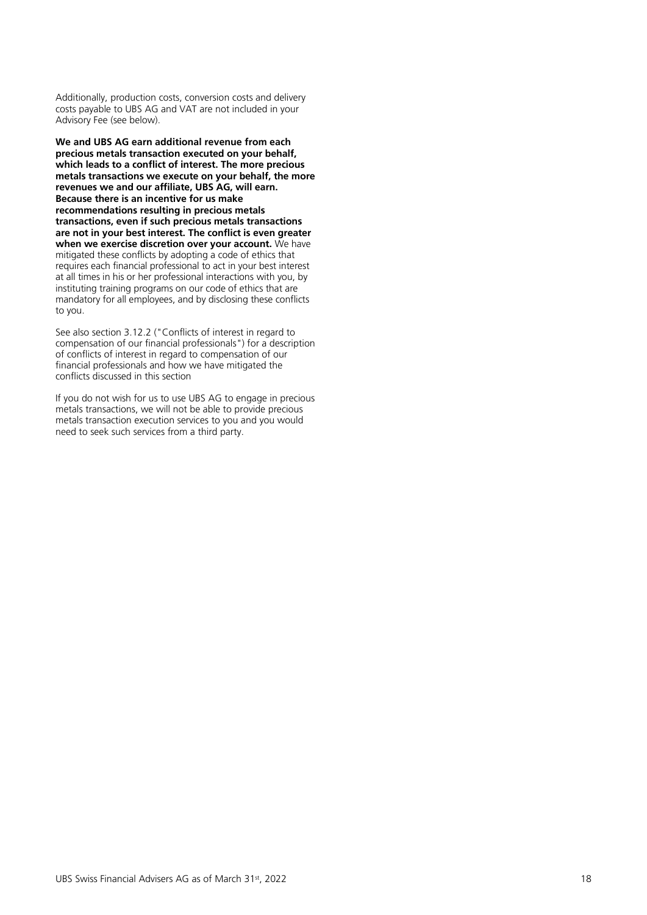Additionally, production costs, conversion costs and delivery costs payable to UBS AG and VAT are not included in your Advisory Fee (see below).

**We and UBS AG earn additional revenue from each precious metals transaction executed on your behalf, which leads to a conflict of interest. The more precious metals transactions we execute on your behalf, the more revenues we and our affiliate, UBS AG, will earn. Because there is an incentive for us make recommendations resulting in precious metals transactions, even if such precious metals transactions are not in your best interest. The conflict is even greater when we exercise discretion over your account.** We have mitigated these conflicts by adopting a code of ethics that requires each financial professional to act in your best interest at all times in his or her professional interactions with you, by instituting training programs on our code of ethics that are mandatory for all employees, and by disclosing these conflicts to you.

See also section 3.12.2 ("Conflicts of interest in regard to compensation of our financial professionals") for a description of conflicts of interest in regard to compensation of our financial professionals and how we have mitigated the conflicts discussed in this section

If you do not wish for us to use UBS AG to engage in precious metals transactions, we will not be able to provide precious metals transaction execution services to you and you would need to seek such services from a third party.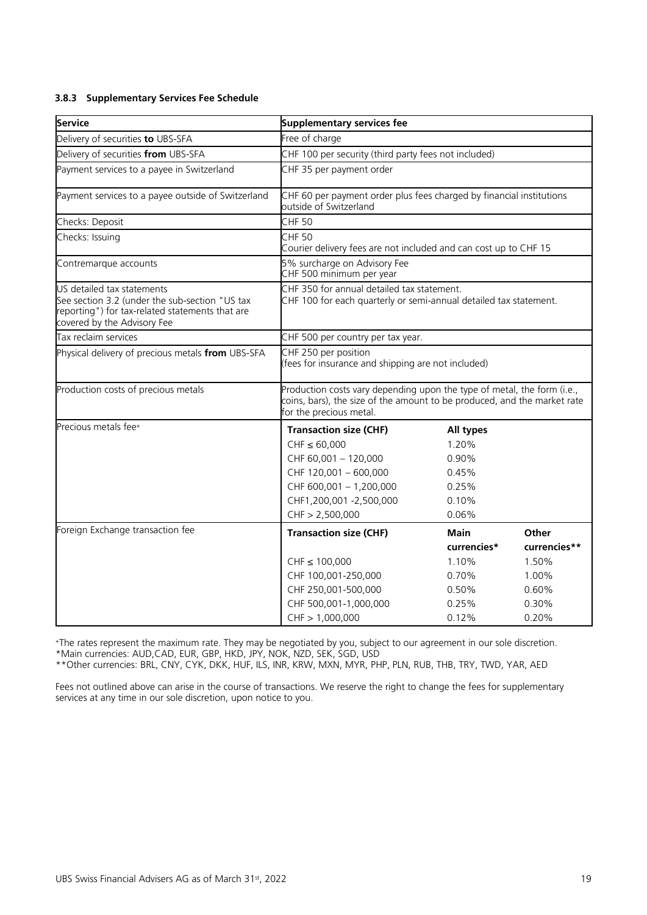# **3.8.3 Supplementary Services Fee Schedule**

| Service                                                                                                                                                        | <b>Supplementary services fee</b>                                                                                                                                              |             |              |  |  |
|----------------------------------------------------------------------------------------------------------------------------------------------------------------|--------------------------------------------------------------------------------------------------------------------------------------------------------------------------------|-------------|--------------|--|--|
| Delivery of securities to UBS-SFA                                                                                                                              | Free of charge                                                                                                                                                                 |             |              |  |  |
| Delivery of securities from UBS-SFA                                                                                                                            | CHF 100 per security (third party fees not included)                                                                                                                           |             |              |  |  |
| Payment services to a payee in Switzerland                                                                                                                     | CHF 35 per payment order                                                                                                                                                       |             |              |  |  |
| Payment services to a payee outside of Switzerland                                                                                                             | CHF 60 per payment order plus fees charged by financial institutions<br>outside of Switzerland                                                                                 |             |              |  |  |
| Checks: Deposit                                                                                                                                                | <b>CHF 50</b>                                                                                                                                                                  |             |              |  |  |
| Checks: Issuing                                                                                                                                                | <b>CHF 50</b><br>Courier delivery fees are not included and can cost up to CHF 15                                                                                              |             |              |  |  |
| Contremarque accounts                                                                                                                                          | 5% surcharge on Advisory Fee<br>CHF 500 minimum per year                                                                                                                       |             |              |  |  |
| US detailed tax statements<br>See section 3.2 (under the sub-section "US tax<br>reporting") for tax-related statements that are<br>covered by the Advisory Fee | CHF 350 for annual detailed tax statement.<br>CHF 100 for each quarterly or semi-annual detailed tax statement.                                                                |             |              |  |  |
| Tax reclaim services                                                                                                                                           | CHF 500 per country per tax year.                                                                                                                                              |             |              |  |  |
| Physical delivery of precious metals from UBS-SFA                                                                                                              | CHF 250 per position<br>(fees for insurance and shipping are not included)                                                                                                     |             |              |  |  |
| Production costs of precious metals                                                                                                                            | Production costs vary depending upon the type of metal, the form (i.e.,<br>coins, bars), the size of the amount to be produced, and the market rate<br>for the precious metal. |             |              |  |  |
| Precious metals fee+                                                                                                                                           | <b>Transaction size (CHF)</b>                                                                                                                                                  | All types   |              |  |  |
|                                                                                                                                                                | $CHF \le 60,000$                                                                                                                                                               | 1.20%       |              |  |  |
|                                                                                                                                                                | CHF 60,001 - 120,000                                                                                                                                                           | 0.90%       |              |  |  |
|                                                                                                                                                                | CHF 120,001 - 600,000                                                                                                                                                          | 0.45%       |              |  |  |
|                                                                                                                                                                | CHF 600,001 - 1,200,000                                                                                                                                                        | 0.25%       |              |  |  |
|                                                                                                                                                                | CHF1,200,001 -2,500,000                                                                                                                                                        | 0.10%       |              |  |  |
|                                                                                                                                                                | CHF > 2,500,000                                                                                                                                                                | 0.06%       |              |  |  |
| Foreign Exchange transaction fee                                                                                                                               | <b>Transaction size (CHF)</b>                                                                                                                                                  | Main        | Other        |  |  |
|                                                                                                                                                                |                                                                                                                                                                                | currencies* | currencies** |  |  |
|                                                                                                                                                                | $CHF \le 100,000$                                                                                                                                                              | 1.10%       | 1.50%        |  |  |
|                                                                                                                                                                | CHF 100,001-250,000                                                                                                                                                            | 0.70%       | 1.00%        |  |  |
|                                                                                                                                                                | CHF 250,001-500,000                                                                                                                                                            | 0.50%       | 0.60%        |  |  |
|                                                                                                                                                                | CHF 500,001-1,000,000                                                                                                                                                          | 0.25%       | 0.30%        |  |  |
|                                                                                                                                                                | CHF > 1,000,000                                                                                                                                                                | 0.12%       | 0.20%        |  |  |

<sup>+</sup>The rates represent the maximum rate. They may be negotiated by you, subject to our agreement in our sole discretion. \*Main currencies: AUD,CAD, EUR, GBP, HKD, JPY, NOK, NZD, SEK, SGD, USD

\*\*Other currencies: BRL, CNY, CYK, DKK, HUF, ILS, INR, KRW, MXN, MYR, PHP, PLN, RUB, THB, TRY, TWD, YAR, AED

Fees not outlined above can arise in the course of transactions. We reserve the right to change the fees for supplementary services at any time in our sole discretion, upon notice to you.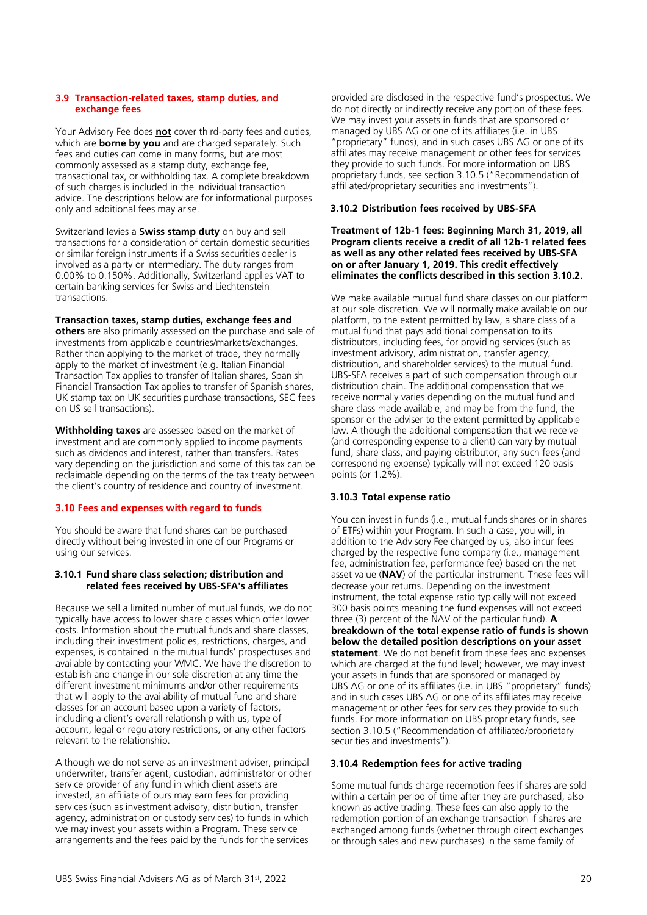#### <span id="page-19-0"></span>**3.9 Transaction-related taxes, stamp duties, and exchange fees**

Your Advisory Fee does **not** cover third-party fees and duties, which are **borne by you** and are charged separately. Such fees and duties can come in many forms, but are most commonly assessed as a stamp duty, exchange fee, transactional tax, or withholding tax. A complete breakdown of such charges is included in the individual transaction advice. The descriptions below are for informational purposes only and additional fees may arise.

Switzerland levies a **Swiss stamp duty** on buy and sell transactions for a consideration of certain domestic securities or similar foreign instruments if a Swiss securities dealer is involved as a party or intermediary. The duty ranges from 0.00% to 0.150%. Additionally, Switzerland applies VAT to certain banking services for Swiss and Liechtenstein transactions.

# **Transaction taxes, stamp duties, exchange fees and**

**others** are also primarily assessed on the purchase and sale of investments from applicable countries/markets/exchanges. Rather than applying to the market of trade, they normally apply to the market of investment (e.g. Italian Financial Transaction Tax applies to transfer of Italian shares, Spanish Financial Transaction Tax applies to transfer of Spanish shares, UK stamp tax on UK securities purchase transactions, SEC fees on US sell transactions).

**Withholding taxes** are assessed based on the market of investment and are commonly applied to income payments such as dividends and interest, rather than transfers. Rates vary depending on the jurisdiction and some of this tax can be reclaimable depending on the terms of the tax treaty between the client's country of residence and country of investment.

# <span id="page-19-1"></span>**3.10 Fees and expenses with regard to funds**

You should be aware that fund shares can be purchased directly without being invested in one of our Programs or using our services.

# **3.10.1 Fund share class selection; distribution and related fees received by UBS-SFA's affiliates**

Because we sell a limited number of mutual funds, we do not typically have access to lower share classes which offer lower costs. Information about the mutual funds and share classes, including their investment policies, restrictions, charges, and expenses, is contained in the mutual funds' prospectuses and available by contacting your WMC. We have the discretion to establish and change in our sole discretion at any time the different investment minimums and/or other requirements that will apply to the availability of mutual fund and share classes for an account based upon a variety of factors, including a client's overall relationship with us, type of account, legal or regulatory restrictions, or any other factors relevant to the relationship.

Although we do not serve as an investment adviser, principal underwriter, transfer agent, custodian, administrator or other service provider of any fund in which client assets are invested, an affiliate of ours may earn fees for providing services (such as investment advisory, distribution, transfer agency, administration or custody services) to funds in which we may invest your assets within a Program. These service arrangements and the fees paid by the funds for the services

provided are disclosed in the respective fund's prospectus. We do not directly or indirectly receive any portion of these fees. We may invest your assets in funds that are sponsored or managed by UBS AG or one of its affiliates (i.e. in UBS "proprietary" funds), and in such cases UBS AG or one of its affiliates may receive management or other fees for services they provide to such funds. For more information on UBS proprietary funds, see section 3.10.5 ("Recommendation of affiliated/proprietary securities and investments").

# **3.10.2 Distribution fees received by UBS-SFA**

# **Treatment of 12b-1 fees: Beginning March 31, 2019, all Program clients receive a credit of all 12b-1 related fees as well as any other related fees received by UBS-SFA on or after January 1, 2019. This credit effectively eliminates the conflicts described in this section 3.10.2.**

We make available mutual fund share classes on our platform at our sole discretion. We will normally make available on our platform, to the extent permitted by law, a share class of a mutual fund that pays additional compensation to its distributors, including fees, for providing services (such as investment advisory, administration, transfer agency, distribution, and shareholder services) to the mutual fund. UBS-SFA receives a part of such compensation through our distribution chain. The additional compensation that we receive normally varies depending on the mutual fund and share class made available, and may be from the fund, the sponsor or the adviser to the extent permitted by applicable law. Although the additional compensation that we receive (and corresponding expense to a client) can vary by mutual fund, share class, and paying distributor, any such fees (and corresponding expense) typically will not exceed 120 basis points (or 1.2%).

# **3.10.3 Total expense ratio**

You can invest in funds (i.e., mutual funds shares or in shares of ETFs) within your Program. In such a case, you will, in addition to the Advisory Fee charged by us, also incur fees charged by the respective fund company (i.e., management fee, administration fee, performance fee) based on the net asset value (**NAV**) of the particular instrument. These fees will decrease your returns. Depending on the investment instrument, the total expense ratio typically will not exceed 300 basis points meaning the fund expenses will not exceed three (3) percent of the NAV of the particular fund). **A breakdown of the total expense ratio of funds is shown below the detailed position descriptions on your asset statement**. We do not benefit from these fees and expenses which are charged at the fund level; however, we may invest your assets in funds that are sponsored or managed by UBS AG or one of its affiliates (i.e. in UBS "proprietary" funds) and in such cases UBS AG or one of its affiliates may receive management or other fees for services they provide to such funds. For more information on UBS proprietary funds, see section 3.10.5 ("Recommendation of affiliated/proprietary securities and investments").

# **3.10.4 Redemption fees for active trading**

Some mutual funds charge redemption fees if shares are sold within a certain period of time after they are purchased, also known as active trading. These fees can also apply to the redemption portion of an exchange transaction if shares are exchanged among funds (whether through direct exchanges or through sales and new purchases) in the same family of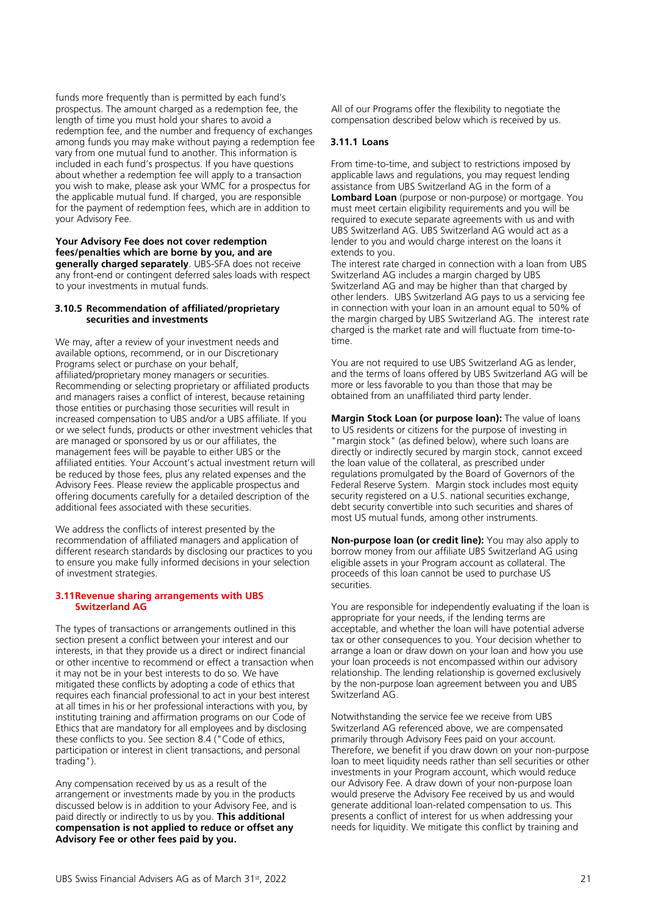funds more frequently than is permitted by each fund's prospectus. The amount charged as a redemption fee, the length of time you must hold your shares to avoid a redemption fee, and the number and frequency of exchanges among funds you may make without paying a redemption fee vary from one mutual fund to another. This information is included in each fund's prospectus. If you have questions about whether a redemption fee will apply to a transaction you wish to make, please ask your WMC for a prospectus for the applicable mutual fund. If charged, you are responsible for the payment of redemption fees, which are in addition to your Advisory Fee.

#### **Your Advisory Fee does not cover redemption fees/penalties which are borne by you, and are generally charged separately**. UBS-SFA does not receive any front-end or contingent deferred sales loads with respect to your investments in mutual funds.

# **3.10.5 Recommendation of affiliated/proprietary securities and investments**

We may, after a review of your investment needs and available options, recommend, or in our Discretionary Programs select or purchase on your behalf, affiliated/proprietary money managers or securities. Recommending or selecting proprietary or affiliated products and managers raises a conflict of interest, because retaining those entities or purchasing those securities will result in increased compensation to UBS and/or a UBS affiliate. If you or we select funds, products or other investment vehicles that are managed or sponsored by us or our affiliates, the management fees will be payable to either UBS or the affiliated entities. Your Account's actual investment return will be reduced by those fees, plus any related expenses and the Advisory Fees. Please review the applicable prospectus and offering documents carefully for a detailed description of the additional fees associated with these securities.

We address the conflicts of interest presented by the recommendation of affiliated managers and application of different research standards by disclosing our practices to you to ensure you make fully informed decisions in your selection of investment strategies.

# <span id="page-20-0"></span>**3.11Revenue sharing arrangements with UBS Switzerland AG**

The types of transactions or arrangements outlined in this section present a conflict between your interest and our interests, in that they provide us a direct or indirect financial or other incentive to recommend or effect a transaction when it may not be in your best interests to do so. We have mitigated these conflicts by adopting a code of ethics that requires each financial professional to act in your best interest at all times in his or her professional interactions with you, by instituting training and affirmation programs on our Code of Ethics that are mandatory for all employees and by disclosing these conflicts to you. See section 8.4 ("Code of ethics, participation or interest in client transactions, and personal trading").

Any compensation received by us as a result of the arrangement or investments made by you in the products discussed below is in addition to your Advisory Fee, and is paid directly or indirectly to us by you. **This additional compensation is not applied to reduce or offset any Advisory Fee or other fees paid by you.**

All of our Programs offer the flexibility to negotiate the compensation described below which is received by us.

# **3.11.1 Loans**

From time-to-time, and subject to restrictions imposed by applicable laws and regulations, you may request lending assistance from UBS Switzerland AG in the form of a **Lombard Loan** (purpose or non-purpose) or mortgage. You must meet certain eligibility requirements and you will be required to execute separate agreements with us and with UBS Switzerland AG. UBS Switzerland AG would act as a lender to you and would charge interest on the loans it extends to you.

The interest rate charged in connection with a loan from UBS Switzerland AG includes a margin charged by UBS Switzerland AG and may be higher than that charged by other lenders. UBS Switzerland AG pays to us a servicing fee in connection with your loan in an amount equal to 50% of the margin charged by UBS Switzerland AG. The interest rate charged is the market rate and will fluctuate from time-totime.

You are not required to use UBS Switzerland AG as lender, and the terms of loans offered by UBS Switzerland AG will be more or less favorable to you than those that may be obtained from an unaffiliated third party lender.

**Margin Stock Loan (or purpose loan):** The value of loans to US residents or citizens for the purpose of investing in "margin stock" (as defined below), where such loans are directly or indirectly secured by margin stock, cannot exceed the loan value of the collateral, as prescribed under regulations promulgated by the Board of Governors of the Federal Reserve System. Margin stock includes most equity security registered on a U.S. national securities exchange, debt security convertible into such securities and shares of most US mutual funds, among other instruments.

**Non-purpose loan (or credit line):** You may also apply to borrow money from our affiliate UBS Switzerland AG using eligible assets in your Program account as collateral. The proceeds of this loan cannot be used to purchase US securities.

You are responsible for independently evaluating if the loan is appropriate for your needs, if the lending terms are acceptable, and whether the loan will have potential adverse tax or other consequences to you. Your decision whether to arrange a loan or draw down on your loan and how you use your loan proceeds is not encompassed within our advisory relationship. The lending relationship is governed exclusively by the non-purpose loan agreement between you and UBS Switzerland AG.

Notwithstanding the service fee we receive from UBS Switzerland AG referenced above, we are compensated primarily through Advisory Fees paid on your account. Therefore, we benefit if you draw down on your non-purpose loan to meet liquidity needs rather than sell securities or other investments in your Program account, which would reduce our Advisory Fee. A draw down of your non-purpose loan would preserve the Advisory Fee received by us and would generate additional loan-related compensation to us. This presents a conflict of interest for us when addressing your needs for liquidity. We mitigate this conflict by training and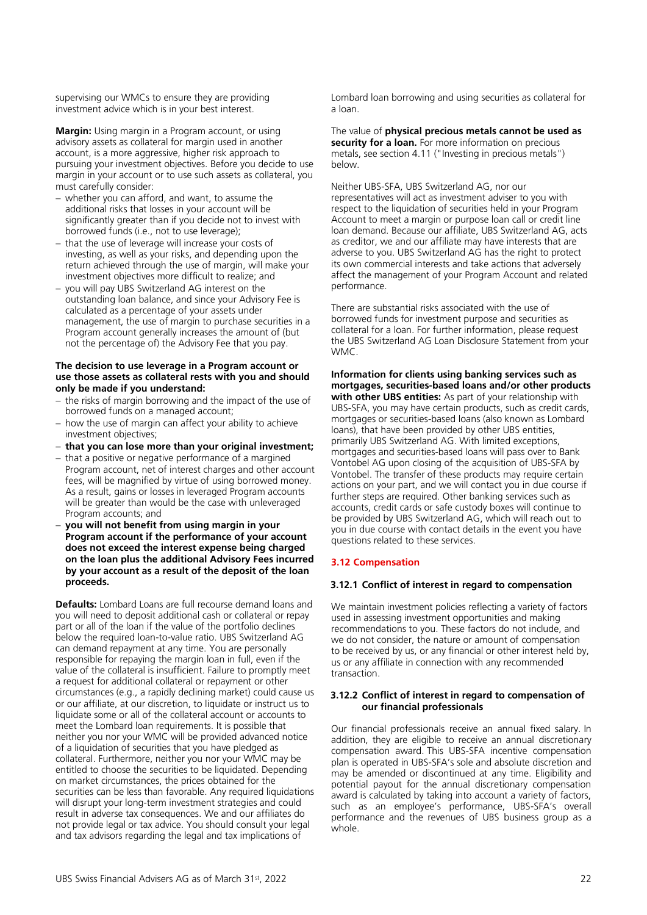supervising our WMCs to ensure they are providing investment advice which is in your best interest.

**Margin:** Using margin in a Program account, or using advisory assets as collateral for margin used in another account, is a more aggressive, higher risk approach to pursuing your investment objectives. Before you decide to use margin in your account or to use such assets as collateral, you must carefully consider:

- − whether you can afford, and want, to assume the additional risks that losses in your account will be significantly greater than if you decide not to invest with borrowed funds (i.e., not to use leverage);
- that the use of leverage will increase your costs of investing, as well as your risks, and depending upon the return achieved through the use of margin, will make your investment objectives more difficult to realize; and
- − you will pay UBS Switzerland AG interest on the outstanding loan balance, and since your Advisory Fee is calculated as a percentage of your assets under management, the use of margin to purchase securities in a Program account generally increases the amount of (but not the percentage of) the Advisory Fee that you pay.

# **The decision to use leverage in a Program account or use those assets as collateral rests with you and should only be made if you understand:**

- − the risks of margin borrowing and the impact of the use of borrowed funds on a managed account;
- − how the use of margin can affect your ability to achieve investment objectives;
- − **that you can lose more than your original investment;**
- that a positive or negative performance of a margined Program account, net of interest charges and other account fees, will be magnified by virtue of using borrowed money. As a result, gains or losses in leveraged Program accounts will be greater than would be the case with unleveraged Program accounts; and
- − **you will not benefit from using margin in your Program account if the performance of your account does not exceed the interest expense being charged on the loan plus the additional Advisory Fees incurred by your account as a result of the deposit of the loan proceeds.**

**Defaults:** Lombard Loans are full recourse demand loans and you will need to deposit additional cash or collateral or repay part or all of the loan if the value of the portfolio declines below the required loan-to-value ratio. UBS Switzerland AG can demand repayment at any time. You are personally responsible for repaying the margin loan in full, even if the value of the collateral is insufficient. Failure to promptly meet a request for additional collateral or repayment or other circumstances (e.g., a rapidly declining market) could cause us or our affiliate, at our discretion, to liquidate or instruct us to liquidate some or all of the collateral account or accounts to meet the Lombard loan requirements. It is possible that neither you nor your WMC will be provided advanced notice of a liquidation of securities that you have pledged as collateral. Furthermore, neither you nor your WMC may be entitled to choose the securities to be liquidated. Depending on market circumstances, the prices obtained for the securities can be less than favorable. Any required liquidations will disrupt your long-term investment strategies and could result in adverse tax consequences. We and our affiliates do not provide legal or tax advice. You should consult your legal and tax advisors regarding the legal and tax implications of

Lombard loan borrowing and using securities as collateral for a loan.

The value of **physical precious metals cannot be used as security for a loan.** For more information on precious metals, see section 4.11 ("Investing in precious metals") below.

Neither UBS-SFA, UBS Switzerland AG, nor our representatives will act as investment adviser to you with respect to the liquidation of securities held in your Program Account to meet a margin or purpose loan call or credit line loan demand. Because our affiliate, UBS Switzerland AG, acts as creditor, we and our affiliate may have interests that are adverse to you. UBS Switzerland AG has the right to protect its own commercial interests and take actions that adversely affect the management of your Program Account and related performance.

There are substantial risks associated with the use of borrowed funds for investment purpose and securities as collateral for a loan. For further information, please request the UBS Switzerland AG Loan Disclosure Statement from your WMC.

**Information for clients using banking services such as mortgages, securities-based loans and/or other products with other UBS entities:** As part of your relationship with UBS-SFA, you may have certain products, such as credit cards, mortgages or securities-based loans (also known as Lombard loans), that have been provided by other UBS entities, primarily UBS Switzerland AG. With limited exceptions, mortgages and securities-based loans will pass over to Bank Vontobel AG upon closing of the acquisition of UBS-SFA by Vontobel. The transfer of these products may require certain actions on your part, and we will contact you in due course if further steps are required. Other banking services such as accounts, credit cards or safe custody boxes will continue to be provided by UBS Switzerland AG, which will reach out to you in due course with contact details in the event you have questions related to these services.

# <span id="page-21-0"></span>**3.12 Compensation**

# **3.12.1 Conflict of interest in regard to compensation**

We maintain investment policies reflecting a variety of factors used in assessing investment opportunities and making recommendations to you. These factors do not include, and we do not consider, the nature or amount of compensation to be received by us, or any financial or other interest held by, us or any affiliate in connection with any recommended transaction.

# **3.12.2 Conflict of interest in regard to compensation of our financial professionals**

Our financial professionals receive an annual fixed salary. In addition, they are eligible to receive an annual discretionary compensation award. This UBS-SFA incentive compensation plan is operated in UBS-SFA's sole and absolute discretion and may be amended or discontinued at any time. Eligibility and potential payout for the annual discretionary compensation award is calculated by taking into account a variety of factors, such as an employee's performance, UBS-SFA's overall performance and the revenues of UBS business group as a whole.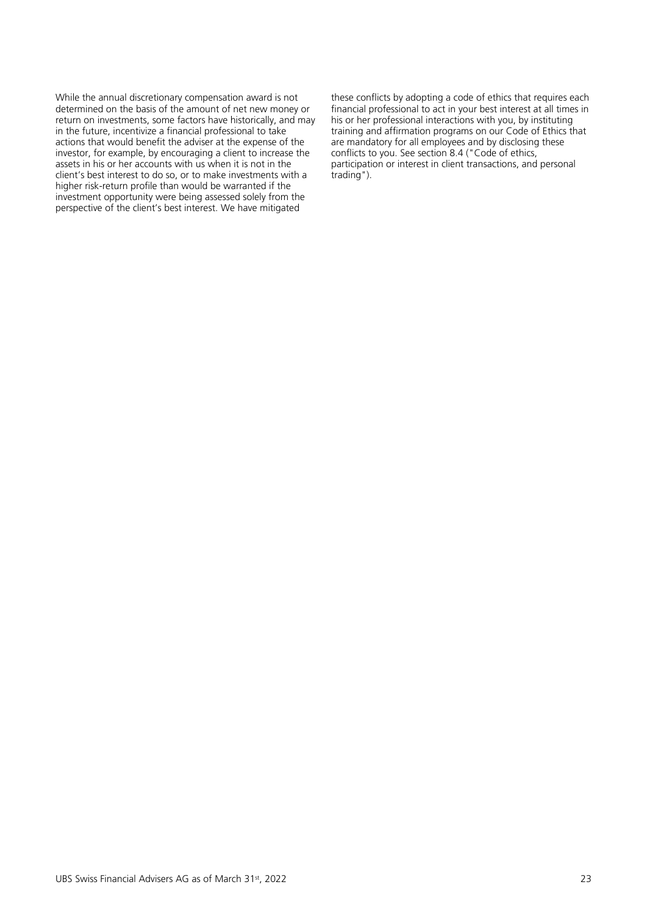While the annual discretionary compensation award is not determined on the basis of the amount of net new money or return on investments, some factors have historically, and may in the future, incentivize a financial professional to take actions that would benefit the adviser at the expense of the investor, for example, by encouraging a client to increase the assets in his or her accounts with us when it is not in the client's best interest to do so, or to make investments with a higher risk-return profile than would be warranted if the investment opportunity were being assessed solely from the perspective of the client's best interest. We have mitigated

these conflicts by adopting a code of ethics that requires each financial professional to act in your best interest at all times in his or her professional interactions with you, by instituting training and affirmation programs on our Code of Ethics that are mandatory for all employees and by disclosing these conflicts to you. See section 8.4 ("Code of ethics, participation or interest in client transactions, and personal trading").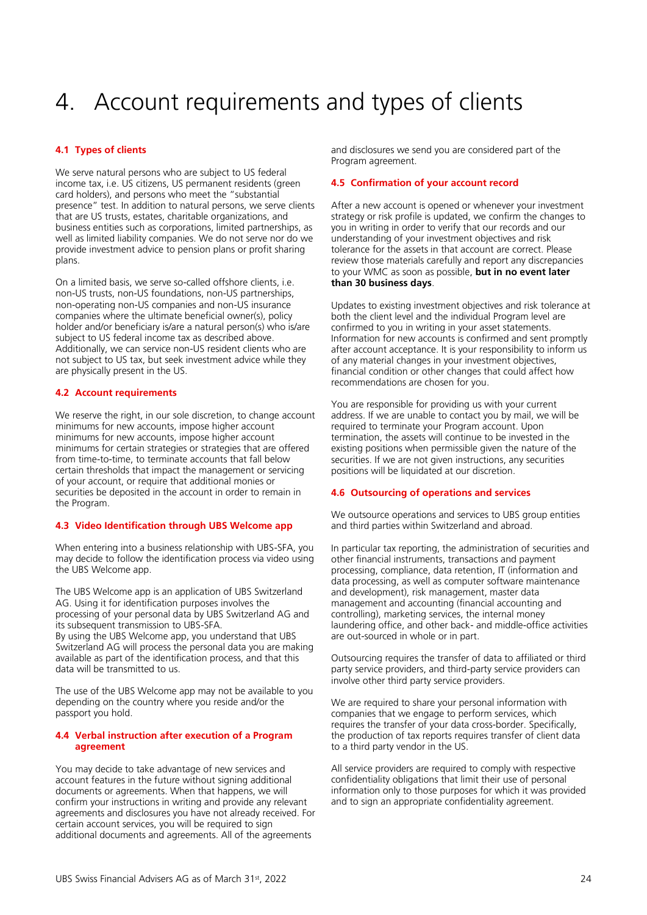# <span id="page-23-0"></span>4. Account requirements and types of clients

# <span id="page-23-1"></span>**4.1 Types of clients**

We serve natural persons who are subject to US federal income tax, i.e. US citizens, US permanent residents (green card holders), and persons who meet the "substantial presence" test. In addition to natural persons, we serve clients that are US trusts, estates, charitable organizations, and business entities such as corporations, limited partnerships, as well as limited liability companies. We do not serve nor do we provide investment advice to pension plans or profit sharing plans.

On a limited basis, we serve so-called offshore clients, i.e. non-US trusts, non-US foundations, non-US partnerships, non-operating non-US companies and non-US insurance companies where the ultimate beneficial owner(s), policy holder and/or beneficiary is/are a natural person(s) who is/are subject to US federal income tax as described above. Additionally, we can service non-US resident clients who are not subject to US tax, but seek investment advice while they are physically present in the US.

# <span id="page-23-2"></span>**4.2 Account requirements**

We reserve the right, in our sole discretion, to change account minimums for new accounts, impose higher account minimums for new accounts, impose higher account minimums for certain strategies or strategies that are offered from time-to-time, to terminate accounts that fall below certain thresholds that impact the management or servicing of your account, or require that additional monies or securities be deposited in the account in order to remain in the Program.

# <span id="page-23-3"></span>**4.3 Video Identification through UBS Welcome app**

When entering into a business relationship with UBS-SFA, you may decide to follow the identification process via video using the UBS Welcome app.

The UBS Welcome app is an application of UBS Switzerland AG. Using it for identification purposes involves the processing of your personal data by UBS Switzerland AG and its subsequent transmission to UBS-SFA.

By using the UBS Welcome app, you understand that UBS Switzerland AG will process the personal data you are making available as part of the identification process, and that this data will be transmitted to us.

The use of the UBS Welcome app may not be available to you depending on the country where you reside and/or the passport you hold.

# <span id="page-23-4"></span>**4.4 Verbal instruction after execution of a Program agreement**

You may decide to take advantage of new services and account features in the future without signing additional documents or agreements. When that happens, we will confirm your instructions in writing and provide any relevant agreements and disclosures you have not already received. For certain account services, you will be required to sign additional documents and agreements. All of the agreements

and disclosures we send you are considered part of the Program agreement.

# <span id="page-23-5"></span>**4.5 Confirmation of your account record**

After a new account is opened or whenever your investment strategy or risk profile is updated, we confirm the changes to you in writing in order to verify that our records and our understanding of your investment objectives and risk tolerance for the assets in that account are correct. Please review those materials carefully and report any discrepancies to your WMC as soon as possible, **but in no event later than 30 business days**.

Updates to existing investment objectives and risk tolerance at both the client level and the individual Program level are confirmed to you in writing in your asset statements. Information for new accounts is confirmed and sent promptly after account acceptance. It is your responsibility to inform us of any material changes in your investment objectives, financial condition or other changes that could affect how recommendations are chosen for you.

You are responsible for providing us with your current address. If we are unable to contact you by mail, we will be required to terminate your Program account. Upon termination, the assets will continue to be invested in the existing positions when permissible given the nature of the securities. If we are not given instructions, any securities positions will be liquidated at our discretion.

# <span id="page-23-6"></span>**4.6 Outsourcing of operations and services**

We outsource operations and services to UBS group entities and third parties within Switzerland and abroad.

In particular tax reporting, the administration of securities and other financial instruments, transactions and payment processing, compliance, data retention, IT (information and data processing, as well as computer software maintenance and development), risk management, master data management and accounting (financial accounting and controlling), marketing services, the internal money laundering office, and other back- and middle-office activities are out-sourced in whole or in part.

Outsourcing requires the transfer of data to affiliated or third party service providers, and third-party service providers can involve other third party service providers.

We are required to share your personal information with companies that we engage to perform services, which requires the transfer of your data cross-border. Specifically, the production of tax reports requires transfer of client data to a third party vendor in the US.

All service providers are required to comply with respective confidentiality obligations that limit their use of personal information only to those purposes for which it was provided and to sign an appropriate confidentiality agreement.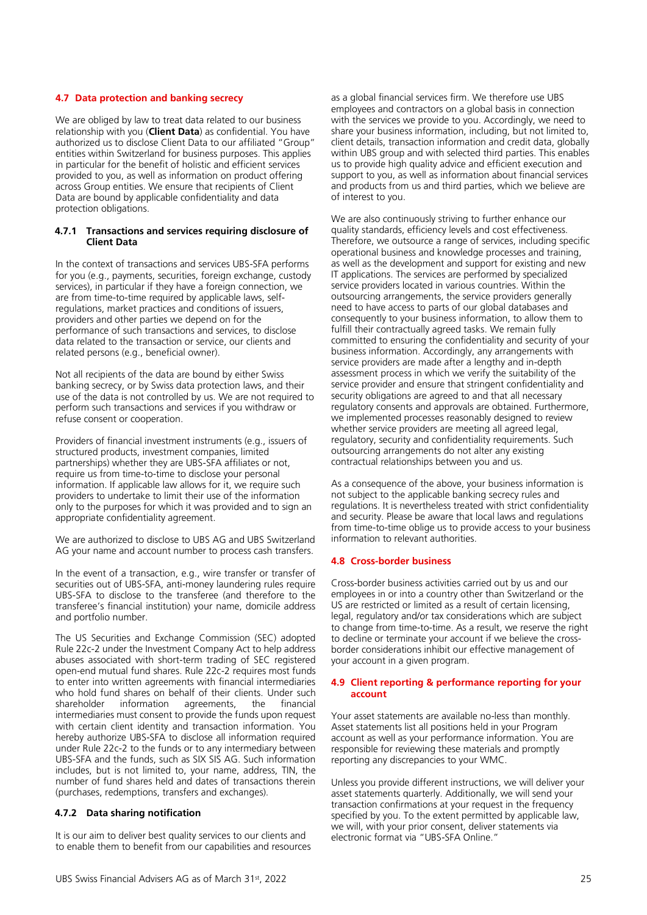# <span id="page-24-0"></span>**4.7 Data protection and banking secrecy**

We are obliged by law to treat data related to our business relationship with you (**Client Data**) as confidential. You have authorized us to disclose Client Data to our affiliated "Group" entities within Switzerland for business purposes. This applies in particular for the benefit of holistic and efficient services provided to you, as well as information on product offering across Group entities. We ensure that recipients of Client Data are bound by applicable confidentiality and data protection obligations.

#### **4.7.1 Transactions and services requiring disclosure of Client Data**

In the context of transactions and services UBS-SFA performs for you (e.g., payments, securities, foreign exchange, custody services), in particular if they have a foreign connection, we are from time-to-time required by applicable laws, selfregulations, market practices and conditions of issuers, providers and other parties we depend on for the performance of such transactions and services, to disclose data related to the transaction or service, our clients and related persons (e.g., beneficial owner).

Not all recipients of the data are bound by either Swiss banking secrecy, or by Swiss data protection laws, and their use of the data is not controlled by us. We are not required to perform such transactions and services if you withdraw or refuse consent or cooperation.

Providers of financial investment instruments (e.g., issuers of structured products, investment companies, limited partnerships) whether they are UBS-SFA affiliates or not, require us from time-to-time to disclose your personal information. If applicable law allows for it, we require such providers to undertake to limit their use of the information only to the purposes for which it was provided and to sign an appropriate confidentiality agreement.

We are authorized to disclose to UBS AG and UBS Switzerland AG your name and account number to process cash transfers.

In the event of a transaction, e.g., wire transfer or transfer of securities out of UBS-SFA, anti-money laundering rules require UBS-SFA to disclose to the transferee (and therefore to the transferee's financial institution) your name, domicile address and portfolio number.

The US Securities and Exchange Commission (SEC) adopted Rule 22c-2 under the Investment Company Act to help address abuses associated with short-term trading of SEC registered open-end mutual fund shares. Rule 22c-2 requires most funds to enter into written agreements with financial intermediaries who hold fund shares on behalf of their clients. Under such shareholder information agreements, the financial intermediaries must consent to provide the funds upon request with certain client identity and transaction information. You hereby authorize UBS-SFA to disclose all information required under Rule 22c-2 to the funds or to any intermediary between UBS-SFA and the funds, such as SIX SIS AG. Such information includes, but is not limited to, your name, address, TIN, the number of fund shares held and dates of transactions therein (purchases, redemptions, transfers and exchanges).

# **4.7.2 Data sharing notification**

It is our aim to deliver best quality services to our clients and to enable them to benefit from our capabilities and resources

as a global financial services firm. We therefore use UBS employees and contractors on a global basis in connection with the services we provide to you. Accordingly, we need to share your business information, including, but not limited to, client details, transaction information and credit data, globally within UBS group and with selected third parties. This enables us to provide high quality advice and efficient execution and support to you, as well as information about financial services and products from us and third parties, which we believe are of interest to you.

We are also continuously striving to further enhance our quality standards, efficiency levels and cost effectiveness. Therefore, we outsource a range of services, including specific operational business and knowledge processes and training, as well as the development and support for existing and new IT applications. The services are performed by specialized service providers located in various countries. Within the outsourcing arrangements, the service providers generally need to have access to parts of our global databases and consequently to your business information, to allow them to fulfill their contractually agreed tasks. We remain fully committed to ensuring the confidentiality and security of your business information. Accordingly, any arrangements with service providers are made after a lengthy and in-depth assessment process in which we verify the suitability of the service provider and ensure that stringent confidentiality and security obligations are agreed to and that all necessary regulatory consents and approvals are obtained. Furthermore, we implemented processes reasonably designed to review whether service providers are meeting all agreed legal, regulatory, security and confidentiality requirements. Such outsourcing arrangements do not alter any existing contractual relationships between you and us.

As a consequence of the above, your business information is not subject to the applicable banking secrecy rules and regulations. It is nevertheless treated with strict confidentiality and security. Please be aware that local laws and regulations from time-to-time oblige us to provide access to your business information to relevant authorities.

# <span id="page-24-1"></span>**4.8 Cross-border business**

Cross-border business activities carried out by us and our employees in or into a country other than Switzerland or the US are restricted or limited as a result of certain licensing, legal, regulatory and/or tax considerations which are subject to change from time-to-time. As a result, we reserve the right to decline or terminate your account if we believe the crossborder considerations inhibit our effective management of your account in a given program.

#### <span id="page-24-2"></span>**4.9 Client reporting & performance reporting for your account**

Your asset statements are available no-less than monthly. Asset statements list all positions held in your Program account as well as your performance information. You are responsible for reviewing these materials and promptly reporting any discrepancies to your WMC.

Unless you provide different instructions, we will deliver your asset statements quarterly. Additionally, we will send your transaction confirmations at your request in the frequency specified by you. To the extent permitted by applicable law, we will, with your prior consent, deliver statements via electronic format via "UBS-SFA Online."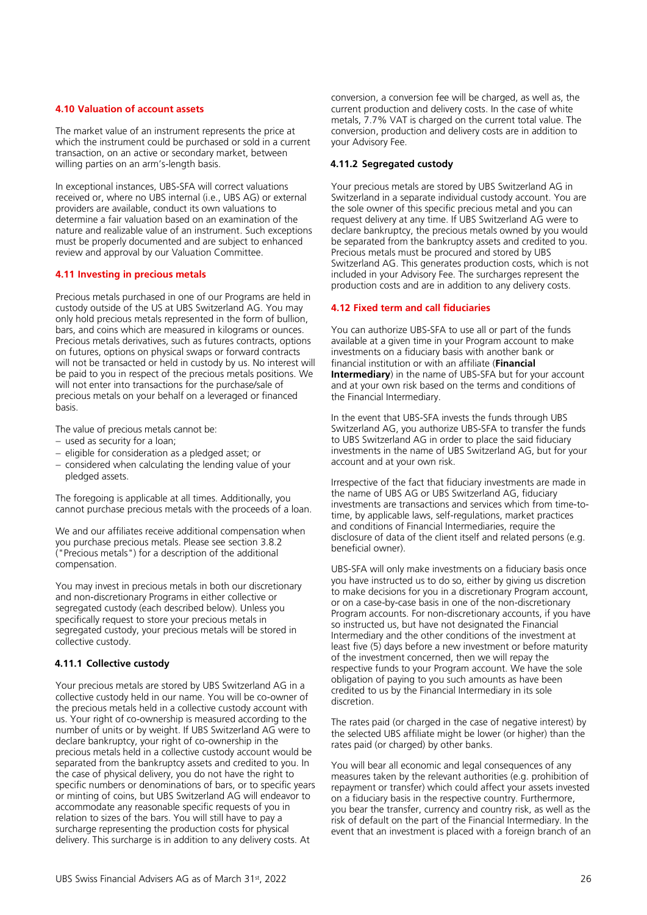#### <span id="page-25-0"></span>**4.10 Valuation of account assets**

The market value of an instrument represents the price at which the instrument could be purchased or sold in a current transaction, on an active or secondary market, between willing parties on an arm's-length basis.

In exceptional instances, UBS-SFA will correct valuations received or, where no UBS internal (i.e., UBS AG) or external providers are available, conduct its own valuations to determine a fair valuation based on an examination of the nature and realizable value of an instrument. Such exceptions must be properly documented and are subject to enhanced review and approval by our Valuation Committee.

#### <span id="page-25-1"></span>**4.11 Investing in precious metals**

Precious metals purchased in one of our Programs are held in custody outside of the US at UBS Switzerland AG. You may only hold precious metals represented in the form of bullion, bars, and coins which are measured in kilograms or ounces. Precious metals derivatives, such as futures contracts, options on futures, options on physical swaps or forward contracts will not be transacted or held in custody by us. No interest will be paid to you in respect of the precious metals positions. We will not enter into transactions for the purchase/sale of precious metals on your behalf on a leveraged or financed basis.

The value of precious metals cannot be:

- − used as security for a loan;
- − eligible for consideration as a pledged asset; or
- − considered when calculating the lending value of your pledged assets.

The foregoing is applicable at all times. Additionally, you cannot purchase precious metals with the proceeds of a loan.

We and our affiliates receive additional compensation when you purchase precious metals. Please see section 3.8.2 ("Precious metals") for a description of the additional compensation.

You may invest in precious metals in both our discretionary and non-discretionary Programs in either collective or segregated custody (each described below). Unless you specifically request to store your precious metals in segregated custody, your precious metals will be stored in collective custody.

#### **4.11.1 Collective custody**

Your precious metals are stored by UBS Switzerland AG in a collective custody held in our name. You will be co-owner of the precious metals held in a collective custody account with us. Your right of co-ownership is measured according to the number of units or by weight. If UBS Switzerland AG were to declare bankruptcy, your right of co-ownership in the precious metals held in a collective custody account would be separated from the bankruptcy assets and credited to you. In the case of physical delivery, you do not have the right to specific numbers or denominations of bars, or to specific years or minting of coins, but UBS Switzerland AG will endeavor to accommodate any reasonable specific requests of you in relation to sizes of the bars. You will still have to pay a surcharge representing the production costs for physical delivery. This surcharge is in addition to any delivery costs. At

conversion, a conversion fee will be charged, as well as, the current production and delivery costs. In the case of white metals, 7.7% VAT is charged on the current total value. The conversion, production and delivery costs are in addition to your Advisory Fee.

#### **4.11.2 Segregated custody**

Your precious metals are stored by UBS Switzerland AG in Switzerland in a separate individual custody account. You are the sole owner of this specific precious metal and you can request delivery at any time. If UBS Switzerland AG were to declare bankruptcy, the precious metals owned by you would be separated from the bankruptcy assets and credited to you. Precious metals must be procured and stored by UBS Switzerland AG. This generates production costs, which is not included in your Advisory Fee. The surcharges represent the production costs and are in addition to any delivery costs.

#### <span id="page-25-2"></span>**4.12 Fixed term and call fiduciaries**

You can authorize UBS-SFA to use all or part of the funds available at a given time in your Program account to make investments on a fiduciary basis with another bank or financial institution or with an affiliate (**Financial Intermediary**) in the name of UBS-SFA but for your account and at your own risk based on the terms and conditions of the Financial Intermediary.

In the event that UBS-SFA invests the funds through UBS Switzerland AG, you authorize UBS-SFA to transfer the funds to UBS Switzerland AG in order to place the said fiduciary investments in the name of UBS Switzerland AG, but for your account and at your own risk.

Irrespective of the fact that fiduciary investments are made in the name of UBS AG or UBS Switzerland AG, fiduciary investments are transactions and services which from time-totime, by applicable laws, self-regulations, market practices and conditions of Financial Intermediaries, require the disclosure of data of the client itself and related persons (e.g. beneficial owner).

UBS-SFA will only make investments on a fiduciary basis once you have instructed us to do so, either by giving us discretion to make decisions for you in a discretionary Program account, or on a case-by-case basis in one of the non-discretionary Program accounts. For non-discretionary accounts, if you have so instructed us, but have not designated the Financial Intermediary and the other conditions of the investment at least five (5) days before a new investment or before maturity of the investment concerned, then we will repay the respective funds to your Program account. We have the sole obligation of paying to you such amounts as have been credited to us by the Financial Intermediary in its sole discretion.

The rates paid (or charged in the case of negative interest) by the selected UBS affiliate might be lower (or higher) than the rates paid (or charged) by other banks.

You will bear all economic and legal consequences of any measures taken by the relevant authorities (e.g. prohibition of repayment or transfer) which could affect your assets invested on a fiduciary basis in the respective country. Furthermore, you bear the transfer, currency and country risk, as well as the risk of default on the part of the Financial Intermediary. In the event that an investment is placed with a foreign branch of an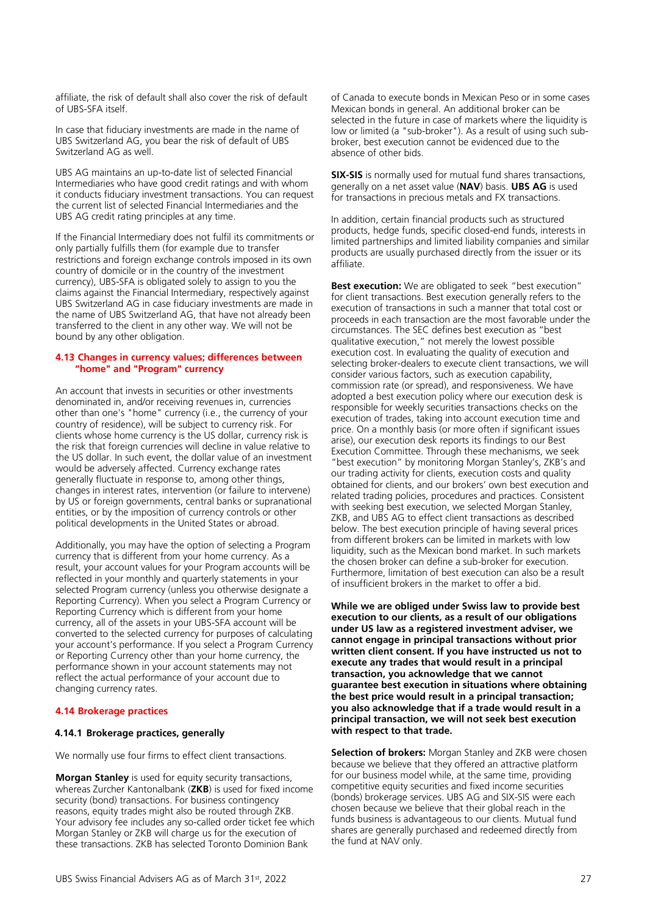affiliate, the risk of default shall also cover the risk of default of UBS-SFA itself.

In case that fiduciary investments are made in the name of UBS Switzerland AG, you bear the risk of default of UBS Switzerland AG as well.

UBS AG maintains an up-to-date list of selected Financial Intermediaries who have good credit ratings and with whom it conducts fiduciary investment transactions. You can request the current list of selected Financial Intermediaries and the UBS AG credit rating principles at any time.

If the Financial Intermediary does not fulfil its commitments or only partially fulfills them (for example due to transfer restrictions and foreign exchange controls imposed in its own country of domicile or in the country of the investment currency), UBS-SFA is obligated solely to assign to you the claims against the Financial Intermediary, respectively against UBS Switzerland AG in case fiduciary investments are made in the name of UBS Switzerland AG, that have not already been transferred to the client in any other way. We will not be bound by any other obligation.

# <span id="page-26-0"></span>**4.13 Changes in currency values; differences between "home" and "Program" currency**

An account that invests in securities or other investments denominated in, and/or receiving revenues in, currencies other than one's "home" currency (i.e., the currency of your country of residence), will be subject to currency risk. For clients whose home currency is the US dollar, currency risk is the risk that foreign currencies will decline in value relative to the US dollar. In such event, the dollar value of an investment would be adversely affected. Currency exchange rates generally fluctuate in response to, among other things, changes in interest rates, intervention (or failure to intervene) by US or foreign governments, central banks or supranational entities, or by the imposition of currency controls or other political developments in the United States or abroad.

Additionally, you may have the option of selecting a Program currency that is different from your home currency. As a result, your account values for your Program accounts will be reflected in your monthly and quarterly statements in your selected Program currency (unless you otherwise designate a Reporting Currency). When you select a Program Currency or Reporting Currency which is different from your home currency, all of the assets in your UBS-SFA account will be converted to the selected currency for purposes of calculating your account's performance. If you select a Program Currency or Reporting Currency other than your home currency, the performance shown in your account statements may not reflect the actual performance of your account due to changing currency rates.

# <span id="page-26-1"></span>**4.14 Brokerage practices**

# **4.14.1 Brokerage practices, generally**

We normally use four firms to effect client transactions.

**Morgan Stanley** is used for equity security transactions, whereas Zurcher Kantonalbank (**ZKB**) is used for fixed income security (bond) transactions. For business contingency reasons, equity trades might also be routed through ZKB. Your advisory fee includes any so-called order ticket fee which Morgan Stanley or ZKB will charge us for the execution of these transactions. ZKB has selected Toronto Dominion Bank

of Canada to execute bonds in Mexican Peso or in some cases Mexican bonds in general. An additional broker can be selected in the future in case of markets where the liquidity is low or limited (a "sub-broker"). As a result of using such subbroker, best execution cannot be evidenced due to the absence of other bids.

**SIX-SIS** is normally used for mutual fund shares transactions, generally on a net asset value (**NAV**) basis. **UBS AG** is used for transactions in precious metals and FX transactions.

In addition, certain financial products such as structured products, hedge funds, specific closed-end funds, interests in limited partnerships and limited liability companies and similar products are usually purchased directly from the issuer or its affiliate.

**Best execution:** We are obligated to seek "best execution" for client transactions. Best execution generally refers to the execution of transactions in such a manner that total cost or proceeds in each transaction are the most favorable under the circumstances. The SEC defines best execution as "best qualitative execution," not merely the lowest possible execution cost. In evaluating the quality of execution and selecting broker-dealers to execute client transactions, we will consider various factors, such as execution capability, commission rate (or spread), and responsiveness. We have adopted a best execution policy where our execution desk is responsible for weekly securities transactions checks on the execution of trades, taking into account execution time and price. On a monthly basis (or more often if significant issues arise), our execution desk reports its findings to our Best Execution Committee. Through these mechanisms, we seek "best execution" by monitoring Morgan Stanley's, ZKB's and our trading activity for clients, execution costs and quality obtained for clients, and our brokers' own best execution and related trading policies, procedures and practices. Consistent with seeking best execution, we selected Morgan Stanley, ZKB, and UBS AG to effect client transactions as described below. The best execution principle of having several prices from different brokers can be limited in markets with low liquidity, such as the Mexican bond market. In such markets the chosen broker can define a sub-broker for execution. Furthermore, limitation of best execution can also be a result of insufficient brokers in the market to offer a bid.

**While we are obliged under Swiss law to provide best execution to our clients, as a result of our obligations under US law as a registered investment adviser, we cannot engage in principal transactions without prior written client consent. If you have instructed us not to execute any trades that would result in a principal transaction, you acknowledge that we cannot guarantee best execution in situations where obtaining the best price would result in a principal transaction; you also acknowledge that if a trade would result in a principal transaction, we will not seek best execution with respect to that trade.** 

**Selection of brokers:** Morgan Stanley and ZKB were chosen because we believe that they offered an attractive platform for our business model while, at the same time, providing competitive equity securities and fixed income securities (bonds) brokerage services. UBS AG and SIX-SIS were each chosen because we believe that their global reach in the funds business is advantageous to our clients. Mutual fund shares are generally purchased and redeemed directly from the fund at NAV only.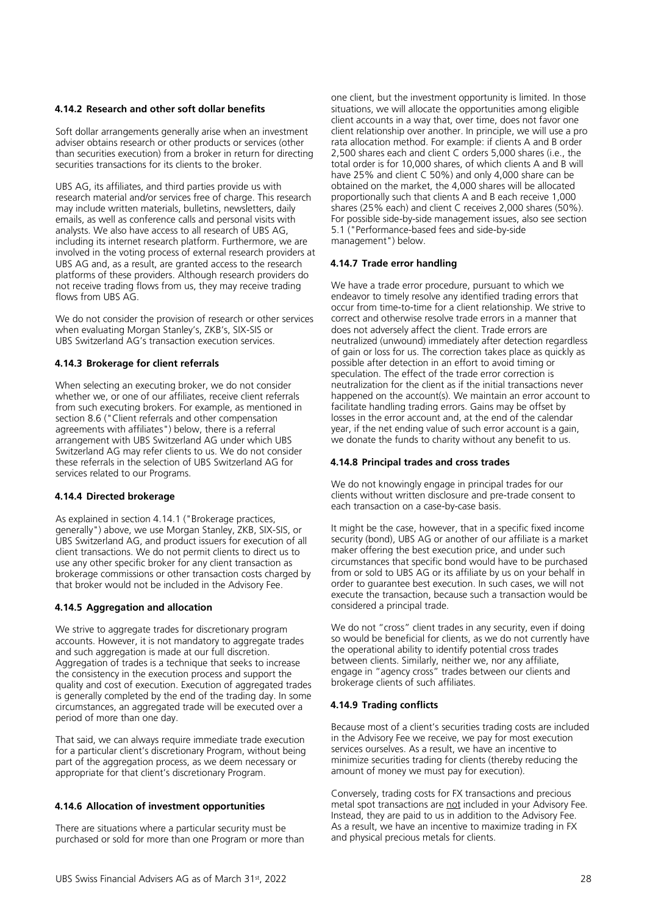# **4.14.2 Research and other soft dollar benefits**

Soft dollar arrangements generally arise when an investment adviser obtains research or other products or services (other than securities execution) from a broker in return for directing securities transactions for its clients to the broker.

UBS AG, its affiliates, and third parties provide us with research material and/or services free of charge. This research may include written materials, bulletins, newsletters, daily emails, as well as conference calls and personal visits with analysts. We also have access to all research of UBS AG, including its internet research platform. Furthermore, we are involved in the voting process of external research providers at UBS AG and, as a result, are granted access to the research platforms of these providers. Although research providers do not receive trading flows from us, they may receive trading flows from UBS AG.

We do not consider the provision of research or other services when evaluating Morgan Stanley's, ZKB's, SIX-SIS or UBS Switzerland AG's transaction execution services.

# **4.14.3 Brokerage for client referrals**

When selecting an executing broker, we do not consider whether we, or one of our affiliates, receive client referrals from such executing brokers. For example, as mentioned in section 8.6 ("Client referrals and other compensation agreements with affiliates") below, there is a referral arrangement with UBS Switzerland AG under which UBS Switzerland AG may refer clients to us. We do not consider these referrals in the selection of UBS Switzerland AG for services related to our Programs.

# **4.14.4 Directed brokerage**

As explained in section 4.14.1 ("Brokerage practices, generally") above, we use Morgan Stanley, ZKB, SIX-SIS, or UBS Switzerland AG, and product issuers for execution of all client transactions. We do not permit clients to direct us to use any other specific broker for any client transaction as brokerage commissions or other transaction costs charged by that broker would not be included in the Advisory Fee.

# **4.14.5 Aggregation and allocation**

We strive to aggregate trades for discretionary program accounts. However, it is not mandatory to aggregate trades and such aggregation is made at our full discretion. Aggregation of trades is a technique that seeks to increase the consistency in the execution process and support the quality and cost of execution. Execution of aggregated trades is generally completed by the end of the trading day. In some circumstances, an aggregated trade will be executed over a period of more than one day.

That said, we can always require immediate trade execution for a particular client's discretionary Program, without being part of the aggregation process, as we deem necessary or appropriate for that client's discretionary Program.

# **4.14.6 Allocation of investment opportunities**

There are situations where a particular security must be purchased or sold for more than one Program or more than one client, but the investment opportunity is limited. In those situations, we will allocate the opportunities among eligible client accounts in a way that, over time, does not favor one client relationship over another. In principle, we will use a pro rata allocation method. For example: if clients A and B order 2,500 shares each and client C orders 5,000 shares (i.e., the total order is for 10,000 shares, of which clients A and B will have 25% and client C 50%) and only 4,000 share can be obtained on the market, the 4,000 shares will be allocated proportionally such that clients A and B each receive 1,000 shares (25% each) and client C receives 2,000 shares (50%). For possible side-by-side management issues, also see section 5.1 ("Performance-based fees and side-by-side management") below.

# **4.14.7 Trade error handling**

We have a trade error procedure, pursuant to which we endeavor to timely resolve any identified trading errors that occur from time-to-time for a client relationship. We strive to correct and otherwise resolve trade errors in a manner that does not adversely affect the client. Trade errors are neutralized (unwound) immediately after detection regardless of gain or loss for us. The correction takes place as quickly as possible after detection in an effort to avoid timing or speculation. The effect of the trade error correction is neutralization for the client as if the initial transactions never happened on the account(s). We maintain an error account to facilitate handling trading errors. Gains may be offset by losses in the error account and, at the end of the calendar year, if the net ending value of such error account is a gain, we donate the funds to charity without any benefit to us.

# **4.14.8 Principal trades and cross trades**

We do not knowingly engage in principal trades for our clients without written disclosure and pre-trade consent to each transaction on a case-by-case basis.

It might be the case, however, that in a specific fixed income security (bond), UBS AG or another of our affiliate is a market maker offering the best execution price, and under such circumstances that specific bond would have to be purchased from or sold to UBS AG or its affiliate by us on your behalf in order to guarantee best execution. In such cases, we will not execute the transaction, because such a transaction would be considered a principal trade.

We do not "cross" client trades in any security, even if doing so would be beneficial for clients, as we do not currently have the operational ability to identify potential cross trades between clients. Similarly, neither we, nor any affiliate, engage in "agency cross" trades between our clients and brokerage clients of such affiliates.

# **4.14.9 Trading conflicts**

Because most of a client's securities trading costs are included in the Advisory Fee we receive, we pay for most execution services ourselves. As a result, we have an incentive to minimize securities trading for clients (thereby reducing the amount of money we must pay for execution).

Conversely, trading costs for FX transactions and precious metal spot transactions are not included in your Advisory Fee. Instead, they are paid to us  $\overline{in}$  addition to the Advisory Fee. As a result, we have an incentive to maximize trading in FX and physical precious metals for clients.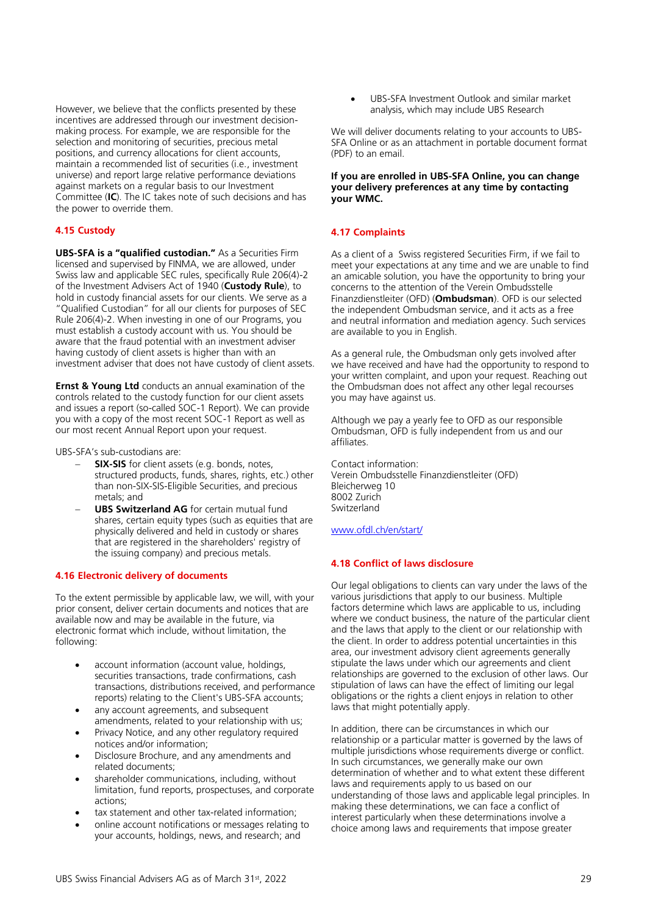However, we believe that the conflicts presented by these incentives are addressed through our investment decisionmaking process. For example, we are responsible for the selection and monitoring of securities, precious metal positions, and currency allocations for client accounts, maintain a recommended list of securities (i.e., investment universe) and report large relative performance deviations against markets on a regular basis to our Investment Committee (**IC**). The IC takes note of such decisions and has the power to override them.

# <span id="page-28-0"></span>**4.15 Custody**

**UBS-SFA is a "qualified custodian."** As a Securities Firm licensed and supervised by FINMA, we are allowed, under Swiss law and applicable SEC rules, specifically Rule 206(4)-2 of the Investment Advisers Act of 1940 (**Custody Rule**), to hold in custody financial assets for our clients. We serve as a "Qualified Custodian" for all our clients for purposes of SEC Rule 206(4)-2. When investing in one of our Programs, you must establish a custody account with us. You should be aware that the fraud potential with an investment adviser having custody of client assets is higher than with an investment adviser that does not have custody of client assets.

**Ernst & Young Ltd** conducts an annual examination of the controls related to the custody function for our client assets and issues a report (so-called SOC-1 Report). We can provide you with a copy of the most recent SOC-1 Report as well as our most recent Annual Report upon your request.

UBS-SFA's sub-custodians are:

- **SIX-SIS** for client assets (e.g. bonds, notes, structured products, funds, shares, rights, etc.) other than non-SIX-SIS-Eligible Securities, and precious metals; and
- **UBS Switzerland AG** for certain mutual fund shares, certain equity types (such as equities that are physically delivered and held in custody or shares that are registered in the shareholders' registry of the issuing company) and precious metals.

# <span id="page-28-1"></span>**4.16 Electronic delivery of documents**

To the extent permissible by applicable law, we will, with your prior consent, deliver certain documents and notices that are available now and may be available in the future, via electronic format which include, without limitation, the following:

- account information (account value, holdings, securities transactions, trade confirmations, cash transactions, distributions received, and performance reports) relating to the Client's UBS-SFA accounts;
- any account agreements, and subsequent amendments, related to your relationship with us;
- Privacy Notice, and any other regulatory required notices and/or information;
- Disclosure Brochure, and any amendments and related documents;
- shareholder communications, including, without limitation, fund reports, prospectuses, and corporate actions;
- tax statement and other tax-related information;
- online account notifications or messages relating to your accounts, holdings, news, and research; and

UBS-SFA Investment Outlook and similar market analysis, which may include UBS Research

We will deliver documents relating to your accounts to UBS-SFA Online or as an attachment in portable document format (PDF) to an email.

# **If you are enrolled in UBS-SFA Online, you can change your delivery preferences at any time by contacting your WMC.**

# <span id="page-28-2"></span>**4.17 Complaints**

As a client of a Swiss registered Securities Firm, if we fail to meet your expectations at any time and we are unable to find an amicable solution, you have the opportunity to bring your concerns to the attention of the Verein Ombudsstelle Finanzdienstleiter (OFD) (**Ombudsman**). OFD is our selected the independent Ombudsman service, and it acts as a free and neutral information and mediation agency. Such services are available to you in English.

As a general rule, the Ombudsman only gets involved after we have received and have had the opportunity to respond to your written complaint, and upon your request. Reaching out the Ombudsman does not affect any other legal recourses you may have against us.

Although we pay a yearly fee to OFD as our responsible Ombudsman, OFD is fully independent from us and our affiliates.

Contact information: Verein Ombudsstelle Finanzdienstleiter (OFD) Bleicherweg 10 8002 Zurich Switzerland

[www.ofdl.ch/en/start/](http://www.ofdl.ch/en/start/)

# <span id="page-28-3"></span>**4.18 Conflict of laws disclosure**

Our legal obligations to clients can vary under the laws of the various jurisdictions that apply to our business. Multiple factors determine which laws are applicable to us, including where we conduct business, the nature of the particular client and the laws that apply to the client or our relationship with the client. In order to address potential uncertainties in this area, our investment advisory client agreements generally stipulate the laws under which our agreements and client relationships are governed to the exclusion of other laws. Our stipulation of laws can have the effect of limiting our legal obligations or the rights a client enjoys in relation to other laws that might potentially apply.

In addition, there can be circumstances in which our relationship or a particular matter is governed by the laws of multiple jurisdictions whose requirements diverge or conflict. In such circumstances, we generally make our own determination of whether and to what extent these different laws and requirements apply to us based on our understanding of those laws and applicable legal principles. In making these determinations, we can face a conflict of interest particularly when these determinations involve a choice among laws and requirements that impose greater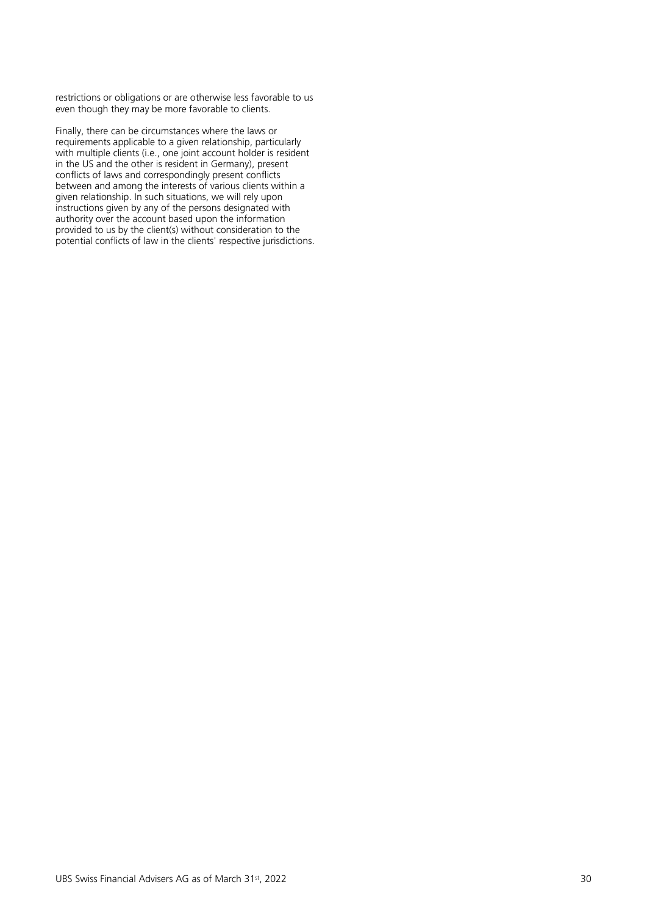restrictions or obligations or are otherwise less favorable to us even though they may be more favorable to clients.

Finally, there can be circumstances where the laws or requirements applicable to a given relationship, particularly with multiple clients (i.e., one joint account holder is resident in the US and the other is resident in Germany), present conflicts of laws and correspondingly present conflicts between and among the interests of various clients within a given relationship. In such situations, we will rely upon instructions given by any of the persons designated with authority over the account based upon the information provided to us by the client(s) without consideration to the potential conflicts of law in the clients' respective jurisdictions.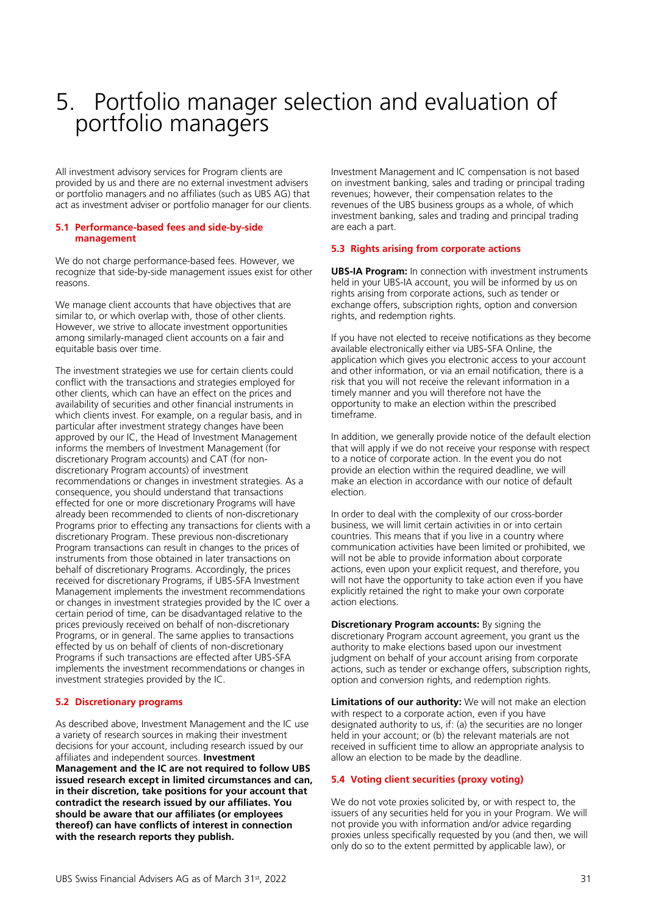# <span id="page-30-0"></span>5. Portfolio manager selection and evaluation of portfolio managers

All investment advisory services for Program clients are provided by us and there are no external investment advisers or portfolio managers and no affiliates (such as UBS AG) that act as investment adviser or portfolio manager for our clients.

# <span id="page-30-1"></span>**5.1 Performance-based fees and side-by-side management**

We do not charge performance-based fees. However, we recognize that side-by-side management issues exist for other reasons.

We manage client accounts that have objectives that are similar to, or which overlap with, those of other clients. However, we strive to allocate investment opportunities among similarly-managed client accounts on a fair and equitable basis over time.

The investment strategies we use for certain clients could conflict with the transactions and strategies employed for other clients, which can have an effect on the prices and availability of securities and other financial instruments in which clients invest. For example, on a regular basis, and in particular after investment strategy changes have been approved by our IC, the Head of Investment Management informs the members of Investment Management (for discretionary Program accounts) and CAT (for nondiscretionary Program accounts) of investment recommendations or changes in investment strategies. As a consequence, you should understand that transactions effected for one or more discretionary Programs will have already been recommended to clients of non-discretionary Programs prior to effecting any transactions for clients with a discretionary Program. These previous non-discretionary Program transactions can result in changes to the prices of instruments from those obtained in later transactions on behalf of discretionary Programs. Accordingly, the prices received for discretionary Programs, if UBS-SFA Investment Management implements the investment recommendations or changes in investment strategies provided by the IC over a certain period of time, can be disadvantaged relative to the prices previously received on behalf of non-discretionary Programs, or in general. The same applies to transactions effected by us on behalf of clients of non-discretionary Programs if such transactions are effected after UBS-SFA implements the investment recommendations or changes in investment strategies provided by the IC.

# <span id="page-30-2"></span>**5.2 Discretionary programs**

As described above, Investment Management and the IC use a variety of research sources in making their investment decisions for your account, including research issued by our affiliates and independent sources. **Investment Management and the IC are not required to follow UBS issued research except in limited circumstances and can, in their discretion, take positions for your account that contradict the research issued by our affiliates. You should be aware that our affiliates (or employees thereof) can have conflicts of interest in connection with the research reports they publish.**

Investment Management and IC compensation is not based on investment banking, sales and trading or principal trading revenues; however, their compensation relates to the revenues of the UBS business groups as a whole, of which investment banking, sales and trading and principal trading are each a part.

# <span id="page-30-3"></span>**5.3 Rights arising from corporate actions**

**UBS-IA Program:** In connection with investment instruments held in your UBS-IA account, you will be informed by us on rights arising from corporate actions, such as tender or exchange offers, subscription rights, option and conversion rights, and redemption rights.

If you have not elected to receive notifications as they become available electronically either via UBS-SFA Online, the application which gives you electronic access to your account and other information, or via an email notification, there is a risk that you will not receive the relevant information in a timely manner and you will therefore not have the opportunity to make an election within the prescribed timeframe.

In addition, we generally provide notice of the default election that will apply if we do not receive your response with respect to a notice of corporate action. In the event you do not provide an election within the required deadline, we will make an election in accordance with our notice of default election.

In order to deal with the complexity of our cross-border business, we will limit certain activities in or into certain countries. This means that if you live in a country where communication activities have been limited or prohibited, we will not be able to provide information about corporate actions, even upon your explicit request, and therefore, you will not have the opportunity to take action even if you have explicitly retained the right to make your own corporate action elections.

**Discretionary Program accounts:** By signing the discretionary Program account agreement, you grant us the authority to make elections based upon our investment judgment on behalf of your account arising from corporate actions, such as tender or exchange offers, subscription rights, option and conversion rights, and redemption rights.

**Limitations of our authority:** We will not make an election with respect to a corporate action, even if you have designated authority to us, if: (a) the securities are no longer held in your account; or (b) the relevant materials are not received in sufficient time to allow an appropriate analysis to allow an election to be made by the deadline.

# <span id="page-30-4"></span>**5.4 Voting client securities (proxy voting)**

We do not vote proxies solicited by, or with respect to, the issuers of any securities held for you in your Program. We will not provide you with information and/or advice regarding proxies unless specifically requested by you (and then, we will only do so to the extent permitted by applicable law), or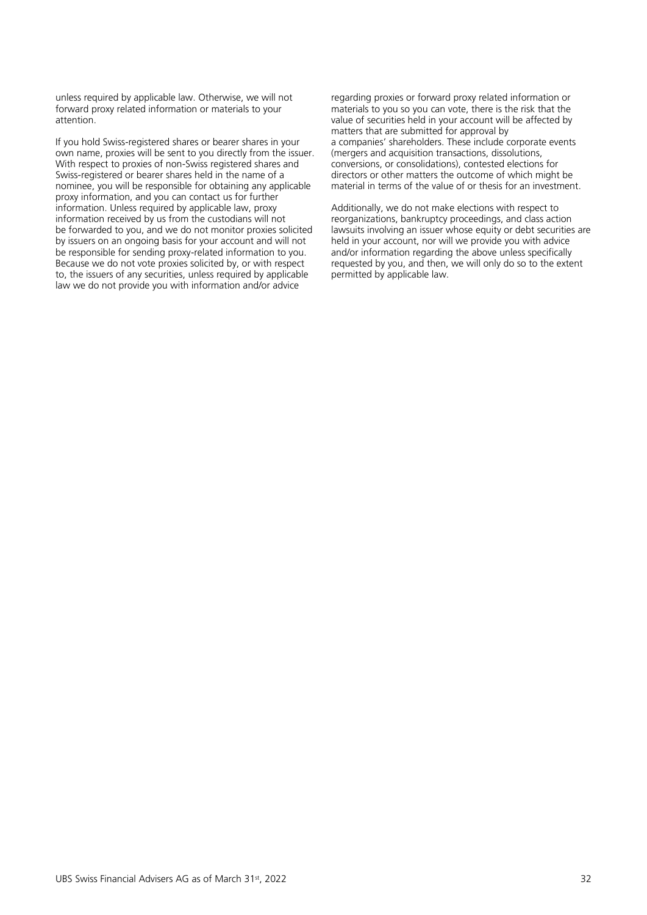unless required by applicable law. Otherwise, we will not forward proxy related information or materials to your attention.

If you hold Swiss-registered shares or bearer shares in your own name, proxies will be sent to you directly from the issuer. With respect to proxies of non-Swiss registered shares and Swiss-registered or bearer shares held in the name of a nominee, you will be responsible for obtaining any applicable proxy information, and you can contact us for further information. Unless required by applicable law, proxy information received by us from the custodians will not be forwarded to you, and we do not monitor proxies solicited by issuers on an ongoing basis for your account and will not be responsible for sending proxy-related information to you. Because we do not vote proxies solicited by, or with respect to, the issuers of any securities, unless required by applicable law we do not provide you with information and/or advice

regarding proxies or forward proxy related information or materials to you so you can vote, there is the risk that the value of securities held in your account will be affected by matters that are submitted for approval by a companies' shareholders. These include corporate events (mergers and acquisition transactions, dissolutions, conversions, or consolidations), contested elections for directors or other matters the outcome of which might be material in terms of the value of or thesis for an investment.

Additionally, we do not make elections with respect to reorganizations, bankruptcy proceedings, and class action lawsuits involving an issuer whose equity or debt securities are held in your account, nor will we provide you with advice and/or information regarding the above unless specifically requested by you, and then, we will only do so to the extent permitted by applicable law.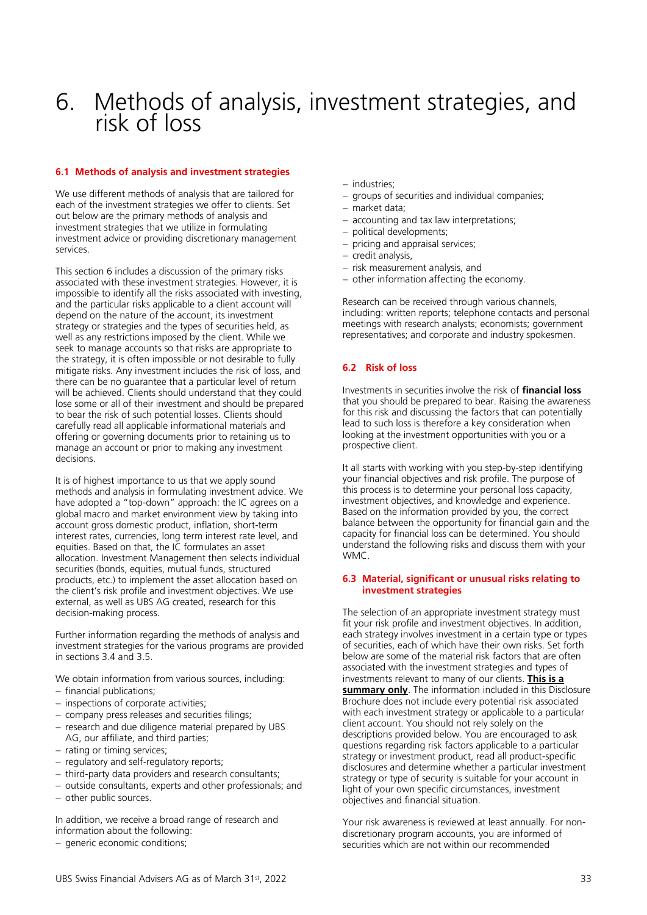# <span id="page-32-0"></span>6. Methods of analysis, investment strategies, and risk of loss

# <span id="page-32-1"></span>**6.1 Methods of analysis and investment strategies**

We use different methods of analysis that are tailored for each of the investment strategies we offer to clients. Set out below are the primary methods of analysis and investment strategies that we utilize in formulating investment advice or providing discretionary management services.

This section 6 includes a discussion of the primary risks associated with these investment strategies. However, it is impossible to identify all the risks associated with investing, and the particular risks applicable to a client account will depend on the nature of the account, its investment strategy or strategies and the types of securities held, as well as any restrictions imposed by the client. While we seek to manage accounts so that risks are appropriate to the strategy, it is often impossible or not desirable to fully mitigate risks. Any investment includes the risk of loss, and there can be no guarantee that a particular level of return will be achieved. Clients should understand that they could lose some or all of their investment and should be prepared to bear the risk of such potential losses. Clients should carefully read all applicable informational materials and offering or governing documents prior to retaining us to manage an account or prior to making any investment decisions.

It is of highest importance to us that we apply sound methods and analysis in formulating investment advice. We have adopted a "top-down" approach: the IC agrees on a global macro and market environment view by taking into account gross domestic product, inflation, short-term interest rates, currencies, long term interest rate level, and equities. Based on that, the IC formulates an asset allocation. Investment Management then selects individual securities (bonds, equities, mutual funds, structured products, etc.) to implement the asset allocation based on the client's risk profile and investment objectives. We use external, as well as UBS AG created, research for this decision-making process.

Further information regarding the methods of analysis and investment strategies for the various programs are provided in sections 3.4 and 3.5.

We obtain information from various sources, including:

- − financial publications;
- − inspections of corporate activities;
- − company press releases and securities filings;
- − research and due diligence material prepared by UBS AG, our affiliate, and third parties;
- − rating or timing services;
- − regulatory and self-regulatory reports;
- − third-party data providers and research consultants;
- − outside consultants, experts and other professionals; and
- − other public sources.

In addition, we receive a broad range of research and information about the following:

− generic economic conditions;

- − industries;
- − groups of securities and individual companies;
- − market data;
- − accounting and tax law interpretations;
- political developments;
- pricing and appraisal services;
- − credit analysis,
- − risk measurement analysis, and
- − other information affecting the economy.

Research can be received through various channels, including: written reports; telephone contacts and personal meetings with research analysts; economists; government representatives; and corporate and industry spokesmen.

# <span id="page-32-2"></span>**6.2 Risk of loss**

Investments in securities involve the risk of **financial loss** that you should be prepared to bear. Raising the awareness for this risk and discussing the factors that can potentially lead to such loss is therefore a key consideration when looking at the investment opportunities with you or a prospective client.

It all starts with working with you step-by-step identifying your financial objectives and risk profile. The purpose of this process is to determine your personal loss capacity, investment objectives, and knowledge and experience. Based on the information provided by you, the correct balance between the opportunity for financial gain and the capacity for financial loss can be determined. You should understand the following risks and discuss them with your WMC.

# <span id="page-32-3"></span>**6.3 Material, significant or unusual risks relating to investment strategies**

The selection of an appropriate investment strategy must fit your risk profile and investment objectives. In addition, each strategy involves investment in a certain type or types of securities, each of which have their own risks. Set forth below are some of the material risk factors that are often associated with the investment strategies and types of investments relevant to many of our clients. **This is a summary only**. The information included in this Disclosure Brochure does not include every potential risk associated with each investment strategy or applicable to a particular client account. You should not rely solely on the descriptions provided below. You are encouraged to ask questions regarding risk factors applicable to a particular strategy or investment product, read all product-specific disclosures and determine whether a particular investment strategy or type of security is suitable for your account in light of your own specific circumstances, investment objectives and financial situation.

Your risk awareness is reviewed at least annually. For nondiscretionary program accounts, you are informed of securities which are not within our recommended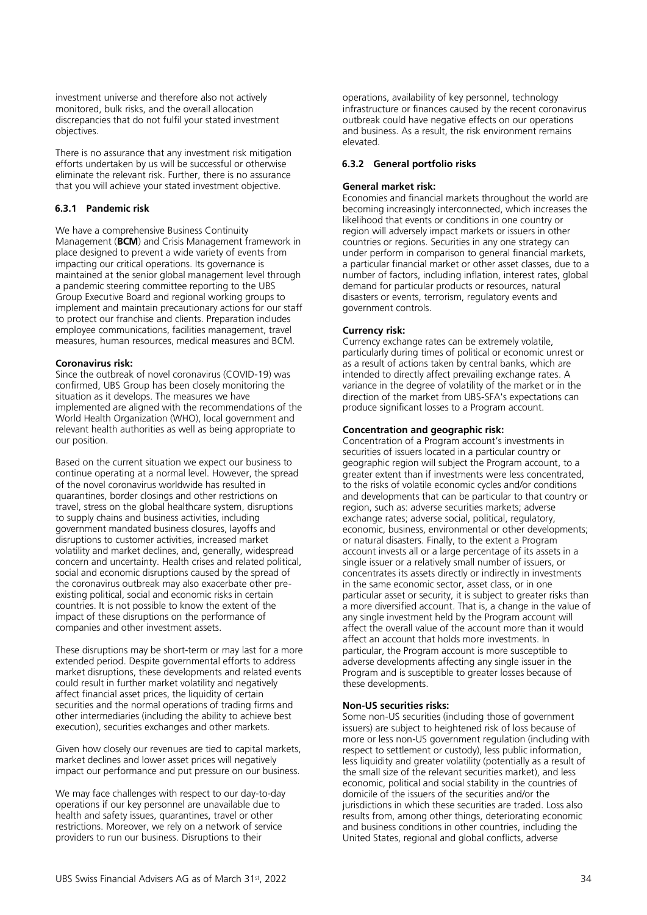investment universe and therefore also not actively monitored, bulk risks, and the overall allocation discrepancies that do not fulfil your stated investment objectives.

There is no assurance that any investment risk mitigation efforts undertaken by us will be successful or otherwise eliminate the relevant risk. Further, there is no assurance that you will achieve your stated investment objective.

# **6.3.1 Pandemic risk**

We have a comprehensive Business Continuity Management (**BCM**) and Crisis Management framework in place designed to prevent a wide variety of events from impacting our critical operations. Its governance is maintained at the senior global management level through a pandemic steering committee reporting to the UBS Group Executive Board and regional working groups to implement and maintain precautionary actions for our staff to protect our franchise and clients. Preparation includes employee communications, facilities management, travel measures, human resources, medical measures and BCM.

# **Coronavirus risk:**

Since the outbreak of novel coronavirus (COVID-19) was confirmed, UBS Group has been closely monitoring the situation as it develops. The measures we have implemented are aligned with the recommendations of the World Health Organization (WHO), local government and relevant health authorities as well as being appropriate to our position.

Based on the current situation we expect our business to continue operating at a normal level. However, the spread of the novel coronavirus worldwide has resulted in quarantines, border closings and other restrictions on travel, stress on the global healthcare system, disruptions to supply chains and business activities, including government mandated business closures, layoffs and disruptions to customer activities, increased market volatility and market declines, and, generally, widespread concern and uncertainty. Health crises and related political, social and economic disruptions caused by the spread of the coronavirus outbreak may also exacerbate other preexisting political, social and economic risks in certain countries. It is not possible to know the extent of the impact of these disruptions on the performance of companies and other investment assets.

These disruptions may be short-term or may last for a more extended period. Despite governmental efforts to address market disruptions, these developments and related events could result in further market volatility and negatively affect financial asset prices, the liquidity of certain securities and the normal operations of trading firms and other intermediaries (including the ability to achieve best execution), securities exchanges and other markets.

Given how closely our revenues are tied to capital markets, market declines and lower asset prices will negatively impact our performance and put pressure on our business.

We may face challenges with respect to our day-to-day operations if our key personnel are unavailable due to health and safety issues, quarantines, travel or other restrictions. Moreover, we rely on a network of service providers to run our business. Disruptions to their

operations, availability of key personnel, technology infrastructure or finances caused by the recent coronavirus outbreak could have negative effects on our operations and business. As a result, the risk environment remains elevated.

#### **6.3.2 General portfolio risks**

#### **General market risk:**

Economies and financial markets throughout the world are becoming increasingly interconnected, which increases the likelihood that events or conditions in one country or region will adversely impact markets or issuers in other countries or regions. Securities in any one strategy can under perform in comparison to general financial markets, a particular financial market or other asset classes, due to a number of factors, including inflation, interest rates, global demand for particular products or resources, natural disasters or events, terrorism, regulatory events and government controls.

#### **Currency risk:**

Currency exchange rates can be extremely volatile, particularly during times of political or economic unrest or as a result of actions taken by central banks, which are intended to directly affect prevailing exchange rates. A variance in the degree of volatility of the market or in the direction of the market from UBS-SFA's expectations can produce significant losses to a Program account.

#### **Concentration and geographic risk:**

Concentration of a Program account's investments in securities of issuers located in a particular country or geographic region will subject the Program account, to a greater extent than if investments were less concentrated, to the risks of volatile economic cycles and/or conditions and developments that can be particular to that country or region, such as: adverse securities markets; adverse exchange rates; adverse social, political, regulatory, economic, business, environmental or other developments; or natural disasters. Finally, to the extent a Program account invests all or a large percentage of its assets in a single issuer or a relatively small number of issuers, or concentrates its assets directly or indirectly in investments in the same economic sector, asset class, or in one particular asset or security, it is subject to greater risks than a more diversified account. That is, a change in the value of any single investment held by the Program account will affect the overall value of the account more than it would affect an account that holds more investments. In particular, the Program account is more susceptible to adverse developments affecting any single issuer in the Program and is susceptible to greater losses because of these developments.

#### **Non-US securities risks:**

Some non-US securities (including those of government issuers) are subject to heightened risk of loss because of more or less non-US government regulation (including with respect to settlement or custody), less public information, less liquidity and greater volatility (potentially as a result of the small size of the relevant securities market), and less economic, political and social stability in the countries of domicile of the issuers of the securities and/or the jurisdictions in which these securities are traded. Loss also results from, among other things, deteriorating economic and business conditions in other countries, including the United States, regional and global conflicts, adverse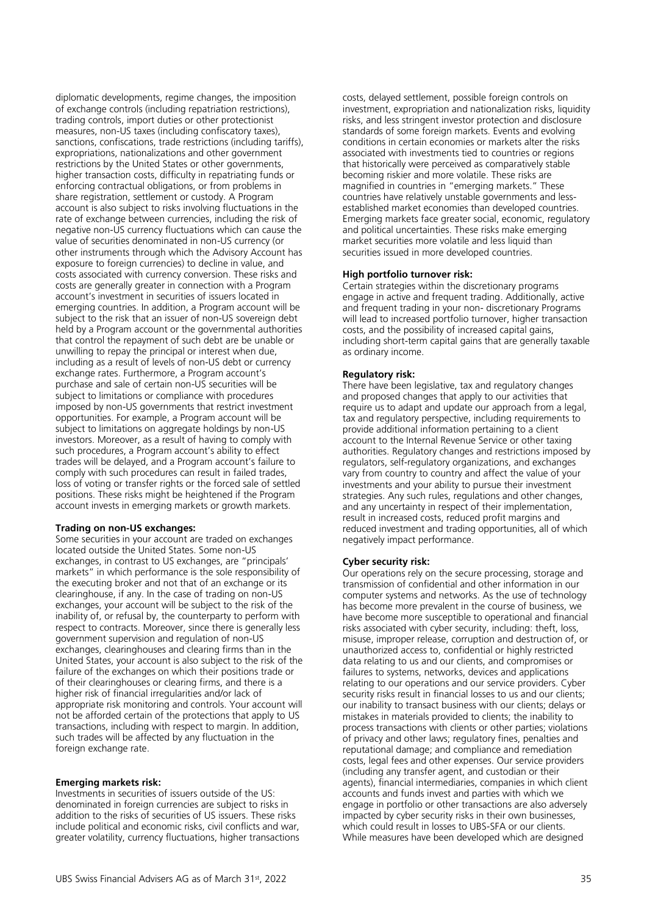diplomatic developments, regime changes, the imposition of exchange controls (including repatriation restrictions), trading controls, import duties or other protectionist measures, non-US taxes (including confiscatory taxes), sanctions, confiscations, trade restrictions (including tariffs), expropriations, nationalizations and other government restrictions by the United States or other governments, higher transaction costs, difficulty in repatriating funds or enforcing contractual obligations, or from problems in share registration, settlement or custody. A Program account is also subject to risks involving fluctuations in the rate of exchange between currencies, including the risk of negative non-US currency fluctuations which can cause the value of securities denominated in non-US currency (or other instruments through which the Advisory Account has exposure to foreign currencies) to decline in value, and costs associated with currency conversion. These risks and costs are generally greater in connection with a Program account's investment in securities of issuers located in emerging countries. In addition, a Program account will be subject to the risk that an issuer of non-US sovereign debt held by a Program account or the governmental authorities that control the repayment of such debt are be unable or unwilling to repay the principal or interest when due, including as a result of levels of non-US debt or currency exchange rates. Furthermore, a Program account's purchase and sale of certain non-US securities will be subject to limitations or compliance with procedures imposed by non-US governments that restrict investment opportunities. For example, a Program account will be subject to limitations on aggregate holdings by non-US investors. Moreover, as a result of having to comply with such procedures, a Program account's ability to effect trades will be delayed, and a Program account's failure to comply with such procedures can result in failed trades, loss of voting or transfer rights or the forced sale of settled positions. These risks might be heightened if the Program account invests in emerging markets or growth markets.

# **Trading on non-US exchanges:**

Some securities in your account are traded on exchanges located outside the United States. Some non-US exchanges, in contrast to US exchanges, are "principals' markets" in which performance is the sole responsibility of the executing broker and not that of an exchange or its clearinghouse, if any. In the case of trading on non-US exchanges, your account will be subject to the risk of the inability of, or refusal by, the counterparty to perform with respect to contracts. Moreover, since there is generally less government supervision and regulation of non-US exchanges, clearinghouses and clearing firms than in the United States, your account is also subject to the risk of the failure of the exchanges on which their positions trade or of their clearinghouses or clearing firms, and there is a higher risk of financial irregularities and/or lack of appropriate risk monitoring and controls. Your account will not be afforded certain of the protections that apply to US transactions, including with respect to margin. In addition, such trades will be affected by any fluctuation in the foreign exchange rate.

#### **Emerging markets risk:**

Investments in securities of issuers outside of the US: denominated in foreign currencies are subject to risks in addition to the risks of securities of US issuers. These risks include political and economic risks, civil conflicts and war, greater volatility, currency fluctuations, higher transactions

costs, delayed settlement, possible foreign controls on investment, expropriation and nationalization risks, liquidity risks, and less stringent investor protection and disclosure standards of some foreign markets. Events and evolving conditions in certain economies or markets alter the risks associated with investments tied to countries or regions that historically were perceived as comparatively stable becoming riskier and more volatile. These risks are magnified in countries in "emerging markets." These countries have relatively unstable governments and lessestablished market economies than developed countries. Emerging markets face greater social, economic, regulatory and political uncertainties. These risks make emerging market securities more volatile and less liquid than securities issued in more developed countries.

# **High portfolio turnover risk:**

Certain strategies within the discretionary programs engage in active and frequent trading. Additionally, active and frequent trading in your non- discretionary Programs will lead to increased portfolio turnover, higher transaction costs, and the possibility of increased capital gains, including short-term capital gains that are generally taxable as ordinary income.

#### **Regulatory risk:**

There have been legislative, tax and regulatory changes and proposed changes that apply to our activities that require us to adapt and update our approach from a legal, tax and regulatory perspective, including requirements to provide additional information pertaining to a client account to the Internal Revenue Service or other taxing authorities. Regulatory changes and restrictions imposed by regulators, self-regulatory organizations, and exchanges vary from country to country and affect the value of your investments and your ability to pursue their investment strategies. Any such rules, regulations and other changes, and any uncertainty in respect of their implementation, result in increased costs, reduced profit margins and reduced investment and trading opportunities, all of which negatively impact performance.

#### **Cyber security risk:**

Our operations rely on the secure processing, storage and transmission of confidential and other information in our computer systems and networks. As the use of technology has become more prevalent in the course of business, we have become more susceptible to operational and financial risks associated with cyber security, including: theft, loss, misuse, improper release, corruption and destruction of, or unauthorized access to, confidential or highly restricted data relating to us and our clients, and compromises or failures to systems, networks, devices and applications relating to our operations and our service providers. Cyber security risks result in financial losses to us and our clients; our inability to transact business with our clients; delays or mistakes in materials provided to clients; the inability to process transactions with clients or other parties; violations of privacy and other laws; regulatory fines, penalties and reputational damage; and compliance and remediation costs, legal fees and other expenses. Our service providers (including any transfer agent, and custodian or their agents), financial intermediaries, companies in which client accounts and funds invest and parties with which we engage in portfolio or other transactions are also adversely impacted by cyber security risks in their own businesses, which could result in losses to UBS-SFA or our clients. While measures have been developed which are designed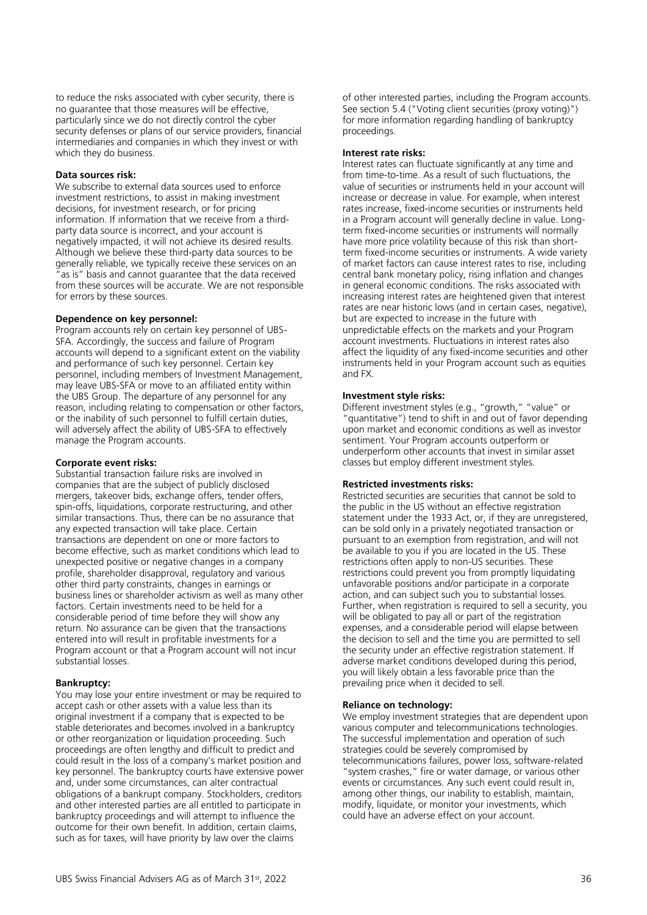to reduce the risks associated with cyber security, there is no guarantee that those measures will be effective, particularly since we do not directly control the cyber security defenses or plans of our service providers, financial intermediaries and companies in which they invest or with which they do business.

# **Data sources risk:**

We subscribe to external data sources used to enforce investment restrictions, to assist in making investment decisions, for investment research, or for pricing information. If information that we receive from a thirdparty data source is incorrect, and your account is negatively impacted, it will not achieve its desired results. Although we believe these third-party data sources to be generally reliable, we typically receive these services on an as is" basis and cannot quarantee that the data received from these sources will be accurate. We are not responsible for errors by these sources.

#### **Dependence on key personnel:**

Program accounts rely on certain key personnel of UBS-SFA. Accordingly, the success and failure of Program accounts will depend to a significant extent on the viability and performance of such key personnel. Certain key personnel, including members of Investment Management, may leave UBS-SFA or move to an affiliated entity within the UBS Group. The departure of any personnel for any reason, including relating to compensation or other factors, or the inability of such personnel to fulfill certain duties, will adversely affect the ability of UBS-SFA to effectively manage the Program accounts.

#### **Corporate event risks:**

Substantial transaction failure risks are involved in companies that are the subject of publicly disclosed mergers, takeover bids, exchange offers, tender offers, spin-offs, liquidations, corporate restructuring, and other similar transactions. Thus, there can be no assurance that any expected transaction will take place. Certain transactions are dependent on one or more factors to become effective, such as market conditions which lead to unexpected positive or negative changes in a company profile, shareholder disapproval, regulatory and various other third party constraints, changes in earnings or business lines or shareholder activism as well as many other factors. Certain investments need to be held for a considerable period of time before they will show any return. No assurance can be given that the transactions entered into will result in profitable investments for a Program account or that a Program account will not incur substantial losses.

#### **Bankruptcy:**

You may lose your entire investment or may be required to accept cash or other assets with a value less than its original investment if a company that is expected to be stable deteriorates and becomes involved in a bankruptcy or other reorganization or liquidation proceeding. Such proceedings are often lengthy and difficult to predict and could result in the loss of a company's market position and key personnel. The bankruptcy courts have extensive power and, under some circumstances, can alter contractual obligations of a bankrupt company. Stockholders, creditors and other interested parties are all entitled to participate in bankruptcy proceedings and will attempt to influence the outcome for their own benefit. In addition, certain claims, such as for taxes, will have priority by law over the claims

of other interested parties, including the Program accounts. See section 5.4 ("Voting client securities (proxy voting)") for more information regarding handling of bankruptcy proceedings.

#### **Interest rate risks:**

Interest rates can fluctuate significantly at any time and from time-to-time. As a result of such fluctuations, the value of securities or instruments held in your account will increase or decrease in value. For example, when interest rates increase, fixed-income securities or instruments held in a Program account will generally decline in value. Longterm fixed-income securities or instruments will normally have more price volatility because of this risk than shortterm fixed-income securities or instruments. A wide variety of market factors can cause interest rates to rise, including central bank monetary policy, rising inflation and changes in general economic conditions. The risks associated with increasing interest rates are heightened given that interest rates are near historic lows (and in certain cases, negative), but are expected to increase in the future with unpredictable effects on the markets and your Program account investments. Fluctuations in interest rates also affect the liquidity of any fixed-income securities and other instruments held in your Program account such as equities and FX.

#### **Investment style risks:**

Different investment styles (e.g., "growth," "value" or "quantitative") tend to shift in and out of favor depending upon market and economic conditions as well as investor sentiment. Your Program accounts outperform or underperform other accounts that invest in similar asset classes but employ different investment styles.

#### **Restricted investments risks:**

Restricted securities are securities that cannot be sold to the public in the US without an effective registration statement under the 1933 Act, or, if they are unregistered, can be sold only in a privately negotiated transaction or pursuant to an exemption from registration, and will not be available to you if you are located in the US. These restrictions often apply to non-US securities. These restrictions could prevent you from promptly liquidating unfavorable positions and/or participate in a corporate action, and can subject such you to substantial losses. Further, when registration is required to sell a security, you will be obligated to pay all or part of the registration expenses, and a considerable period will elapse between the decision to sell and the time you are permitted to sell the security under an effective registration statement. If adverse market conditions developed during this period, you will likely obtain a less favorable price than the prevailing price when it decided to sell.

#### **Reliance on technology:**

We employ investment strategies that are dependent upon various computer and telecommunications technologies. The successful implementation and operation of such strategies could be severely compromised by telecommunications failures, power loss, software-related "system crashes," fire or water damage, or various other events or circumstances. Any such event could result in, among other things, our inability to establish, maintain, modify, liquidate, or monitor your investments, which could have an adverse effect on your account.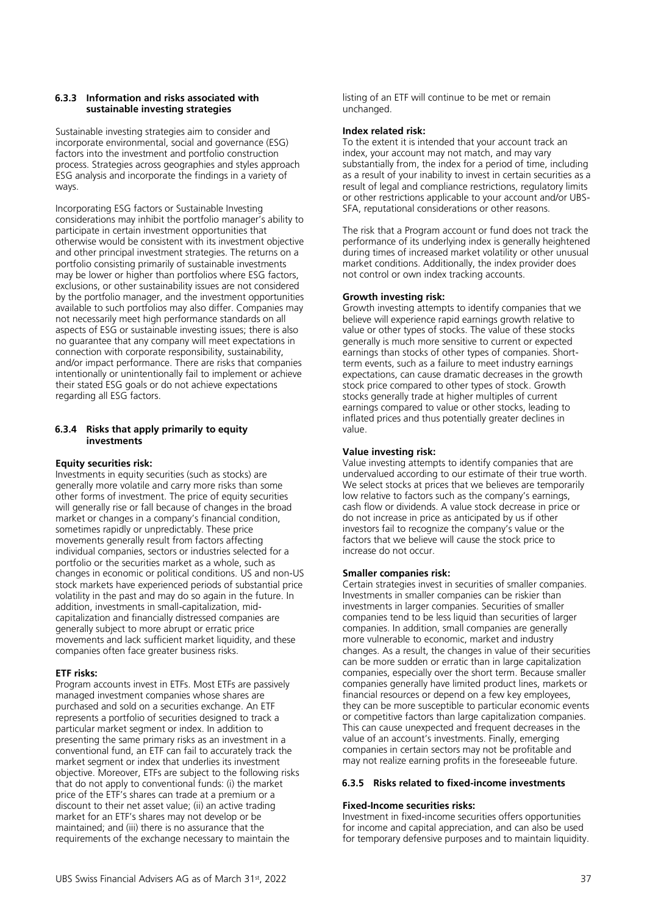# **6.3.3 Information and risks associated with sustainable investing strategies**

Sustainable investing strategies aim to consider and incorporate environmental, social and governance (ESG) factors into the investment and portfolio construction process. Strategies across geographies and styles approach ESG analysis and incorporate the findings in a variety of ways.

Incorporating ESG factors or Sustainable Investing considerations may inhibit the portfolio manager's ability to participate in certain investment opportunities that otherwise would be consistent with its investment objective and other principal investment strategies. The returns on a portfolio consisting primarily of sustainable investments may be lower or higher than portfolios where ESG factors, exclusions, or other sustainability issues are not considered by the portfolio manager, and the investment opportunities available to such portfolios may also differ. Companies may not necessarily meet high performance standards on all aspects of ESG or sustainable investing issues; there is also no guarantee that any company will meet expectations in connection with corporate responsibility, sustainability, and/or impact performance. There are risks that companies intentionally or unintentionally fail to implement or achieve their stated ESG goals or do not achieve expectations regarding all ESG factors.

# **6.3.4 Risks that apply primarily to equity investments**

# **Equity securities risk:**

Investments in equity securities (such as stocks) are generally more volatile and carry more risks than some other forms of investment. The price of equity securities will generally rise or fall because of changes in the broad market or changes in a company's financial condition, sometimes rapidly or unpredictably. These price movements generally result from factors affecting individual companies, sectors or industries selected for a portfolio or the securities market as a whole, such as changes in economic or political conditions. US and non-US stock markets have experienced periods of substantial price volatility in the past and may do so again in the future. In addition, investments in small-capitalization, midcapitalization and financially distressed companies are generally subject to more abrupt or erratic price movements and lack sufficient market liquidity, and these companies often face greater business risks.

# **ETF risks:**

Program accounts invest in ETFs. Most ETFs are passively managed investment companies whose shares are purchased and sold on a securities exchange. An ETF represents a portfolio of securities designed to track a particular market segment or index. In addition to presenting the same primary risks as an investment in a conventional fund, an ETF can fail to accurately track the market segment or index that underlies its investment objective. Moreover, ETFs are subject to the following risks that do not apply to conventional funds: (i) the market price of the ETF's shares can trade at a premium or a discount to their net asset value; (ii) an active trading market for an ETF's shares may not develop or be maintained; and (iii) there is no assurance that the requirements of the exchange necessary to maintain the

listing of an ETF will continue to be met or remain unchanged.

# **Index related risk:**

To the extent it is intended that your account track an index, your account may not match, and may vary substantially from, the index for a period of time, including as a result of your inability to invest in certain securities as a result of legal and compliance restrictions, regulatory limits or other restrictions applicable to your account and/or UBS-SFA, reputational considerations or other reasons.

The risk that a Program account or fund does not track the performance of its underlying index is generally heightened during times of increased market volatility or other unusual market conditions. Additionally, the index provider does not control or own index tracking accounts.

# **Growth investing risk:**

Growth investing attempts to identify companies that we believe will experience rapid earnings growth relative to value or other types of stocks. The value of these stocks generally is much more sensitive to current or expected earnings than stocks of other types of companies. Shortterm events, such as a failure to meet industry earnings expectations, can cause dramatic decreases in the growth stock price compared to other types of stock. Growth stocks generally trade at higher multiples of current earnings compared to value or other stocks, leading to inflated prices and thus potentially greater declines in value.

# **Value investing risk:**

Value investing attempts to identify companies that are undervalued according to our estimate of their true worth. We select stocks at prices that we believes are temporarily low relative to factors such as the company's earnings, cash flow or dividends. A value stock decrease in price or do not increase in price as anticipated by us if other investors fail to recognize the company's value or the factors that we believe will cause the stock price to increase do not occur.

# **Smaller companies risk:**

Certain strategies invest in securities of smaller companies. Investments in smaller companies can be riskier than investments in larger companies. Securities of smaller companies tend to be less liquid than securities of larger companies. In addition, small companies are generally more vulnerable to economic, market and industry changes. As a result, the changes in value of their securities can be more sudden or erratic than in large capitalization companies, especially over the short term. Because smaller companies generally have limited product lines, markets or financial resources or depend on a few key employees, they can be more susceptible to particular economic events or competitive factors than large capitalization companies. This can cause unexpected and frequent decreases in the value of an account's investments. Finally, emerging companies in certain sectors may not be profitable and may not realize earning profits in the foreseeable future.

#### **6.3.5 Risks related to fixed-income investments**

# **Fixed-Income securities risks:**

Investment in fixed-income securities offers opportunities for income and capital appreciation, and can also be used for temporary defensive purposes and to maintain liquidity.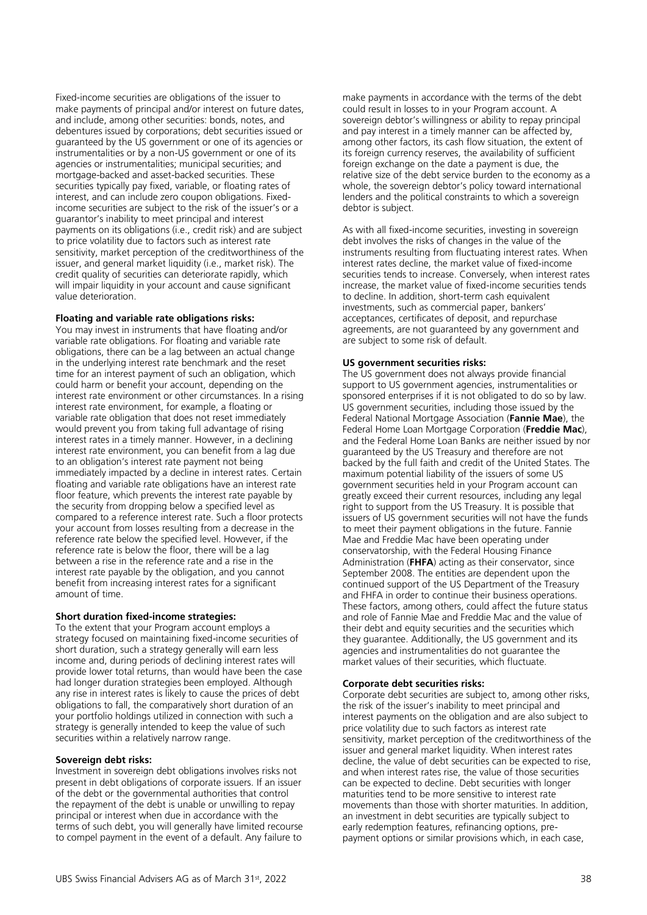Fixed-income securities are obligations of the issuer to make payments of principal and/or interest on future dates, and include, among other securities: bonds, notes, and debentures issued by corporations; debt securities issued or guaranteed by the US government or one of its agencies or instrumentalities or by a non-US government or one of its agencies or instrumentalities; municipal securities; and mortgage-backed and asset-backed securities. These securities typically pay fixed, variable, or floating rates of interest, and can include zero coupon obligations. Fixedincome securities are subject to the risk of the issuer's or a guarantor's inability to meet principal and interest payments on its obligations (i.e., credit risk) and are subject to price volatility due to factors such as interest rate sensitivity, market perception of the creditworthiness of the issuer, and general market liquidity (i.e., market risk). The credit quality of securities can deteriorate rapidly, which will impair liquidity in your account and cause significant value deterioration.

#### **Floating and variable rate obligations risks:**

You may invest in instruments that have floating and/or variable rate obligations. For floating and variable rate obligations, there can be a lag between an actual change in the underlying interest rate benchmark and the reset time for an interest payment of such an obligation, which could harm or benefit your account, depending on the interest rate environment or other circumstances. In a rising interest rate environment, for example, a floating or variable rate obligation that does not reset immediately would prevent you from taking full advantage of rising interest rates in a timely manner. However, in a declining interest rate environment, you can benefit from a lag due to an obligation's interest rate payment not being immediately impacted by a decline in interest rates. Certain floating and variable rate obligations have an interest rate floor feature, which prevents the interest rate payable by the security from dropping below a specified level as compared to a reference interest rate. Such a floor protects your account from losses resulting from a decrease in the reference rate below the specified level. However, if the reference rate is below the floor, there will be a lag between a rise in the reference rate and a rise in the interest rate payable by the obligation, and you cannot benefit from increasing interest rates for a significant amount of time.

#### **Short duration fixed-income strategies:**

To the extent that your Program account employs a strategy focused on maintaining fixed-income securities of short duration, such a strategy generally will earn less income and, during periods of declining interest rates will provide lower total returns, than would have been the case had longer duration strategies been employed. Although any rise in interest rates is likely to cause the prices of debt obligations to fall, the comparatively short duration of an your portfolio holdings utilized in connection with such a strategy is generally intended to keep the value of such securities within a relatively narrow range.

#### **Sovereign debt risks:**

Investment in sovereign debt obligations involves risks not present in debt obligations of corporate issuers. If an issuer of the debt or the governmental authorities that control the repayment of the debt is unable or unwilling to repay principal or interest when due in accordance with the terms of such debt, you will generally have limited recourse to compel payment in the event of a default. Any failure to make payments in accordance with the terms of the debt could result in losses to in your Program account. A sovereign debtor's willingness or ability to repay principal and pay interest in a timely manner can be affected by, among other factors, its cash flow situation, the extent of its foreign currency reserves, the availability of sufficient foreign exchange on the date a payment is due, the relative size of the debt service burden to the economy as a whole, the sovereign debtor's policy toward international lenders and the political constraints to which a sovereign debtor is subject.

As with all fixed-income securities, investing in sovereign debt involves the risks of changes in the value of the instruments resulting from fluctuating interest rates. When interest rates decline, the market value of fixed-income securities tends to increase. Conversely, when interest rates increase, the market value of fixed-income securities tends to decline. In addition, short-term cash equivalent investments, such as commercial paper, bankers' acceptances, certificates of deposit, and repurchase agreements, are not guaranteed by any government and are subject to some risk of default.

# **US government securities risks:**

The US government does not always provide financial support to US government agencies, instrumentalities or sponsored enterprises if it is not obligated to do so by law. US government securities, including those issued by the Federal National Mortgage Association (**Fannie Mae**), the Federal Home Loan Mortgage Corporation (**Freddie Mac**), and the Federal Home Loan Banks are neither issued by nor guaranteed by the US Treasury and therefore are not backed by the full faith and credit of the United States. The maximum potential liability of the issuers of some US government securities held in your Program account can greatly exceed their current resources, including any legal right to support from the US Treasury. It is possible that issuers of US government securities will not have the funds to meet their payment obligations in the future. Fannie Mae and Freddie Mac have been operating under conservatorship, with the Federal Housing Finance Administration (**FHFA**) acting as their conservator, since September 2008. The entities are dependent upon the continued support of the US Department of the Treasury and FHFA in order to continue their business operations. These factors, among others, could affect the future status and role of Fannie Mae and Freddie Mac and the value of their debt and equity securities and the securities which they guarantee. Additionally, the US government and its agencies and instrumentalities do not guarantee the market values of their securities, which fluctuate.

#### **Corporate debt securities risks:**

Corporate debt securities are subject to, among other risks, the risk of the issuer's inability to meet principal and interest payments on the obligation and are also subject to price volatility due to such factors as interest rate sensitivity, market perception of the creditworthiness of the issuer and general market liquidity. When interest rates decline, the value of debt securities can be expected to rise, and when interest rates rise, the value of those securities can be expected to decline. Debt securities with longer maturities tend to be more sensitive to interest rate movements than those with shorter maturities. In addition, an investment in debt securities are typically subject to early redemption features, refinancing options, prepayment options or similar provisions which, in each case,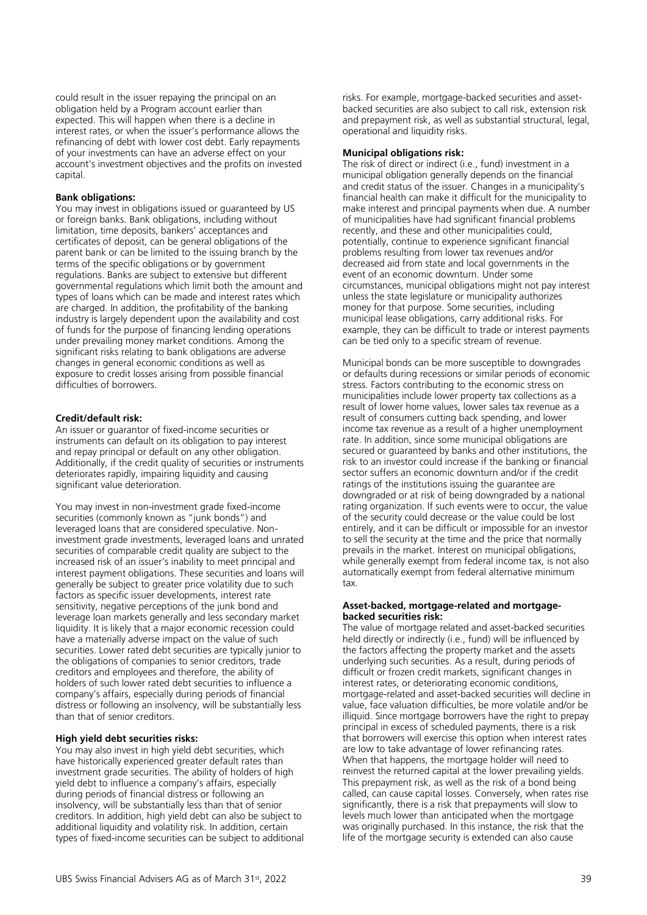could result in the issuer repaying the principal on an obligation held by a Program account earlier than expected. This will happen when there is a decline in interest rates, or when the issuer's performance allows the refinancing of debt with lower cost debt. Early repayments of your investments can have an adverse effect on your account's investment objectives and the profits on invested capital.

#### **Bank obligations:**

You may invest in obligations issued or guaranteed by US or foreign banks. Bank obligations, including without limitation, time deposits, bankers' acceptances and certificates of deposit, can be general obligations of the parent bank or can be limited to the issuing branch by the terms of the specific obligations or by government regulations. Banks are subject to extensive but different governmental regulations which limit both the amount and types of loans which can be made and interest rates which are charged. In addition, the profitability of the banking industry is largely dependent upon the availability and cost of funds for the purpose of financing lending operations under prevailing money market conditions. Among the significant risks relating to bank obligations are adverse changes in general economic conditions as well as exposure to credit losses arising from possible financial difficulties of borrowers.

#### **Credit/default risk:**

An issuer or guarantor of fixed-income securities or instruments can default on its obligation to pay interest and repay principal or default on any other obligation. Additionally, if the credit quality of securities or instruments deteriorates rapidly, impairing liquidity and causing significant value deterioration.

You may invest in non-investment grade fixed-income securities (commonly known as "junk bonds") and leveraged loans that are considered speculative. Noninvestment grade investments, leveraged loans and unrated securities of comparable credit quality are subject to the increased risk of an issuer's inability to meet principal and interest payment obligations. These securities and loans will generally be subject to greater price volatility due to such factors as specific issuer developments, interest rate sensitivity, negative perceptions of the junk bond and leverage loan markets generally and less secondary market liquidity. It is likely that a major economic recession could have a materially adverse impact on the value of such securities. Lower rated debt securities are typically junior to the obligations of companies to senior creditors, trade creditors and employees and therefore, the ability of holders of such lower rated debt securities to influence a company's affairs, especially during periods of financial distress or following an insolvency, will be substantially less than that of senior creditors.

#### **High yield debt securities risks:**

You may also invest in high yield debt securities, which have historically experienced greater default rates than investment grade securities. The ability of holders of high yield debt to influence a company's affairs, especially during periods of financial distress or following an insolvency, will be substantially less than that of senior creditors. In addition, high yield debt can also be subject to additional liquidity and volatility risk. In addition, certain types of fixed-income securities can be subject to additional risks. For example, mortgage-backed securities and assetbacked securities are also subject to call risk, extension risk and prepayment risk, as well as substantial structural, legal, operational and liquidity risks.

#### **Municipal obligations risk:**

The risk of direct or indirect (i.e., fund) investment in a municipal obligation generally depends on the financial and credit status of the issuer. Changes in a municipality's financial health can make it difficult for the municipality to make interest and principal payments when due. A number of municipalities have had significant financial problems recently, and these and other municipalities could, potentially, continue to experience significant financial problems resulting from lower tax revenues and/or decreased aid from state and local governments in the event of an economic downturn. Under some circumstances, municipal obligations might not pay interest unless the state legislature or municipality authorizes money for that purpose. Some securities, including municipal lease obligations, carry additional risks. For example, they can be difficult to trade or interest payments can be tied only to a specific stream of revenue.

Municipal bonds can be more susceptible to downgrades or defaults during recessions or similar periods of economic stress. Factors contributing to the economic stress on municipalities include lower property tax collections as a result of lower home values, lower sales tax revenue as a result of consumers cutting back spending, and lower income tax revenue as a result of a higher unemployment rate. In addition, since some municipal obligations are secured or guaranteed by banks and other institutions, the risk to an investor could increase if the banking or financial sector suffers an economic downturn and/or if the credit ratings of the institutions issuing the guarantee are downgraded or at risk of being downgraded by a national rating organization. If such events were to occur, the value of the security could decrease or the value could be lost entirely, and it can be difficult or impossible for an investor to sell the security at the time and the price that normally prevails in the market. Interest on municipal obligations, while generally exempt from federal income tax, is not also automatically exempt from federal alternative minimum tax.

#### **Asset-backed, mortgage-related and mortgagebacked securities risk:**

The value of mortgage related and asset-backed securities held directly or indirectly (i.e., fund) will be influenced by the factors affecting the property market and the assets underlying such securities. As a result, during periods of difficult or frozen credit markets, significant changes in interest rates, or deteriorating economic conditions, mortgage-related and asset-backed securities will decline in value, face valuation difficulties, be more volatile and/or be illiquid. Since mortgage borrowers have the right to prepay principal in excess of scheduled payments, there is a risk that borrowers will exercise this option when interest rates are low to take advantage of lower refinancing rates. When that happens, the mortgage holder will need to reinvest the returned capital at the lower prevailing yields. This prepayment risk, as well as the risk of a bond being called, can cause capital losses. Conversely, when rates rise significantly, there is a risk that prepayments will slow to levels much lower than anticipated when the mortgage was originally purchased. In this instance, the risk that the life of the mortgage security is extended can also cause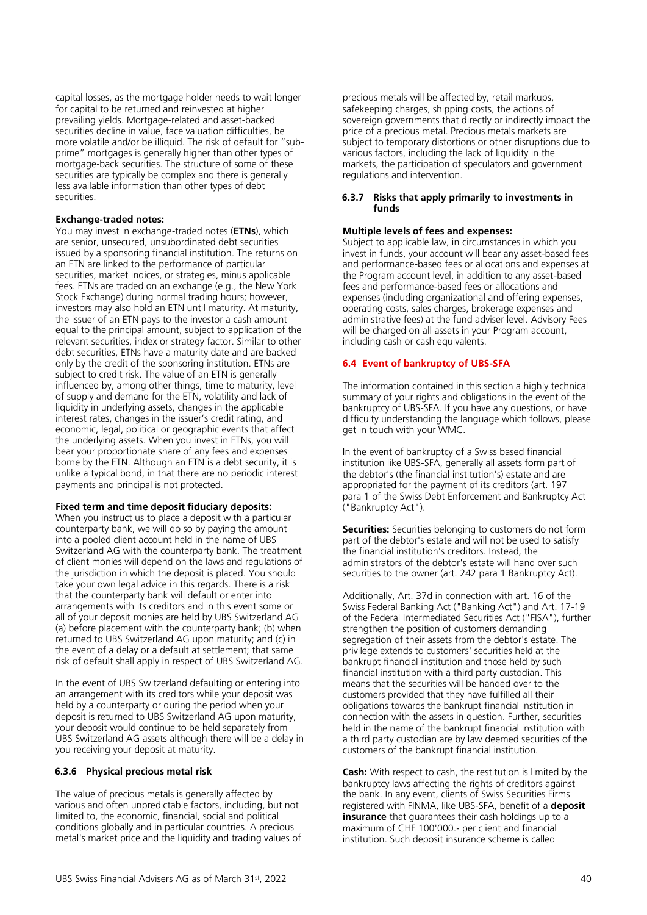capital losses, as the mortgage holder needs to wait longer for capital to be returned and reinvested at higher prevailing yields. Mortgage-related and asset-backed securities decline in value, face valuation difficulties, be more volatile and/or be illiquid. The risk of default for "subprime" mortgages is generally higher than other types of mortgage-back securities. The structure of some of these securities are typically be complex and there is generally less available information than other types of debt securities.

# **Exchange-traded notes:**

You may invest in exchange-traded notes (**ETNs**), which are senior, unsecured, unsubordinated debt securities issued by a sponsoring financial institution. The returns on an ETN are linked to the performance of particular securities, market indices, or strategies, minus applicable fees. ETNs are traded on an exchange (e.g., the New York Stock Exchange) during normal trading hours; however, investors may also hold an ETN until maturity. At maturity, the issuer of an ETN pays to the investor a cash amount equal to the principal amount, subject to application of the relevant securities, index or strategy factor. Similar to other debt securities, ETNs have a maturity date and are backed only by the credit of the sponsoring institution. ETNs are subject to credit risk. The value of an ETN is generally influenced by, among other things, time to maturity, level of supply and demand for the ETN, volatility and lack of liquidity in underlying assets, changes in the applicable interest rates, changes in the issuer's credit rating, and economic, legal, political or geographic events that affect the underlying assets. When you invest in ETNs, you will bear your proportionate share of any fees and expenses borne by the ETN. Although an ETN is a debt security, it is unlike a typical bond, in that there are no periodic interest payments and principal is not protected.

#### **Fixed term and time deposit fiduciary deposits:**

When you instruct us to place a deposit with a particular counterparty bank, we will do so by paying the amount into a pooled client account held in the name of UBS Switzerland AG with the counterparty bank. The treatment of client monies will depend on the laws and regulations of the jurisdiction in which the deposit is placed. You should take your own legal advice in this regards. There is a risk that the counterparty bank will default or enter into arrangements with its creditors and in this event some or all of your deposit monies are held by UBS Switzerland AG (a) before placement with the counterparty bank; (b) when returned to UBS Switzerland AG upon maturity; and (c) in the event of a delay or a default at settlement; that same risk of default shall apply in respect of UBS Switzerland AG.

In the event of UBS Switzerland defaulting or entering into an arrangement with its creditors while your deposit was held by a counterparty or during the period when your deposit is returned to UBS Switzerland AG upon maturity, your deposit would continue to be held separately from UBS Switzerland AG assets although there will be a delay in you receiving your deposit at maturity.

#### **6.3.6 Physical precious metal risk**

The value of precious metals is generally affected by various and often unpredictable factors, including, but not limited to, the economic, financial, social and political conditions globally and in particular countries. A precious metal's market price and the liquidity and trading values of

precious metals will be affected by, retail markups, safekeeping charges, shipping costs, the actions of sovereign governments that directly or indirectly impact the price of a precious metal. Precious metals markets are subject to temporary distortions or other disruptions due to various factors, including the lack of liquidity in the markets, the participation of speculators and government regulations and intervention.

#### **6.3.7 Risks that apply primarily to investments in funds**

#### **Multiple levels of fees and expenses:**

Subject to applicable law, in circumstances in which you invest in funds, your account will bear any asset-based fees and performance-based fees or allocations and expenses at the Program account level, in addition to any asset-based fees and performance-based fees or allocations and expenses (including organizational and offering expenses, operating costs, sales charges, brokerage expenses and administrative fees) at the fund adviser level. Advisory Fees will be charged on all assets in your Program account, including cash or cash equivalents.

#### <span id="page-39-0"></span>**6.4 Event of bankruptcy of UBS-SFA**

The information contained in this section a highly technical summary of your rights and obligations in the event of the bankruptcy of UBS-SFA. If you have any questions, or have difficulty understanding the language which follows, please get in touch with your WMC.

In the event of bankruptcy of a Swiss based financial institution like UBS-SFA, generally all assets form part of the debtor's (the financial institution's) estate and are appropriated for the payment of its creditors (art. 197 para 1 of the Swiss Debt Enforcement and Bankruptcy Act ("Bankruptcy Act").

**Securities:** Securities belonging to customers do not form part of the debtor's estate and will not be used to satisfy the financial institution's creditors. Instead, the administrators of the debtor's estate will hand over such securities to the owner (art. 242 para 1 Bankruptcy Act).

Additionally, Art. 37d in connection with art. 16 of the Swiss Federal Banking Act ("Banking Act") and Art. 17-19 of the Federal Intermediated Securities Act ("FISA"), further strengthen the position of customers demanding segregation of their assets from the debtor's estate. The privilege extends to customers' securities held at the bankrupt financial institution and those held by such financial institution with a third party custodian. This means that the securities will be handed over to the customers provided that they have fulfilled all their obligations towards the bankrupt financial institution in connection with the assets in question. Further, securities held in the name of the bankrupt financial institution with a third party custodian are by law deemed securities of the customers of the bankrupt financial institution.

**Cash:** With respect to cash, the restitution is limited by the bankruptcy laws affecting the rights of creditors against the bank. In any event, clients of Swiss Securities Firms registered with FINMA, like UBS-SFA, benefit of a **deposit insurance** that guarantees their cash holdings up to a maximum of CHF 100'000.- per client and financial institution. Such deposit insurance scheme is called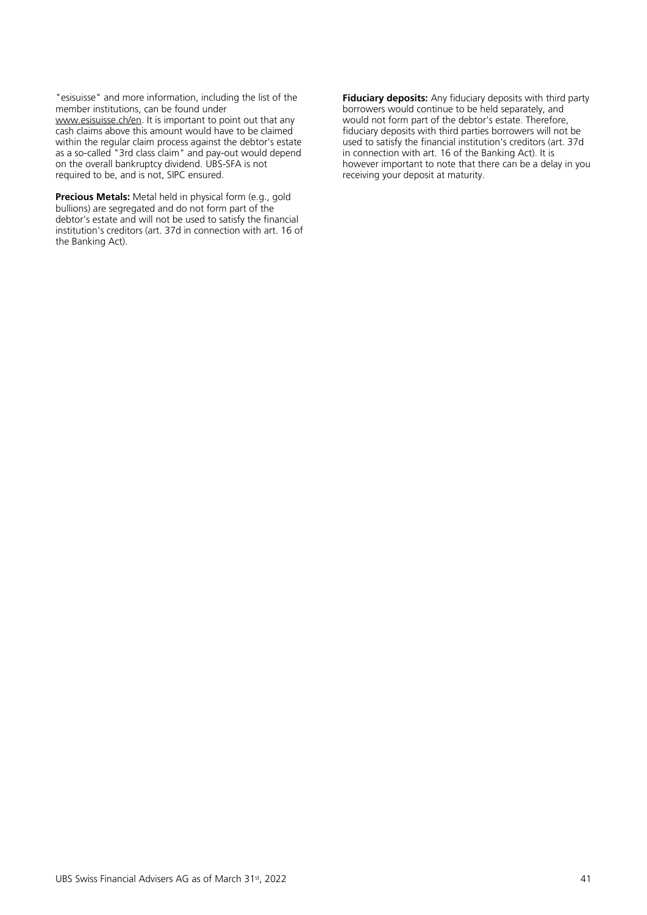"esisuisse" and more information, including the list of the member institutions, can be found under [www.esisuisse.ch/en.](http://www.esisuisse.ch/en) It is important to point out that any cash claims above this amount would have to be claimed within the regular claim process against the debtor's estate as a so-called "3rd class claim" and pay-out would depend on the overall bankruptcy dividend. UBS-SFA is not required to be, and is not, SIPC ensured.

**Precious Metals:** Metal held in physical form (e.g., gold bullions) are segregated and do not form part of the debtor's estate and will not be used to satisfy the financial institution's creditors (art. 37d in connection with art. 16 of the Banking Act).

**Fiduciary deposits:** Any fiduciary deposits with third party borrowers would continue to be held separately, and would not form part of the debtor's estate. Therefore, fiduciary deposits with third parties borrowers will not be used to satisfy the financial institution's creditors (art. 37d in connection with art. 16 of the Banking Act). It is however important to note that there can be a delay in you receiving your deposit at maturity.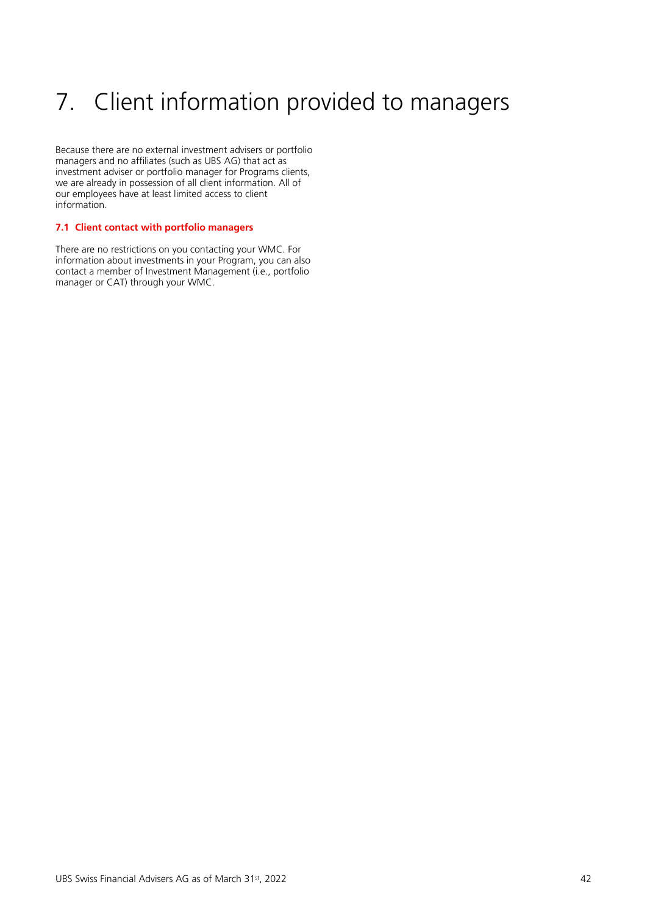# <span id="page-41-0"></span>7. Client information provided to managers

Because there are no external investment advisers or portfolio managers and no affiliates (such as UBS AG) that act as investment adviser or portfolio manager for Programs clients, we are already in possession of all client information. All of our employees have at least limited access to client information.

# <span id="page-41-1"></span>**7.1 Client contact with portfolio managers**

There are no restrictions on you contacting your WMC. For information about investments in your Program, you can also contact a member of Investment Management (i.e., portfolio manager or CAT) through your WMC.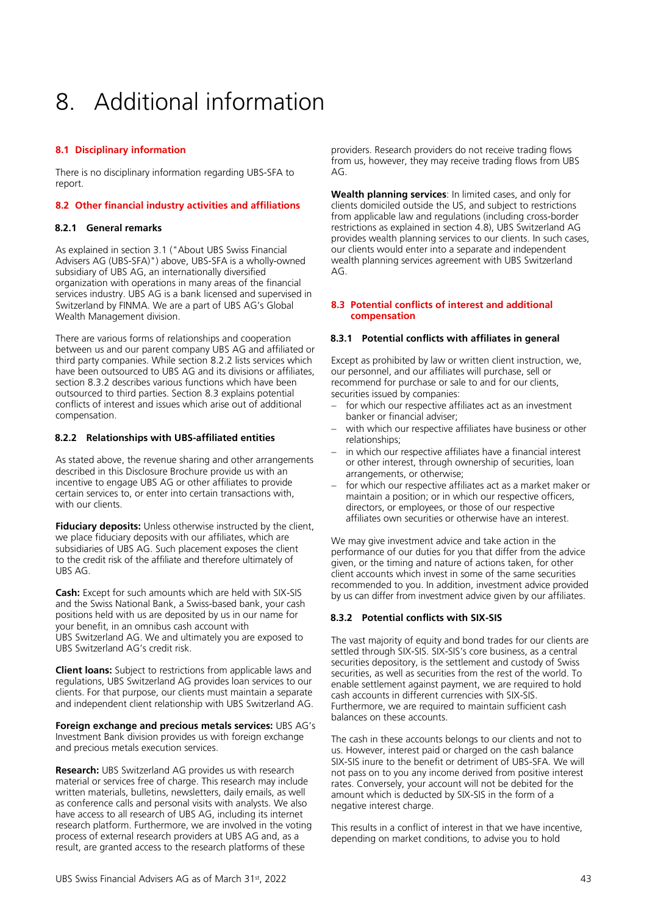# <span id="page-42-0"></span>8. Additional information

# <span id="page-42-1"></span>**8.1 Disciplinary information**

There is no disciplinary information regarding UBS-SFA to report.

# <span id="page-42-2"></span>**8.2 Other financial industry activities and affiliations**

# **8.2.1 General remarks**

As explained in section 3.1 ("About UBS Swiss Financial Advisers AG (UBS-SFA)") above, UBS-SFA is a wholly-owned subsidiary of UBS AG, an internationally diversified organization with operations in many areas of the financial services industry. UBS AG is a bank licensed and supervised in Switzerland by FINMA. We are a part of UBS AG's Global Wealth Management division.

There are various forms of relationships and cooperation between us and our parent company UBS AG and affiliated or third party companies. While section 8.2.2 lists services which have been outsourced to UBS AG and its divisions or affiliates, section 8.3.2 describes various functions which have been outsourced to third parties. Section 8.3 explains potential conflicts of interest and issues which arise out of additional compensation.

# **8.2.2 Relationships with UBS-affiliated entities**

As stated above, the revenue sharing and other arrangements described in this Disclosure Brochure provide us with an incentive to engage UBS AG or other affiliates to provide certain services to, or enter into certain transactions with, with our clients.

**Fiduciary deposits:** Unless otherwise instructed by the client, we place fiduciary deposits with our affiliates, which are subsidiaries of UBS AG. Such placement exposes the client to the credit risk of the affiliate and therefore ultimately of UBS AG.

**Cash:** Except for such amounts which are held with SIX-SIS and the Swiss National Bank, a Swiss-based bank, your cash positions held with us are deposited by us in our name for your benefit, in an omnibus cash account with UBS Switzerland AG. We and ultimately you are exposed to UBS Switzerland AG's credit risk.

**Client loans:** Subject to restrictions from applicable laws and regulations, UBS Switzerland AG provides loan services to our clients. For that purpose, our clients must maintain a separate and independent client relationship with UBS Switzerland AG.

**Foreign exchange and precious metals services:** UBS AG's Investment Bank division provides us with foreign exchange and precious metals execution services.

**Research:** UBS Switzerland AG provides us with research material or services free of charge. This research may include written materials, bulletins, newsletters, daily emails, as well as conference calls and personal visits with analysts. We also have access to all research of UBS AG, including its internet research platform. Furthermore, we are involved in the voting process of external research providers at UBS AG and, as a result, are granted access to the research platforms of these

providers. Research providers do not receive trading flows from us, however, they may receive trading flows from UBS  $\Delta G$ 

**Wealth planning services**: In limited cases, and only for clients domiciled outside the US, and subject to restrictions from applicable law and regulations (including cross-border restrictions as explained in section 4.8), UBS Switzerland AG provides wealth planning services to our clients. In such cases, our clients would enter into a separate and independent wealth planning services agreement with UBS Switzerland  $AG<sub>1</sub>$ 

# <span id="page-42-3"></span>**8.3 Potential conflicts of interest and additional compensation**

# **8.3.1 Potential conflicts with affiliates in general**

Except as prohibited by law or written client instruction, we, our personnel, and our affiliates will purchase, sell or recommend for purchase or sale to and for our clients, securities issued by companies:

- for which our respective affiliates act as an investment banker or financial adviser;
- with which our respective affiliates have business or other relationships;
- in which our respective affiliates have a financial interest or other interest, through ownership of securities, loan arrangements, or otherwise;
- for which our respective affiliates act as a market maker or maintain a position; or in which our respective officers, directors, or employees, or those of our respective affiliates own securities or otherwise have an interest.

We may give investment advice and take action in the performance of our duties for you that differ from the advice given, or the timing and nature of actions taken, for other client accounts which invest in some of the same securities recommended to you. In addition, investment advice provided by us can differ from investment advice given by our affiliates.

# **8.3.2 Potential conflicts with SIX-SIS**

The vast majority of equity and bond trades for our clients are settled through SIX-SIS. SIX-SIS's core business, as a central securities depository, is the settlement and custody of Swiss securities, as well as securities from the rest of the world. To enable settlement against payment, we are required to hold cash accounts in different currencies with SIX-SIS. Furthermore, we are required to maintain sufficient cash balances on these accounts.

The cash in these accounts belongs to our clients and not to us. However, interest paid or charged on the cash balance SIX-SIS inure to the benefit or detriment of UBS-SFA. We will not pass on to you any income derived from positive interest rates. Conversely, your account will not be debited for the amount which is deducted by SIX-SIS in the form of a negative interest charge.

This results in a conflict of interest in that we have incentive, depending on market conditions, to advise you to hold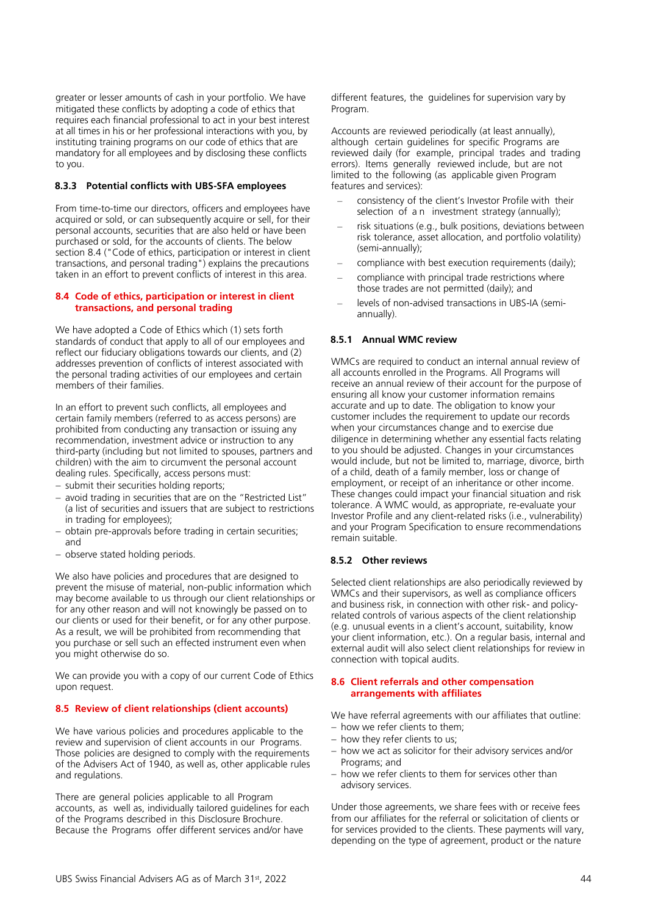greater or lesser amounts of cash in your portfolio. We have mitigated these conflicts by adopting a code of ethics that requires each financial professional to act in your best interest at all times in his or her professional interactions with you, by instituting training programs on our code of ethics that are mandatory for all employees and by disclosing these conflicts to you.

# **8.3.3 Potential conflicts with UBS-SFA employees**

From time-to-time our directors, officers and employees have acquired or sold, or can subsequently acquire or sell, for their personal accounts, securities that are also held or have been purchased or sold, for the accounts of clients. The below section 8.4 ("Code of ethics, participation or interest in client transactions, and personal trading") explains the precautions taken in an effort to prevent conflicts of interest in this area.

# <span id="page-43-0"></span>**8.4 Code of ethics, participation or interest in client transactions, and personal trading**

We have adopted a Code of Ethics which (1) sets forth standards of conduct that apply to all of our employees and reflect our fiduciary obligations towards our clients, and (2) addresses prevention of conflicts of interest associated with the personal trading activities of our employees and certain members of their families.

In an effort to prevent such conflicts, all employees and certain family members (referred to as access persons) are prohibited from conducting any transaction or issuing any recommendation, investment advice or instruction to any third-party (including but not limited to spouses, partners and children) with the aim to circumvent the personal account dealing rules. Specifically, access persons must:

- − submit their securities holding reports;
- − avoid trading in securities that are on the "Restricted List" (a list of securities and issuers that are subject to restrictions in trading for employees);
- − obtain pre-approvals before trading in certain securities; and
- − observe stated holding periods.

We also have policies and procedures that are designed to prevent the misuse of material, non-public information which may become available to us through our client relationships or for any other reason and will not knowingly be passed on to our clients or used for their benefit, or for any other purpose. As a result, we will be prohibited from recommending that you purchase or sell such an effected instrument even when you might otherwise do so.

We can provide you with a copy of our current Code of Ethics upon request.

# <span id="page-43-1"></span>**8.5 Review of client relationships (client accounts)**

We have various policies and procedures applicable to the review and supervision of client accounts in our Programs. Those policies are designed to comply with the requirements of the Advisers Act of 1940, as well as, other applicable rules and regulations.

There are general policies applicable to all Program accounts, as well as, individually tailored guidelines for each of the Programs described in this Disclosure Brochure. Because the Programs offer different services and/or have

different features, the guidelines for supervision vary by Program.

Accounts are reviewed periodically (at least annually), although certain guidelines for specific Programs are reviewed daily (for example, principal trades and trading errors). Items generally reviewed include, but are not limited to the following (as applicable given Program features and services):

- consistency of the client's Investor Profile with their selection of a n investment strategy (annually);
- risk situations (e.g., bulk positions, deviations between risk tolerance, asset allocation, and portfolio volatility) (semi-annually);
- compliance with best execution requirements (daily);
- compliance with principal trade restrictions where those trades are not permitted (daily); and
- levels of non-advised transactions in UBS-IA (semiannually).

# **8.5.1 Annual WMC review**

WMCs are required to conduct an internal annual review of all accounts enrolled in the Programs. All Programs will receive an annual review of their account for the purpose of ensuring all know your customer information remains accurate and up to date. The obligation to know your customer includes the requirement to update our records when your circumstances change and to exercise due diligence in determining whether any essential facts relating to you should be adjusted. Changes in your circumstances would include, but not be limited to, marriage, divorce, birth of a child, death of a family member, loss or change of employment, or receipt of an inheritance or other income. These changes could impact your financial situation and risk tolerance. A WMC would, as appropriate, re-evaluate your Investor Profile and any client-related risks (i.e., vulnerability) and your Program Specification to ensure recommendations remain suitable.

# **8.5.2 Other reviews**

Selected client relationships are also periodically reviewed by WMCs and their supervisors, as well as compliance officers and business risk, in connection with other risk- and policyrelated controls of various aspects of the client relationship (e.g. unusual events in a client's account, suitability, know your client information, etc.). On a regular basis, internal and external audit will also select client relationships for review in connection with topical audits.

# <span id="page-43-2"></span>**8.6 Client referrals and other compensation arrangements with affiliates**

We have referral agreements with our affiliates that outline:

- − how we refer clients to them;
- − how they refer clients to us;
- − how we act as solicitor for their advisory services and/or Programs; and
- − how we refer clients to them for services other than advisory services.

Under those agreements, we share fees with or receive fees from our affiliates for the referral or solicitation of clients or for services provided to the clients. These payments will vary, depending on the type of agreement, product or the nature